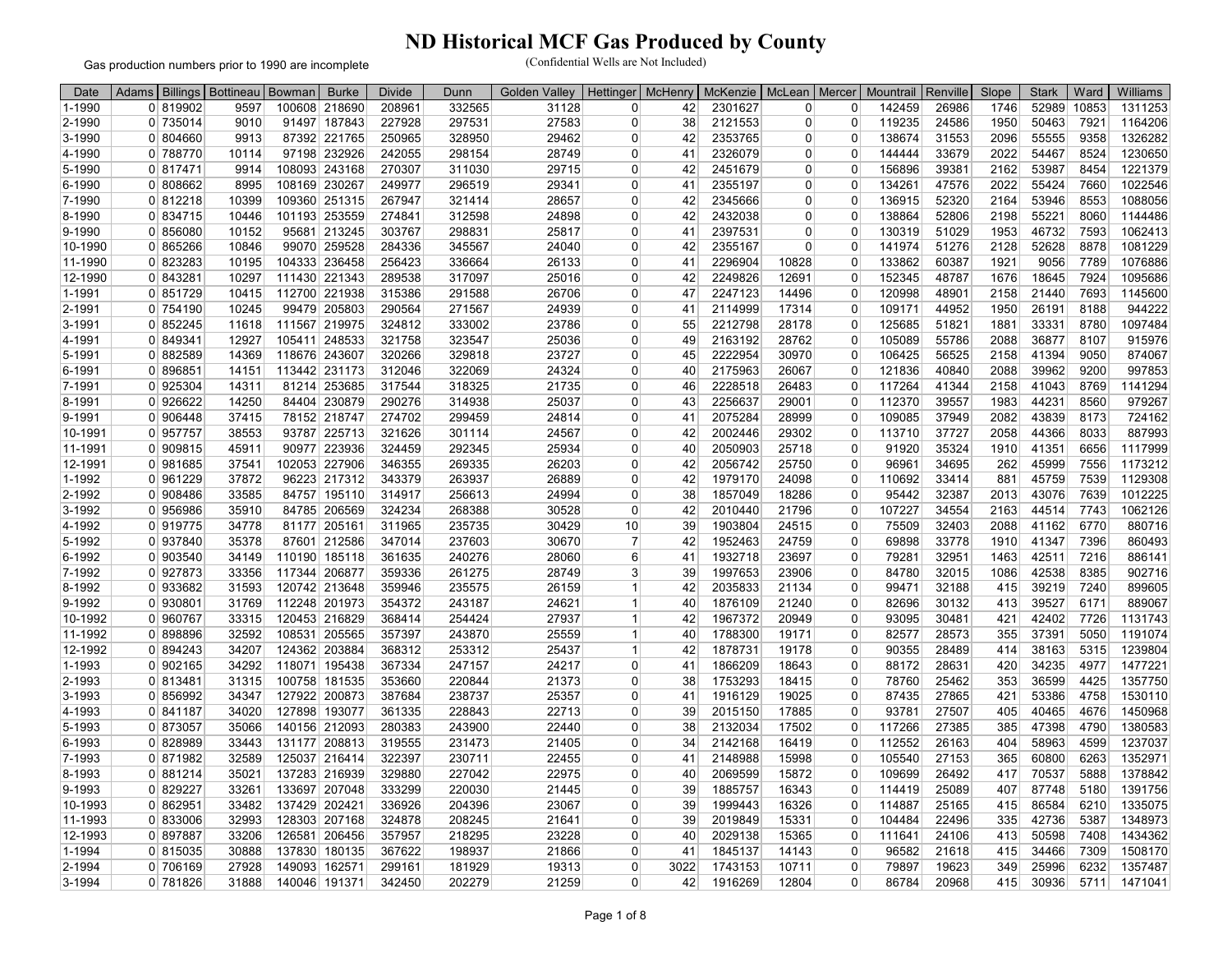Gas production numbers prior to 1990 are incomplete

| Date       | Adams                 | Billings   Bottineau | Bowman | <b>Burke</b>  | <b>Divide</b> | Dunn   | Golden<br>Valley | Hettinger      | <b>McHenry</b> | McKenzie | McLean         | Mercer         | Mountrail | Renville | Slope | <b>Stark</b> | Ward  | Williams |
|------------|-----------------------|----------------------|--------|---------------|---------------|--------|------------------|----------------|----------------|----------|----------------|----------------|-----------|----------|-------|--------------|-------|----------|
| 1-1990     | 0 819902              | 9597                 | 100608 | 218690        | 208961        | 332565 | 31128            | 0              | 42             | 2301627  | $\overline{0}$ | $\overline{0}$ | 142459    | 26986    | 1746  | 52989        | 10853 | 1311253  |
| 2-1990     | 0 735014              | 9010                 |        | 91497 187843  | 227928        | 297531 | 27583            | $\Omega$       | 38             | 2121553  | $\Omega$       | $\overline{0}$ | 119235    | 24586    | 1950  | 50463        | 7921  | 1164206  |
| 3-1990     | 0 804660              | 9913                 |        | 87392 221765  | 250965        | 328950 | 29462            | 0              | 42             | 2353765  | $\overline{0}$ | $\overline{0}$ | 138674    | 31553    | 2096  | 55555        | 9358  | 1326282  |
| 4-1990     | 0 788770              | 10114                |        | 97198 232926  | 242055        | 298154 | 28749            | $\Omega$       | 41             | 2326079  | $\Omega$       | $\Omega$       | 144444    | 33679    | 2022  | 54467        | 8524  | 1230650  |
| 5-1990     | 0 817471              | 9914                 |        | 108093 243168 | 270307        | 311030 | 29715            | 0              | 42             | 2451679  | $\Omega$       | $\Omega$       | 156896    | 39381    | 2162  | 53987        | 8454  | 1221379  |
| $6 - 1990$ | 0 808662              | 8995                 |        | 108169 230267 | 249977        | 296519 | 29341            | 0              | 41             | 2355197  | $\overline{0}$ | $\Omega$       | 134261    | 47576    | 2022  | 55424        | 7660  | 1022546  |
| 7-1990     | 0 812218              | 10399                |        | 109360 251315 | 267947        | 321414 | 28657            | $\Omega$       | 42             | 2345666  | $\Omega$       | $\Omega$       | 136915    | 52320    | 2164  | 53946        | 8553  | 1088056  |
| 8-1990     | 0 834715              | 10446                |        | 101193 253559 | 274841        | 312598 | 24898            | 0              | 42             | 2432038  | $\overline{0}$ | $\Omega$       | 138864    | 52806    | 2198  | 55221        | 8060  | 1144486  |
| 9-1990     | 0 856080              | 10152                |        | 95681 213245  | 303767        | 298831 | 25817            | 0              | 41             | 2397531  | $\overline{0}$ | $\Omega$       | 130319    | 51029    | 1953  | 46732        | 7593  | 1062413  |
| 10-1990    | 0 865266              | 10846                |        | 99070 259528  | 284336        | 345567 | 24040            | $\Omega$       | 42             | 2355167  | $\Omega$       | $\Omega$       | 141974    | 51276    | 2128  | 52628        | 8878  | 1081229  |
| 11-1990    | 0 823283              | 10195                |        | 104333 236458 | 256423        | 336664 | 26133            | 0              | 41             | 2296904  | 10828          | $\overline{0}$ | 133862    | 60387    | 1921  | 9056         | 7789  | 1076886  |
| 12-1990    | 0 843281              | 10297                |        | 111430 221343 | 289538        | 317097 | 25016            | 0              | 42             | 2249826  | 12691          | 0              | 152345    | 48787    | 1676  | 18645        | 7924  | 1095686  |
| 1-1991     | 0 851729              | 10415                |        | 112700 221938 | 315386        | 291588 | 26706            | $\Omega$       | 47             | 2247123  | 14496          | $\Omega$       | 120998    | 48901    | 2158  | 21440        | 7693  | 1145600  |
| 2-1991     | 0 754190              | 10245                |        | 99479 205803  | 290564        | 271567 | 24939            | 0              | 41             | 2114999  | 17314          | 0              | 109171    | 44952    | 1950  | 26191        | 8188  | 944222   |
| 3-1991     | 0 852245              | 11618                |        | 111567 219975 | 324812        | 333002 | 23786            | 0              | 55             | 2212798  | 28178          | $\Omega$       | 125685    | 51821    | 1881  | 33331        | 8780  | 1097484  |
| 4-1991     | 849341<br>$\Omega$    | 12927                |        | 105411 248533 | 321758        | 323547 | 25036            | $\Omega$       | 49             | 2163192  | 28762          | $\Omega$       | 105089    | 55786    | 2088  | 36877        | 8107  | 915976   |
| 5-1991     | 0 882589              | 14369                |        | 118676 243607 | 320266        | 329818 | 23727            | 0              | 45             | 2222954  | 30970          | $\mathbf 0$    | 106425    | 56525    | 2158  | 41394        | 9050  | 874067   |
| 6-1991     | 0 896851              | 14151                |        | 113442 231173 | 312046        | 322069 | 24324            | $\Omega$       | 40             | 2175963  | 26067          | $\Omega$       | 121836    | 40840    | 2088  | 39962        | 9200  | 997853   |
| 7-1991     | 0 925304              | 14311                |        | 81214 253685  | 317544        | 318325 | 21735            | 0              | 46             | 2228518  | 26483          | $\mathbf 0$    | 117264    | 41344    | 2158  | 41043        | 8769  | 1141294  |
| 8-1991     | 0 926622              | 14250                |        | 84404 230879  | 290276        | 314938 | 25037            | 0              | 43             | 2256637  | 29001          | 0              | 112370    | 39557    | 1983  | 44231        | 8560  | 979267   |
| 9-1991     | 0 906448              | 37415                |        | 78152 218747  | 274702        | 299459 | 24814            | $\Omega$       | 41             | 2075284  | 28999          | $\Omega$       | 109085    | 37949    | 2082  | 43839        | 8173  | 724162   |
| 10-1991    | 0 957757              | 38553                |        | 93787 225713  | 321626        | 301114 | 24567            | 0              | 42             | 2002446  | 29302          | $\Omega$       | 113710    | 37727    | 2058  | 44366        | 8033  | 887993   |
| 11-1991    | 0 909815              | 45911                |        | 90977 223936  | 324459        | 292345 | 25934            | 0              | 40             | 2050903  | 25718          | $\overline{0}$ | 91920     | 35324    | 1910  | 41351        | 6656  | 1117999  |
| 12-1991    | 0 981685              | 37541                |        | 102053 227906 | 346355        | 269335 | 26203            | $\Omega$       | 42             | 2056742  | 25750          | $\Omega$       | 96961     | 34695    | 262   | 45999        | 7556  | 1173212  |
| 1-1992     | 0 961229              | 37872                |        | 96223 217312  | 343379        | 263937 | 26889            | 0              | 42             | 1979170  | 24098          | $\Omega$       | 110692    | 33414    | 881   | 45759        | 7539  | 1129308  |
| 2-1992     | 0 908486              | 33585                |        | 84757 195110  | 314917        | 256613 | 24994            | 0              | 38             | 1857049  | 18286          | $\overline{0}$ | 95442     | 32387    | 2013  | 43076        | 7639  | 1012225  |
| 3-1992     | 0 956986              | 35910                |        | 84785 206569  | 324234        | 268388 | 30528            | 0              | 42             | 2010440  | 21796          | $\Omega$       | 107227    | 34554    | 2163  | 44514        | 7743  | 1062126  |
| 4-1992     | 0 919775              | 34778                |        | 81177 205161  | 311965        | 235735 | 30429            | 10             | 39             | 1903804  | 24515          | $\Omega$       | 75509     | 32403    | 2088  | 41162        | 6770  | 880716   |
| 5-1992     | 0 937840              | 35378                |        | 87601 212586  | 347014        | 237603 | 30670            | $\overline{7}$ | 42             | 1952463  | 24759          | $\overline{0}$ | 69898     | 33778    | 1910  | 41347        | 7396  | 860493   |
| 6-1992     | 0 903540              | 34149                |        | 110190 185118 | 361635        | 240276 | 28060            | 6              | 41             | 1932718  | 23697          | $\overline{0}$ | 79281     | 32951    | 1463  | 42511        | 7216  | 886141   |
| 7-1992     | 0 927873              | 33356                |        | 117344 206877 | 359336        | 261275 | 28749            | 3              | 39             | 1997653  | 23906          | $\Omega$       | 84780     | 32015    | 1086  | 42538        | 8385  | 902716   |
| 8-1992     | 0 933682              | 31593                |        | 120742 213648 | 359946        | 235575 | 26159            | $\mathbf{1}$   | 42             | 2035833  | 21134          | $\overline{0}$ | 99471     | 32188    | 415   | 39219        | 7240  | 899605   |
| 9-1992     | 0 930801              | 31769                |        | 112248 201973 | 354372        | 243187 | 24621            | $\mathbf{1}$   | 40             | 1876109  | 21240          | $\overline{0}$ | 82696     | 30132    | 413   | 39527        | 6171  | 889067   |
| 10-1992    | 0 960767              | 33315                |        | 120453 216829 | 368414        | 254424 | 27937            | 1              | 42             | 1967372  | 20949          | $\overline{0}$ | 93095     | 30481    | 421   | 42402        | 7726  | 1131743  |
| 11-1992    | 0 898896              | 32592                |        | 108531 205565 | 357397        | 243870 | 25559            | -1             | 40             | 1788300  | 19171          | $\Omega$       | 82577     | 28573    | 355   | 37391        | 5050  | 1191074  |
| 12-1992    | 0 894243              | 34207                |        | 124362 203884 | 368312        | 253312 | 25437            | 1              | 42             | 1878731  | 19178          | $\Omega$       | 90355     | 28489    | 414   | 38163        | 5315  | 1239804  |
| 1-1993     | 0 902165              | 34292                |        | 118071 195438 | 367334        | 247157 | 24217            | 0              | 41             | 1866209  | 18643          | $\overline{0}$ | 88172     | 28631    | 420   | 34235        | 4977  | 1477221  |
| 2-1993     | 0 813481              | 31315                |        | 100758 181535 | 353660        | 220844 | 21373            | $\Omega$       | 38             | 1753293  | 18415          | $\overline{0}$ | 78760     | 25462    | 353   | 36599        | 4425  | 1357750  |
| 3-1993     | $\overline{0}$ 856992 | 34347                |        | 127922 200873 | 387684        | 238737 | 25357            | $\Omega$       | 41             | 1916129  | 19025          | $\overline{0}$ | 87435     | 27865    | 421   | 53386        | 4758  | 1530110  |
| 4-1993     | 0 841187              | 34020                |        | 127898 193077 | 361335        | 228843 | 22713            | 0              | 39             | 2015150  | 17885          | $\overline{0}$ | 93781     | 27507    | 405   | 40465        | 4676  | 1450968  |
| 5-1993     | 0 873057              | 35066                |        | 140156 212093 | 280383        | 243900 | 22440            | 0              | 38             | 2132034  | 17502          | $\Omega$       | 117266    | 27385    | 385   | 47398        | 4790  | 1380583  |
| 6-1993     | 0 828989              | 33443                |        | 131177 208813 | 319555        | 231473 | 21405            | 0              | 34             | 2142168  | 16419          | $\mathbf 0$    | 112552    | 26163    | 404   | 58963        | 4599  | 1237037  |
| 7-1993     | 0 871982              | 32589                |        | 125037 216414 | 322397        | 230711 | 22455            | 0              | 41             | 2148988  | 15998          | $\Omega$       | 105540    | 27153    | 365   | 60800        | 6263  | 1352971  |
| 8-1993     | 881214<br>$\Omega$    | 35021                |        | 137283 216939 | 329880        | 227042 | 22975            | $\Omega$       | 40             | 2069599  | 15872          | $\Omega$       | 109699    | 26492    | 417   | 70537        | 5888  | 1378842  |
| 9-1993     | 829227<br>$\Omega$    | 33261                |        | 133697 207048 | 333299        | 220030 | 21445            | 0              | 39             | 1885757  | 16343          | $\overline{0}$ | 114419    | 25089    | 407   | 87748        | 5180  | 1391756  |
| 10-1993    | 0 862951              | 33482                |        | 137429 202421 | 336926        | 204396 | 23067            | 0              | 39             | 1999443  | 16326          | $\Omega$       | 114887    | 25165    | 415   | 86584        | 6210  | 1335075  |
| 11-1993    | 0 833006              | 32993                |        | 128303 207168 | 324878        | 208245 | 21641            | $\Omega$       | 39             | 2019849  | 15331          | $\overline{0}$ | 104484    | 22496    | 335   | 42736        | 5387  | 1348973  |
| 12-1993    | 0 897887              | 33206                |        | 126581 206456 | 357957        | 218295 | 23228            | 0              | 40             | 2029138  | 15365          | $\overline{0}$ | 111641    | 24106    | 413   | 50598        | 7408  | 1434362  |
| 1-1994     | 0 815035              | 30888                |        | 137830 180135 | 367622        | 198937 | 21866            | 0              | 41             | 1845137  | 14143          | $\overline{0}$ | 96582     | 21618    | 415   | 34466        | 7309  | 1508170  |
| 2-1994     | 0 706169              | 27928                |        | 149093 162571 | 299161        | 181929 | 19313            | 0              | 3022           | 1743153  | 10711          | $\Omega$       | 79897     | 19623    | 349   | 25996        | 6232  | 1357487  |
| 3-1994     | 0 781826              | 31888                |        | 140046 191371 | 342450        | 202279 | 21259            | 0              | 42             | 1916269  | 12804          | $\overline{0}$ | 86784     | 20968    | 415   | 30936        | 5711  | 1471041  |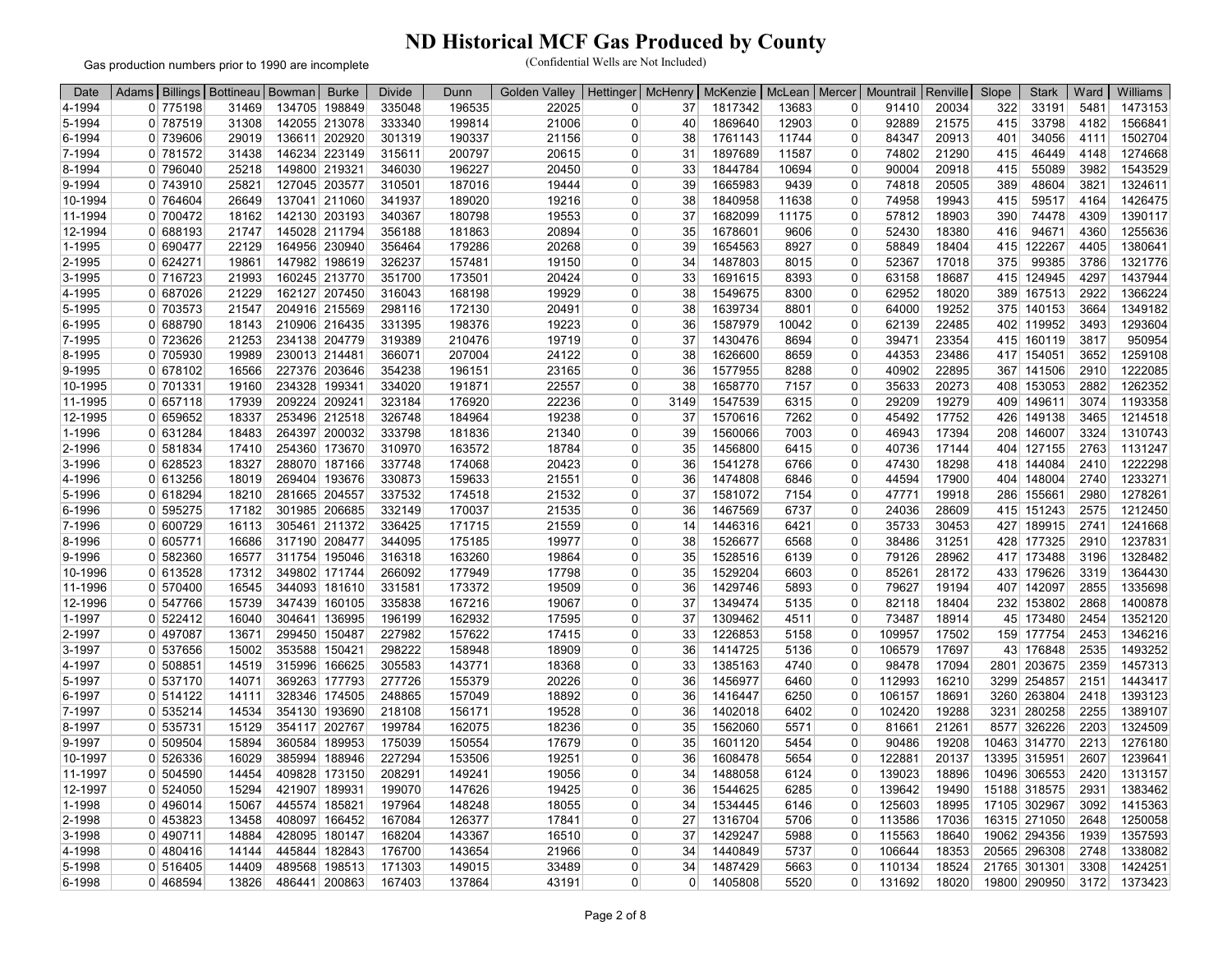Gas production numbers prior to 1990 are incomplete

| Date       | Adams Billings Bottineau Bowman |       |        | <b>Burke</b>  | <b>Divide</b> | Dunn   | <b>Golden Valley</b> |          |          | Hettinger   McHenry   McKenzie   McLean   Mercer |       |                | Mountrail   Renville |       | Slope | <b>Stark</b> | Ward | Williams |
|------------|---------------------------------|-------|--------|---------------|---------------|--------|----------------------|----------|----------|--------------------------------------------------|-------|----------------|----------------------|-------|-------|--------------|------|----------|
| 4-1994     | 0 775198                        | 31469 |        | 134705 198849 | 335048        | 196535 | 22025                | 0        | 37       | 1817342                                          | 13683 | $\overline{0}$ | 91410                | 20034 | 322   | 33191        | 5481 | 1473153  |
| 5-1994     | 0 787519                        | 31308 |        | 142055 213078 | 333340        | 199814 | 21006                | 0        | 40       | 1869640                                          | 12903 | $\overline{0}$ | 92889                | 21575 | 415   | 33798        | 4182 | 1566841  |
| 6-1994     | 0 739606                        | 29019 |        | 136611 202920 | 301319        | 190337 | 21156                | 0        | 38       | 1761143                                          | 11744 | $\overline{0}$ | 84347                | 20913 | 401   | 34056        | 4111 | 1502704  |
| 7-1994     | 0 781572                        | 31438 |        | 146234 223149 | 315611        | 200797 | 20615                | 0        | 31       | 1897689                                          | 11587 | $\overline{0}$ | 74802                | 21290 | 415   | 46449        | 4148 | 1274668  |
| 8-1994     | 0 796040                        | 25218 |        | 149800 219321 | 346030        | 196227 | 20450                | $\Omega$ | 33       | 1844784                                          | 10694 | $\Omega$       | 90004                | 20918 | 415   | 55089        | 3982 | 1543529  |
| 9-1994     | 0 743910                        | 25821 |        | 127045 203577 | 310501        | 187016 | 19444                | 0        | 39       | 1665983                                          | 9439  | $\overline{0}$ | 74818                | 20505 | 389   | 48604        | 3821 | 1324611  |
| 10-1994    | 0 764604                        | 26649 |        | 137041 211060 | 341937        | 189020 | 19216                | 0        | 38       | 1840958                                          | 11638 | 0              | 74958                | 19943 | 415   | 59517        | 4164 | 1426475  |
| 11-1994    | 0 700472                        | 18162 |        | 142130 203193 | 340367        | 180798 | 19553                | $\Omega$ | 37       | 1682099                                          | 11175 | $\Omega$       | 57812                | 18903 | 390   | 74478        | 4309 | 1390117  |
| 12-1994    | 0 688193                        | 21747 |        | 145028 211794 | 356188        | 181863 | 20894                | 0        | 35       | 1678601                                          | 9606  | $\overline{0}$ | 52430                | 18380 | 416   | 94671        | 4360 | 1255636  |
| 1-1995     | 0 690477                        | 22129 |        | 164956 230940 | 356464        | 179286 | 20268                | 0        | 39       | 1654563                                          | 8927  | $\overline{0}$ | 58849                | 18404 | 415   | 122267       | 4405 | 1380641  |
| 2-1995     | $\overline{0}$ 624271           | 19861 |        | 147982 198619 | 326237        | 157481 | 19150                | $\Omega$ | 34       | 1487803                                          | 8015  | $\overline{0}$ | 52367                | 17018 | 375   | 99385        | 3786 | 1321776  |
| 3-1995     | 0 716723                        | 21993 |        | 160245 213770 | 351700        | 173501 | 20424                | 0        | 33       | 1691615                                          | 8393  | $\overline{0}$ | 63158                | 18687 | 415   | 124945       | 4297 | 1437944  |
| 4-1995     | 0 687026                        | 21229 |        | 162127 207450 | 316043        | 168198 | 19929                | 0        | 38       | 1549675                                          | 8300  | $\overline{0}$ | 62952                | 18020 | 389   | 167513       | 2922 | 1366224  |
| 5-1995     | 0 703573                        | 21547 |        | 204916 215569 | 298116        | 172130 | 20491                | $\Omega$ | 38       | 1639734                                          | 8801  | $\overline{0}$ | 64000                | 19252 |       | 375 140153   | 3664 | 1349182  |
| 6-1995     | 0 688790                        | 18143 |        | 210906 216435 | 331395        | 198376 | 19223                | $\Omega$ | 36       | 1587979                                          | 10042 | $\Omega$       | 62139                | 22485 |       | 402 119952   | 3493 | 1293604  |
| 7-1995     | 0 723626                        | 21253 |        | 234138 204779 | 319389        | 210476 | 19719                | 0        | 37       | 1430476                                          | 8694  | $\overline{0}$ | 39471                | 23354 | 415   | 160119       | 3817 | 950954   |
| 8-1995     | 0 705930                        | 19989 |        | 230013 214481 | 366071        | 207004 | 24122                | 0        | 38       | 1626600                                          | 8659  | $\overline{0}$ | 44353                | 23486 |       | 417 154051   | 3652 | 1259108  |
| 9-1995     | 0 678102                        | 16566 |        | 227376 203646 | 354238        | 196151 | 23165                | $\Omega$ | 36       | 1577955                                          | 8288  | $\overline{0}$ | 40902                | 22895 | 367   | 141506       | 2910 | 1222085  |
| 10-1995    | 0 701331                        | 19160 |        | 234328 199341 | 334020        | 191871 | 22557                | 0        | 38       | 1658770                                          | 7157  | $\overline{0}$ | 35633                | 20273 | 408   | 153053       | 2882 | 1262352  |
| 11-1995    | 0 657118                        | 17939 |        | 209224 209241 | 323184        | 176920 | 22236                | $\Omega$ | 3149     | 1547539                                          | 6315  | $\overline{0}$ | 29209                | 19279 |       | 409 149611   | 3074 | 1193358  |
| 12-1995    | 0 659652                        | 18337 |        | 253496 212518 | 326748        | 184964 | 19238                | 0        | 37       | 1570616                                          | 7262  | $\overline{0}$ | 45492                | 17752 | 426   | 149138       | 3465 | 1214518  |
| 1-1996     | 0 631284                        | 18483 |        | 264397 200032 | 333798        | 181836 | 21340                | 0        | 39       | 1560066                                          | 7003  | $\Omega$       | 46943                | 17394 |       | 208 146007   | 3324 | 1310743  |
| 2-1996     | 0 581834                        | 17410 |        | 254360 173670 | 310970        | 163572 | 18784                | $\Omega$ | 35       | 1456800                                          | 6415  | $\overline{0}$ | 40736                | 17144 | 404   | 127155       | 2763 | 1131247  |
| 3-1996     | 0 628523                        | 18327 |        | 288070 187166 | 337748        | 174068 | 20423                | 0        | 36       | 1541278                                          | 6766  | $\overline{0}$ | 47430                | 18298 | 418   | 144084       | 2410 | 1222298  |
| 4-1996     | 0 613256                        | 18019 |        | 269404 193676 | 330873        | 159633 | 21551                | 0        | 36       | 1474808                                          | 6846  | $\overline{0}$ | 44594                | 17900 | 404   | 148004       | 2740 | 1233271  |
| 5-1996     | 0 618294                        | 18210 |        | 281665 204557 | 337532        | 174518 | 21532                | $\Omega$ | 37       | 1581072                                          | 7154  | $\overline{0}$ | 47771                | 19918 | 286   | 155661       | 2980 | 1278261  |
| 6-1996     | 0 595275                        | 17182 |        | 301985 206685 | 332149        | 170037 | 21535                | 0        | 36       | 1467569                                          | 6737  | $\overline{0}$ | 24036                | 28609 |       | 415 151243   | 2575 | 1212450  |
| 7-1996     | 0 600729                        | 16113 |        | 305461 211372 | 336425        | 171715 | 21559                | 0        | 14       | 1446316                                          | 6421  | $\overline{0}$ | 35733                | 30453 | 427   | 189915       | 2741 | 1241668  |
| 8-1996     | 0 605771                        | 16686 |        | 317190 208477 | 344095        | 175185 | 19977                | $\Omega$ | 38       | 1526677                                          | 6568  | $\Omega$       | 38486                | 31251 |       | 428 177325   | 2910 | 1237831  |
| 9-1996     | 582360<br>$\Omega$              | 16577 |        | 311754 195046 | 316318        | 163260 | 19864                | 0        | 35       | 1528516                                          | 6139  | $\Omega$       | 79126                | 28962 | 417   | 173488       | 3196 | 1328482  |
| 10-1996    | 0 613528                        | 17312 |        | 349802 171744 | 266092        | 177949 | 17798                | 0        | 35       | 1529204                                          | 6603  | $\overline{0}$ | 85261                | 28172 |       | 433 179626   | 3319 | 1364430  |
| 11-1996    | 0 570400                        | 16545 |        | 344093 181610 | 331581        | 173372 | 19509                | $\Omega$ | 36       | 1429746                                          | 5893  | $\overline{0}$ | 79627                | 19194 | 407   | 142097       | 2855 | 1335698  |
| 12-1996    | 0 547766                        | 15739 |        | 347439 160105 | 335838        | 167216 | 19067                | $\Omega$ | 37       | 1349474                                          | 5135  | $\overline{0}$ | 82118                | 18404 |       | 232 153802   | 2868 | 1400878  |
| 1-1997     | 0 522412                        | 16040 |        | 304641 136995 | 196199        | 162932 | 17595                | 0        | 37       | 1309462                                          | 4511  | $\overline{0}$ | 73487                | 18914 | 45    | 173480       | 2454 | 1352120  |
| 2-1997     | 0 497087                        | 13671 |        | 299450 150487 | 227982        | 157622 | 17415                | 0        | 33       | 1226853                                          | 5158  | $\overline{0}$ | 109957               | 17502 |       | 159 177754   | 2453 | 1346216  |
| 3-1997     | 0 537656                        | 15002 |        | 353588 150421 | 298222        | 158948 | 18909                | 0        | 36       | 1414725                                          | 5136  | $\Omega$       | 106579               | 17697 | 43    | 176848       | 2535 | 1493252  |
| 4-1997     | 508851<br>0 <sup>1</sup>        | 14519 | 315996 | 166625        | 305583        | 143771 | 18368                | 0        | 33       | 1385163                                          | 4740  | 0              | 98478                | 17094 | 2801  | 203675       | 2359 | 1457313  |
| 5-1997     | 0 537170                        | 14071 |        | 369263 177793 | 277726        | 155379 | 20226                | 0        | 36       | 1456977                                          | 6460  | $\overline{0}$ | 112993               | 16210 | 3299  | 254857       | 2151 | 1443417  |
| 6-1997     | 0 514122                        | 14111 |        | 328346 174505 | 248865        | 157049 | 18892                | 0        | 36       | 1416447                                          | 6250  | $\Omega$       | 106157               | 18691 | 3260  | 263804       | 2418 | 1393123  |
| 7-1997     | 0 535214                        | 14534 |        | 354130 193690 | 218108        | 156171 | 19528                | 0        | 36       | 1402018                                          | 6402  | 0              | 102420               | 19288 | 3231  | 280258       | 2255 | 1389107  |
| 8-1997     | 0 535731                        | 15129 |        | 354117 202767 | 199784        | 162075 | 18236                | $\Omega$ | 35       | 1562060                                          | 5571  | $\Omega$       | 81661                | 21261 | 8577  | 326226       | 2203 | 1324509  |
| 9-1997     | 0 509504                        | 15894 |        | 360584 189953 | 175039        | 150554 | 17679                | 0        | 35       | 1601120                                          | 5454  | $\overline{0}$ | 90486                | 19208 |       | 10463 314770 | 2213 | 1276180  |
| 10-1997    | 0 526336                        | 16029 |        | 385994 188946 | 227294        | 153506 | 19251                | 0        | 36       | 1608478                                          | 5654  | 0              | 122881               | 20137 |       | 13395 315951 | 2607 | 1239641  |
| 11-1997    | 504590<br>$\Omega$              | 14454 |        | 409828 173150 | 208291        | 149241 | 19056                | $\Omega$ | 34       | 1488058                                          | 6124  | $\Omega$       | 139023               | 18896 |       | 10496 306553 | 2420 | 1313157  |
| 12-1997    | 0 524050                        | 15294 |        | 421907 189931 | 199070        | 147626 | 19425                | 0        | 36       | 1544625                                          | 6285  | $\mathbf 0$    | 139642               | 19490 |       | 15188 318575 | 2931 | 1383462  |
| 1-1998     | 0 496014                        | 15067 |        | 445574 185821 | 197964        | 148248 | 18055                | 0        | 34       | 1534445                                          | 6146  | 0              | 125603               | 18995 |       | 17105 302967 | 3092 | 1415363  |
| 2-1998     | $0$   453823                    | 13458 |        | 408097 166452 | 167084        | 126377 | 17841                | $\Omega$ | 27       | 1316704                                          | 5706  | $\mathbf 0$    | 113586               | 17036 |       | 16315 271050 | 2648 | 1250058  |
| 3-1998     | 0 490711                        | 14884 |        | 428095 180147 | 168204        | 143367 | 16510                | 0        | 37       | 1429247                                          | 5988  | $\Omega$       | 115563               | 18640 |       | 19062 294356 | 1939 | 1357593  |
| 4-1998     | 0 480416                        | 14144 |        | 445844 182843 | 176700        | 143654 | 21966                | 0        | 34       | 1440849                                          | 5737  | 0              | 106644               | 18353 |       | 20565 296308 | 2748 | 1338082  |
| 5-1998     | 0 516405                        | 14409 |        | 489568 198513 | 171303        | 149015 | 33489                | 0        | 34       | 1487429                                          | 5663  | $\Omega$       | 110134               | 18524 |       | 21765 301301 | 3308 | 1424251  |
| $6 - 1998$ | $0$ 468594                      | 13826 |        | 486441 200863 | 167403        | 137864 | 43191                | 0        | $\Omega$ | 1405808                                          | 5520  | $\Omega$       | 131692               | 18020 |       | 19800 290950 | 3172 | 1373423  |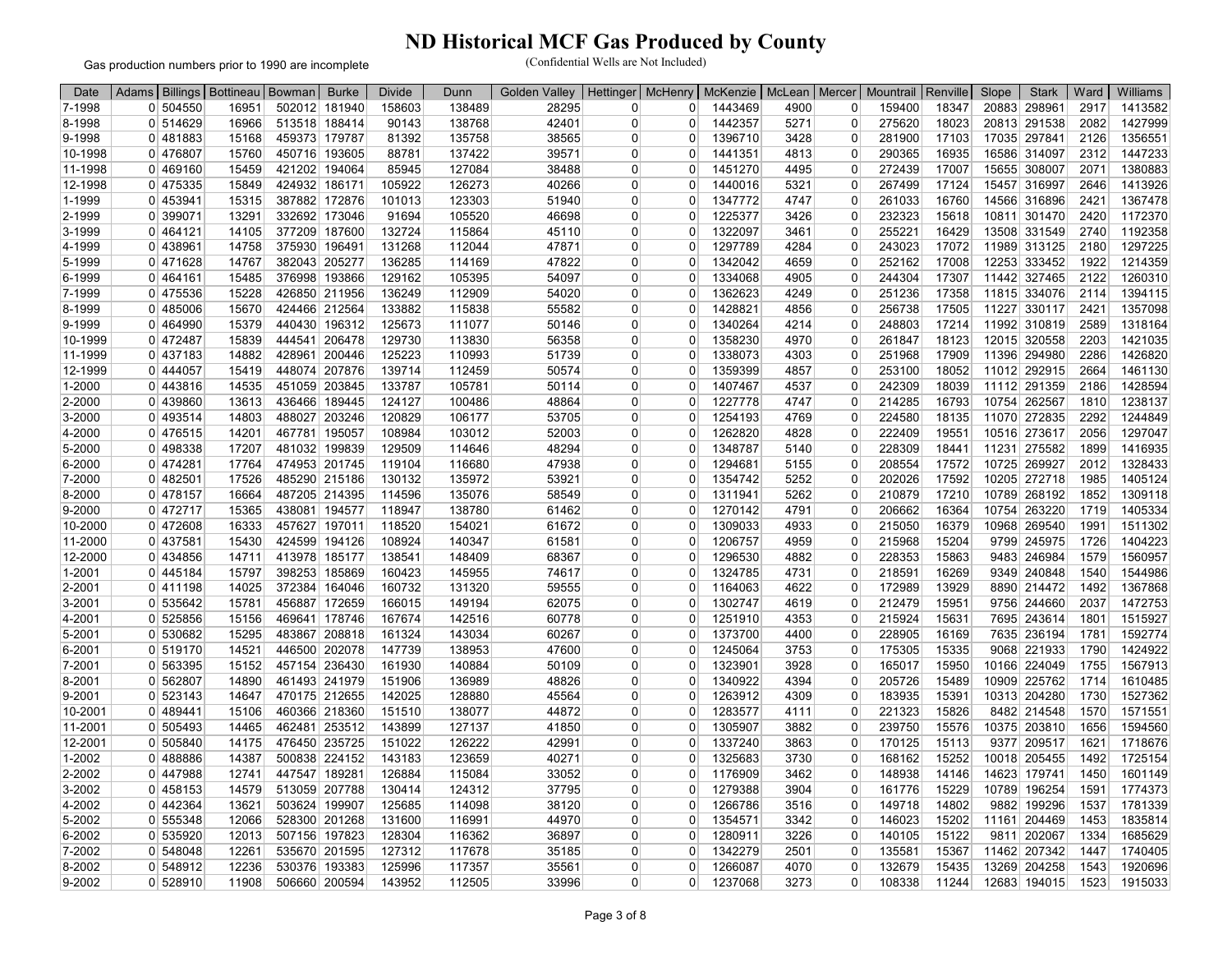Gas production numbers prior to 1990 are incomplete

| Date    | Adams               | Billings   Bottineau | Bowman | <b>Burke</b>                   | <b>Divide</b> | Dunn   | <b>Golden Valley</b> | Hettinger   | <b>McHenry</b> | <b>McKenzie</b> | McLean | Mercer                     | Mountrail | Renville       | Slope | <b>Stark</b> | Ward         | Williams           |
|---------|---------------------|----------------------|--------|--------------------------------|---------------|--------|----------------------|-------------|----------------|-----------------|--------|----------------------------|-----------|----------------|-------|--------------|--------------|--------------------|
| 7-1998  | 0 504550            | 16951                |        | 502012 181940                  | 158603        | 138489 | 28295                | $\Omega$    | $\Omega$       | 1443469         | 4900   | 0                          | 159400    | 18347          | 20883 | 298961       | 2917         | 1413582            |
| 8-1998  | 0 514629            | 16966                |        | 513518 188414                  | 90143         | 138768 | 42401                | $\Omega$    | $\Omega$       | 1442357         | 5271   | $\overline{0}$             | 275620    | 18023          |       | 20813 291538 | 2082         | 1427999            |
| 9-1998  | 0 481883            | 15168                |        | 459373 179787                  | 81392         | 135758 | 38565                | 0           | $\mathbf 0$    | 1396710         | 3428   | $\overline{0}$             | 281900    | 17103          |       | 17035 297841 | 2126         | 1356551            |
| 10-1998 | 0 476807            | 15760                |        | 450716 193605                  | 88781         | 137422 | 39571                | 0           | $\Omega$       | 1441351         | 4813   | $\Omega$                   | 290365    | 16935          |       | 16586 314097 | 2312         | 1447233            |
| 11-1998 | 0 469160            | 15459                |        | 421202 194064                  | 85945         | 127084 | 38488                | 0           | 0              | 1451270         | 4495   | 0                          | 272439    | 17007          |       | 15655 308007 | 2071         | 1380883            |
| 12-1998 | 0 475335            | 15849                |        | 424932 186171                  | 105922        | 126273 | 40266                | 0           | $\Omega$       | 1440016         | 5321   | $\Omega$                   | 267499    | 17124          |       | 15457 316997 | 2646         | 1413926            |
| 1-1999  | 0 453941            | 15315                |        | 387882 172876                  | 101013        | 123303 | 51940                | $\Omega$    | $\Omega$       | 1347772         | 4747   | $\Omega$                   | 261033    | 16760          |       | 14566 316896 | 2421         | 1367478            |
| 2-1999  | 0 399071            | 13291                |        | 332692 173046                  | 91694         | 105520 | 46698                | 0           | 0              | 1225377         | 3426   | $\overline{0}$             | 232323    | 15618          |       | 10811 301470 | 2420         | 1172370            |
| 3-1999  | 0 464121            | 14105                |        | 377209 187600                  | 132724        | 115864 | 45110                | $\Omega$    | $\Omega$       | 1322097         | 3461   | $\Omega$                   | 255221    | 16429          | 13508 | 331549       | 2740         | 1192358            |
| 4-1999  | 0 438961            | 14758                |        | 375930 196491                  | 131268        | 112044 | 47871                | $\Omega$    | $\Omega$       | 1297789         | 4284   | $\Omega$                   | 243023    | 17072          |       | 11989 313125 | 2180         | 1297225            |
| 5-1999  | 0 471628            | 14767                |        | 382043 205277                  | 136285        | 114169 | 47822                | $\Omega$    | $\Omega$       | 1342042         | 4659   | $\Omega$                   | 252162    | 17008          |       | 12253 333452 | 1922         | 1214359            |
| 6-1999  | 0 464161            | 15485                |        | 376998 193866                  | 129162        | 105395 | 54097                | 0           | $\mathbf 0$    | 1334068         | 4905   | $\overline{0}$             | 244304    | 17307          |       | 11442 327465 | 2122         | 1260310            |
| 7-1999  | 0 475536            | 15228                |        | 426850 211956                  | 136249        | 112909 | 54020                | ŋ           | $\Omega$       | 1362623         | 4249   | 0                          | 251236    | 17358          |       | 11815 334076 | 2114         | 1394115            |
| 8-1999  | 0 485006            | 15670                |        | 424466 212564                  | 133882        | 115838 | 55582                | 0           | $\Omega$       | 1428821         | 4856   | $\Omega$                   | 256738    | 17505          |       | 11227 330117 | 2421         | 1357098            |
| 9-1999  | 0 464990            | 15379                |        | 440430 196312                  | 125673        | 111077 | 50146                | 0           | $\Omega$       | 1340264         | 4214   | $\Omega$                   | 248803    | 17214          |       | 11992 310819 | 2589         | 1318164            |
| 10-1999 | 0 472487            | 15839                |        | 444541 206478                  | 129730        | 113830 | 56358                | 0           | $\Omega$       | 1358230         | 4970   | $\overline{0}$             | 261847    | 18123          |       | 12015 320558 | 2203         | 1421035            |
| 11-1999 | 0 437183            | 14882                |        | 428961 200446                  | 125223        | 110993 | 51739                | $\Omega$    | $\Omega$       | 1338073         | 4303   | $\Omega$                   | 251968    | 17909          |       | 11396 294980 | 2286         | 1426820            |
| 12-1999 | 0 444057            | 15419                |        | 448074 207876                  | 139714        | 112459 | 50574                | 0           | $\mathbf 0$    | 1359399         | 4857   | $\Omega$                   | 253100    | 18052          |       | 11012 292915 | 2664         | 1461130            |
| 1-2000  | $0$ 443816          | 14535                |        | 451059 203845                  | 133787        | 105781 | 50114                | $\Omega$    | $\Omega$       | 1407467         | 4537   | $\overline{0}$             | 242309    | 18039          |       | 11112 291359 | 2186         | 1428594            |
| 2-2000  | 0 439860            | 13613                |        | 436466 189445                  | 124127        | 100486 | 48864                | 0           | $\Omega$       | 1227778         | 4747   | $\Omega$                   | 214285    | 16793          |       | 10754 262567 | 1810         | 1238137            |
| 3-2000  | 0 493514            | 14803                |        | 488027 203246                  | 120829        | 106177 | 53705                | 0           | 0              | 1254193         | 4769   | 0                          | 224580    | 18135          |       | 11070 272835 | 2292         | 1244849            |
| 4-2000  | $0$ 476515          | 14201                |        | 467781 195057                  | 108984        | 103012 | 52003                | $\Omega$    | $\Omega$       | 1262820         | 4828   | $\Omega$                   | 222409    | 19551          |       | 10516 273617 | 2056         | 1297047            |
| 5-2000  | 0 498338            | 17207                |        | 481032 199839                  | 129509        | 114646 | 48294                | $\mathbf 0$ | $\Omega$       | 1348787         | 5140   | $\Omega$                   | 228309    | 18441          |       | 11231 275582 | 1899         | 1416935            |
|         |                     |                      |        |                                |               |        |                      |             | $\Omega$       |                 |        | $\mathbf 0$                |           |                |       |              |              |                    |
| 6-2000  | 0474281<br>0 482501 | 17764<br>17526       |        | 474953 201745<br>485290 215186 | 119104        | 116680 | 47938                | 0<br>0      | $\Omega$       | 1294681         | 5155   | $\Omega$                   | 208554    | 17572<br>17592 |       | 10725 269927 | 2012<br>1985 | 1328433<br>1405124 |
| 7-2000  |                     |                      |        |                                | 130132        | 135972 | 53921                |             |                | 1354742         | 5252   |                            | 202026    |                |       | 10205 272718 |              |                    |
| 8-2000  | 0 478157            | 16664                |        | 487205 214395                  | 114596        | 135076 | 58549                | 0           | $\mathbf 0$    | 1311941         | 5262   | $\overline{0}$<br>$\Omega$ | 210879    | 17210          |       | 10789 268192 | 1852         | 1309118            |
| 9-2000  | 0 472717            | 15365                |        | 438081 194577                  | 118947        | 138780 | 61462                | $\Omega$    | $\Omega$       | 1270142         | 4791   |                            | 206662    | 16364          |       | 10754 263220 | 1719         | 1405334            |
| 10-2000 | 0 472608            | 16333                |        | 457627 197011                  | 118520        | 154021 | 61672                | 0           | 0              | 1309033         | 4933   | $\Omega$                   | 215050    | 16379          |       | 10968 269540 | 1991         | 1511302            |
| 11-2000 | 0 437581            | 15430                |        | 424599 194126                  | 108924        | 140347 | 61581                | 0           | $\mathbf 0$    | 1206757         | 4959   | $\Omega$                   | 215968    | 15204          |       | 9799 245975  | 1726         | 1404223            |
| 12-2000 | 0 434856            | 14711                |        | 413978 185177                  | 138541        | 148409 | 68367                | $\Omega$    | $\Omega$       | 1296530         | 4882   | $\Omega$                   | 228353    | 15863          |       | 9483 246984  | 1579         | 1560957            |
| 1-2001  | 0 445184            | 15797                |        | 398253 185869                  | 160423        | 145955 | 74617                | 0           | 0              | 1324785         | 4731   | $\overline{0}$             | 218591    | 16269          | 9349  | 240848       | 1540         | 1544986            |
| 2-2001  | 0 411198            | 14025                |        | 372384 164046                  | 160732        | 131320 | 59555                | $\Omega$    | $\Omega$       | 1164063         | 4622   | $\Omega$                   | 172989    | 13929          |       | 8890 214472  | 1492         | 1367868            |
| 3-2001  | 0 535642            | 15781                |        | 456887 172659                  | 166015        | 149194 | 62075                | $\Omega$    | $\Omega$       | 1302747         | 4619   | $\Omega$                   | 212479    | 15951          |       | 9756 244660  | 2037         | 1472753            |
| 4-2001  | 0 525856            | 15156                |        | 469641 178746                  | 167674        | 142516 | 60778                | 0           | $\mathbf 0$    | 1251910         | 4353   | $\overline{0}$             | 215924    | 15631          |       | 7695 243614  | 1801         | 1515927            |
| 5-2001  | 0 530682            | 15295                |        | 483867 208818                  | 161324        | 143034 | 60267                | 0           | $\Omega$       | 1373700         | 4400   | $\overline{0}$             | 228905    | 16169          |       | 7635 236194  | 1781         | 1592774            |
| 6-2001  | 0 519170            | 14521                |        | 446500 202078                  | 147739        | 138953 | 47600                | 0           | $\Omega$       | 1245064         | 3753   | $\Omega$                   | 175305    | 15335          |       | 9068 221933  | 1790         | 1424922            |
| 7-2001  | 0 563395            | 15152                |        | 457154 236430                  | 161930        | 140884 | 50109                | $\Omega$    | $\Omega$       | 1323901         | 3928   | 0                          | 165017    | 15950          |       | 10166 224049 | 1755         | 1567913            |
| 8-2001  | 0 562807            | 14890                |        | 461493 241979                  | 151906        | 136989 | 48826                | 0           | $\mathbf 0$    | 1340922         | 4394   | $\overline{0}$             | 205726    | 15489          |       | 10909 225762 | 1714         | 1610485            |
| 9-2001  | 0 523143            | 14647                |        | 470175 212655                  | 142025        | 128880 | 45564                | 0           | 0              | 1263912         | 4309   | $\overline{0}$             | 183935    | 15391          |       | 10313 204280 | 1730         | 1527362            |
| 10-2001 | 0 489441            | 15106                |        | 460366 218360                  | 151510        | 138077 | 44872                | $\Omega$    | $\Omega$       | 1283577         | 4111   | $\Omega$                   | 221323    | 15826          |       | 8482 214548  | 1570         | 1571551            |
| 11-2001 | 0 505493            | 14465                |        | 462481 253512                  | 143899        | 127137 | 41850                | 0           | $\Omega$       | 1305907         | 3882   | $\Omega$                   | 239750    | 15576          |       | 10375 203810 | 1656         | 1594560            |
| 12-2001 | 0 505840            | 14175                |        | 476450 235725                  | 151022        | 126222 | 42991                | 0           | 0              | 1337240         | 3863   | $\overline{0}$             | 170125    | 15113          |       | 9377 209517  | 1621         | 1718676            |
| 1-2002  | 0 488886            | 14387                |        | 500838 224152                  | 143183        | 123659 | 40271                | 0           | $\Omega$       | 1325683         | 3730   | $\Omega$                   | 168162    | 15252          |       | 10018 205455 | 1492         | 1725154            |
| 2-2002  | 0 447988            | 12741                |        | 447547 189281                  | 126884        | 115084 | 33052                | 0           | 0              | 1176909         | 3462   | $\Omega$                   | 148938    | 14146          |       | 14623 179741 | 1450         | 1601149            |
| 3-2002  | $0$ 458153          | 14579                |        | 513059 207788                  | 130414        | 124312 | 37795                | $\Omega$    | $\Omega$       | 1279388         | 3904   | $\Omega$                   | 161776    | 15229          |       | 10789 196254 | 1591         | 1774373            |
| 4-2002  | 0 442364            | 13621                |        | 503624 199907                  | 125685        | 114098 | 38120                | 0           | $\Omega$       | 1266786         | 3516   | $\Omega$                   | 149718    | 14802          |       | 9882 199296  | 1537         | 1781339            |
| 5-2002  | 0 555348            | 12066                |        | 528300 201268                  | 131600        | 116991 | 44970                | $\Omega$    | $\Omega$       | 1354571         | 3342   | 0                          | 146023    | 15202          |       | 11161 204469 | 1453         | 1835814            |
| 6-2002  | 0 535920            | 12013                |        | 507156 197823                  | 128304        | 116362 | 36897                | $\Omega$    | $\Omega$       | 1280911         | 3226   | $\Omega$                   | 140105    | 15122          |       | 9811 202067  | 1334         | 1685629            |
| 7-2002  | 0 548048            | 12261                |        | 535670 201595                  | 127312        | 117678 | 35185                | 0           | $\Omega$       | 1342279         | 2501   | $\Omega$                   | 135581    | 15367          |       | 11462 207342 | 1447         | 1740405            |
| 8-2002  | 0 548912            | 12236                |        | 530376 193383                  | 125996        | 117357 | 35561                | 0           | $\Omega$       | 1266087         | 4070   | 0                          | 132679    | 15435          |       | 13269 204258 | 1543         | 1920696            |
| 9-2002  | 0 528910            | 11908                |        | 506660 200594                  | 143952        | 112505 | 33996                | 0           | $\Omega$       | 1237068         | 3273   | $\Omega$                   | 108338    | 11244          |       | 12683 194015 | 1523         | 1915033            |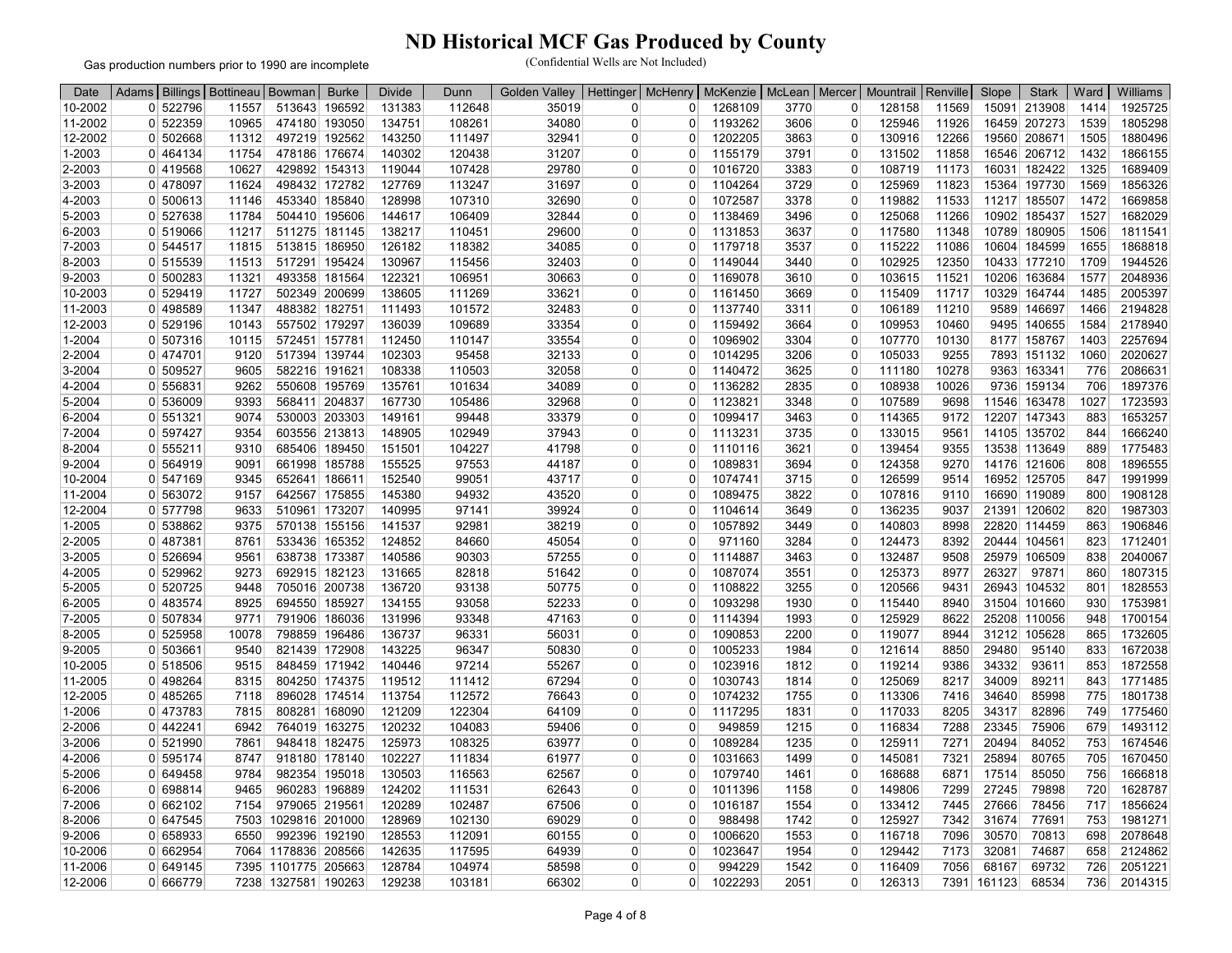Gas production numbers prior to 1990 are incomplete

| 10-2002<br>0 522796<br>513643 196592<br>131383<br>112648<br>35019<br>3770<br>128158<br>11569<br>15091 213908<br>1925725<br>11557<br>0<br>0<br>1268109<br>$\overline{0}$<br>1414<br>11-2002<br>34080<br>1193262<br>3606<br>1539<br>522359<br>10965<br>474180 193050<br>134751<br>108261<br>$\Omega$<br>$\Omega$<br>$\overline{0}$<br>125946<br>11926<br>16459 207273<br>1805298<br>$\Omega$<br>143250<br>3863<br>12266<br>19560 208671<br>1505<br>1880496<br>12-2002<br>0 502668<br>11312<br>497219 192562<br>111497<br>32941<br>$\Omega$<br>1202205<br>$\mathbf 0$<br>130916<br>0<br>140302<br>16546 206712<br>1-2003<br>0 464134<br>11754<br>478186 176674<br>120438<br>31207<br>$\mathbf 0$<br>1155179<br>3791<br>$\overline{0}$<br>131502<br>11858<br>1432<br>1866155<br>0<br>2-2003<br>10627<br>429892 154313<br>119044<br>107428<br>29780<br>1016720<br>3383<br>108719<br>11173<br>16031 182422<br>1325<br>1689409<br>0 419568<br>$\mathbf 0$<br>$\Omega$<br>0<br>3-2003<br>0 478097<br>498432 172782<br>127769<br>113247<br>31697<br>1104264<br>3729<br>$\mathbf 0$<br>125969<br>11823<br>15364 197730<br>1569<br>1856326<br>11624<br>$\Omega$<br>0<br>128998<br>32690<br>1072587<br>1669858<br>4-2003<br>0 500613<br>11146<br>453340 185840<br>107310<br>$\Omega$<br>3378<br>0<br>119882<br>11533<br>11217 185507<br>1472<br>O<br>1682029<br>5-2003<br>0 527638<br>504410 195606<br>144617<br>106409<br>32844<br>$\Omega$<br>1138469<br>$\Omega$<br>125068<br>11266<br>10902 185437<br>1527<br>11784<br>$\Omega$<br>3496<br>1811541<br>6-2003<br>0 519066<br>11217<br>511275 181145<br>138217<br>110451<br>29600<br>1131853<br>3637<br>$\Omega$<br>117580<br>11348<br>10789<br>180905<br>1506<br>0<br>$\Omega$<br>1868818<br>7-2003<br>0 544517<br>513815 186950<br>126182<br>118382<br>34085<br>1179718<br>3537<br>115222<br>11086<br>10604 184599<br>1655<br>11815<br>0<br>$\Omega$<br>0<br>8-2003<br>0 515539<br>11513<br>517291 195424<br>130967<br>115456<br>32403<br>$\Omega$<br>1149044<br>102925<br>12350<br>10433 177210<br>1709<br>1944526<br>3440<br>$\Omega$<br>0<br>122321<br>1169078<br>11521<br>2048936<br>9-2003<br>0 500283<br>11321<br>493358 181564<br>106951<br>30663<br>$\mathbf 0$<br>3610<br>$\mathbf 0$<br>103615<br>10206 163684<br>1577<br>0<br>10-2003<br>0 529419<br>502349 200699<br>138605<br>33621<br>1161450<br>115409<br>11717<br>10329 164744<br>1485<br>2005397<br>11727<br>111269<br>$\mathbf 0$<br>3669<br>$\mathbf 0$<br>O<br>11-2003<br>488382 182751<br>111493<br>32483<br>1137740<br>11210<br>9589 146697<br>2194828<br>$0$ 498589<br>11347<br>101572<br>3311<br>$\Omega$<br>106189<br>1466<br>$\Omega$<br>$\Omega$<br>0 529196<br>557502 179297<br>136039<br>109689<br>9495 140655<br>1584<br>2178940<br>12-2003<br>10143<br>33354<br>$\Omega$<br>1159492<br>3664<br>$\Omega$<br>109953<br>10460<br>0<br>1-2004<br>0 507316<br>10115<br>572451 157781<br>112450<br>110147<br>33554<br>1096902<br>3304<br>107770<br>10130<br>8177 158767<br>1403<br>2257694<br>0<br>$\Omega$<br>$\overline{0}$<br>2-2004<br>517394 139744<br>102303<br>95458<br>1014295<br>3206<br>9255<br>1060<br>2020627<br>0 474701<br>9120<br>32133<br>$\Omega$<br>$\mathbf 0$<br>105033<br>7893<br>151132<br>$\Omega$<br>0 509527<br>582216 191621<br>108338<br>32058<br>1140472<br>10278<br>9363<br>163341<br>2086631<br>3-2004<br>9605<br>110503<br>$\Omega$<br>3625<br>$\Omega$<br>111180<br>776<br>0<br>135761<br>1897376<br>4-2004<br>0 556831<br>9262<br>550608 195769<br>101634<br>34089<br>1136282<br>2835<br>$\mathbf 0$<br>108938<br>10026<br>9736 159134<br>706<br>0<br>0<br>568411 204837<br>1123821<br>1723593<br>5-2004<br>0 536009<br>9393<br>167730<br>105486<br>32968<br>$\Omega$<br>3348<br>$\Omega$<br>107589<br>9698<br>11546 163478<br>1027<br>0<br>33379<br>1653257<br>6-2004<br>0 551321<br>9074<br>530003 203303<br>149161<br>99448<br>1099417<br>3463<br>$\Omega$<br>114365<br>9172<br>12207 147343<br>883<br>0<br>$\Omega$<br>$7 - 2004$<br>0 597427<br>9354<br>603556 213813<br>148905<br>102949<br>37943<br>$\mathbf 0$<br>1113231<br>3735<br>0<br>133015<br>14105 135702<br>1666240<br>$\Omega$<br>9561<br>844<br>151501<br>104227<br>41798<br>1775483<br>8-2004<br>0 555211<br>9310<br>685406 189450<br>0<br>$\Omega$<br>1110116<br>3621<br>$\Omega$<br>139454<br>9355<br>13538 113649<br>889<br>155525<br>1896555<br>9-2004<br>564919<br>9091<br>661998 185788<br>97553<br>44187<br>$\Omega$<br>1089831<br>3694<br>$\Omega$<br>124358<br>9270<br>14176 121606<br>808<br>0<br>$\Omega$<br>10-2004<br>0 547169<br>652641 186611<br>152540<br>99051<br>43717<br>$\Omega$<br>1074741<br>3715<br>0<br>126599<br>9514<br>16952 125705<br>847<br>1991999<br>9345<br>O<br>145380<br>1908128<br>11-2004<br>0 563072<br>9157<br>642567 175855<br>94932<br>43520<br>$\Omega$<br>1089475<br>3822<br>107816<br>9110<br>16690<br>119089<br>800<br>$\Omega$<br>0<br>12-2004<br>0 577798<br>9633<br>510961 173207<br>140995<br>97141<br>39924<br>1104614<br>3649<br>$\Omega$<br>136235<br>9037<br>21391 120602<br>820<br>1987303<br>$\Omega$<br>0<br>1906846<br>1-2005<br>0 538862<br>9375<br>570138 155156<br>141537<br>38219<br>1057892<br>3449<br>140803<br>22820 114459<br>92981<br>$\Omega$<br>0<br>8998<br>863<br>O<br>124852<br>$\Omega$<br>971160<br>3284<br>$\Omega$<br>1712401<br>2-2005<br>0 487381<br>8761<br>533436 165352<br>84660<br>45054<br>$\Omega$<br>124473<br>8392<br>20444 104561<br>823<br>140586<br>90303<br>57255<br>2040067<br>3-2005<br>526694<br>9561<br>638738 173387<br>$\Omega$<br>1114887<br>3463<br>$\Omega$<br>132487<br>9508<br>25979<br>106509<br>838<br>0<br>$\Omega$<br>131665<br>1087074<br>8977<br>26327<br>1807315<br>4-2005<br>529962<br>9273<br>692915 182123<br>82818<br>51642<br>$\Omega$<br>3551<br>0<br>125373<br>97871<br>860<br>$\Omega$<br>O<br>$0$ 520725<br>9448<br>705016 200738<br>136720<br>1108822<br>3255<br>$\Omega$<br>120566<br>9431<br>26943<br>104532<br>801<br>1828553<br>5-2005<br>93138<br>50775<br>$\Omega$<br>$\Omega$<br>8925<br>694550 185927<br>134155<br>93058<br>52233<br>1093298<br>1930<br>8940<br>31504<br>101660<br>930<br>1753981<br>6-2005<br>0 483574<br>$\Omega$<br>$\Omega$<br>115440<br>0<br>7-2005<br>0 507834<br>791906 186036<br>131996<br>93348<br>47163<br>1114394<br>1993<br>125929<br>8622<br>25208 110056<br>1700154<br>9771<br>$\Omega$<br>$\Omega$<br>948<br>0<br>1732605<br>136737<br>56031<br>1090853<br>2200<br>119077<br>31212 105628<br>8-2005<br>0 525958<br>10078<br>798859 196486<br>96331<br>$\Omega$<br>$\Omega$<br>8944<br>865<br>0<br>143225<br>1672038<br>9-2005<br>0 503661<br>9540<br>821439 172908<br>96347<br>50830<br>$\Omega$<br>1005233<br>1984<br>$\Omega$<br>121614<br>8850<br>29480<br>95140<br>833<br>0<br>10-2005<br>0 518506<br>848459 171942<br>140446<br>97214<br>55267<br>$\Omega$<br>1023916<br>1812<br>119214<br>9386<br>34332<br>93611<br>853<br>1872558<br>9515<br>$\Omega$<br>$\Omega$<br>89211<br>1771485<br>11-2005<br>0 498264<br>8315<br>804250 174375<br>119512<br>111412<br>67294<br>$\Omega$<br>1030743<br>1814<br>$\mathbf 0$<br>125069<br>8217<br>34009<br>843<br>$\Omega$<br>1074232<br>1801738<br>12-2005<br>$0$ 485265<br>7118<br>896028 174514<br>113754<br>112572<br>76643<br>$\Omega$<br>1755<br>$\mathbf 0$<br>113306<br>7416<br>34640<br>85998<br>775<br>$\Omega$<br>121209<br>122304<br>1117295<br>34317<br>82896<br>1775460<br>1-2006<br>0 473783<br>808281<br>168090<br>64109<br>$\Omega$<br>1831<br>117033<br>8205<br>749<br>7815<br>$\Omega$<br>0<br>0 442241<br>6942<br>764019 163275<br>120232<br>104083<br>59406<br>949859<br>116834<br>7288<br>23345<br>75906<br>1493112<br>2-2006<br>$\Omega$<br>1215<br>$\Omega$<br>679<br>0<br>125973<br>20494<br>1674546<br>3-2006<br>0 521990<br>7861<br>948418 182475<br>108325<br>63977<br>1089284<br>1235<br>125911<br>7271<br>84052<br>753<br>0<br>$\overline{0}$<br>0<br>102227<br>0 595174<br>918180 178140<br>111834<br>1031663<br>1499<br>$\Omega$<br>145081<br>7321<br>25894<br>80765<br>1670450<br>4-2006<br>8747<br>61977<br>$\Omega$<br>705<br>0<br>9784<br>982354 195018<br>130503<br>116563<br>62567<br>1079740<br>6871<br>17514<br>85050<br>756<br>1666818<br>5-2006<br>649458<br>$\Omega$<br>$\Omega$<br>1461<br>$\Omega$<br>168688<br>$\Omega$<br>6-2006<br>0 698814<br>960283 196889<br>124202<br>111531<br>62643<br>1011396<br>$\overline{0}$<br>149806<br>7299<br>27245<br>79898<br>720<br>1628787<br>9465<br>0<br>$\Omega$<br>1158<br>0 662102<br>7154<br>979065 219561<br>120289<br>102487<br>$\Omega$<br>1016187<br>133412<br>7445<br>27666<br>78456<br>717<br>1856624<br>7-2006<br>67506<br>$\Omega$<br>1554<br>$\Omega$<br>1029816 201000<br>128969<br>102130<br>69029<br>$\Omega$<br>988498<br>1742<br>125927<br>31674<br>77691<br>753<br>1981271<br>8-2006<br>0 647545<br>7503<br>$\Omega$<br>7342<br>0<br>992396 192190<br>128553<br>30570<br>70813<br>2078648<br>9-2006<br>0 658933<br>6550<br>112091<br>60155<br>$\Omega$<br>1006620<br>1553<br>$\Omega$<br>116718<br>7096<br>698<br>0<br>10-2006<br>0 662954<br>1178836 208566<br>142635<br>117595<br>64939<br>1023647<br>1954<br>129442<br>32081<br>74687<br>2124862<br>7064<br>$\mathbf 0$<br>$\Omega$<br>7173<br>658<br>0 | Date |  | Adams   Billings   Bottineau   Bowman | <b>Burke</b> | <b>Divide</b> | Dunn | <b>Golden Valley</b> | Hettinger | <b>McHenry</b> | McKenzie | McLean   Mercer | Mountrail   Renville | Slope | <b>Stark</b> | Ward | Williams |
|----------------------------------------------------------------------------------------------------------------------------------------------------------------------------------------------------------------------------------------------------------------------------------------------------------------------------------------------------------------------------------------------------------------------------------------------------------------------------------------------------------------------------------------------------------------------------------------------------------------------------------------------------------------------------------------------------------------------------------------------------------------------------------------------------------------------------------------------------------------------------------------------------------------------------------------------------------------------------------------------------------------------------------------------------------------------------------------------------------------------------------------------------------------------------------------------------------------------------------------------------------------------------------------------------------------------------------------------------------------------------------------------------------------------------------------------------------------------------------------------------------------------------------------------------------------------------------------------------------------------------------------------------------------------------------------------------------------------------------------------------------------------------------------------------------------------------------------------------------------------------------------------------------------------------------------------------------------------------------------------------------------------------------------------------------------------------------------------------------------------------------------------------------------------------------------------------------------------------------------------------------------------------------------------------------------------------------------------------------------------------------------------------------------------------------------------------------------------------------------------------------------------------------------------------------------------------------------------------------------------------------------------------------------------------------------------------------------------------------------------------------------------------------------------------------------------------------------------------------------------------------------------------------------------------------------------------------------------------------------------------------------------------------------------------------------------------------------------------------------------------------------------------------------------------------------------------------------------------------------------------------------------------------------------------------------------------------------------------------------------------------------------------------------------------------------------------------------------------------------------------------------------------------------------------------------------------------------------------------------------------------------------------------------------------------------------------------------------------------------------------------------------------------------------------------------------------------------------------------------------------------------------------------------------------------------------------------------------------------------------------------------------------------------------------------------------------------------------------------------------------------------------------------------------------------------------------------------------------------------------------------------------------------------------------------------------------------------------------------------------------------------------------------------------------------------------------------------------------------------------------------------------------------------------------------------------------------------------------------------------------------------------------------------------------------------------------------------------------------------------------------------------------------------------------------------------------------------------------------------------------------------------------------------------------------------------------------------------------------------------------------------------------------------------------------------------------------------------------------------------------------------------------------------------------------------------------------------------------------------------------------------------------------------------------------------------------------------------------------------------------------------------------------------------------------------------------------------------------------------------------------------------------------------------------------------------------------------------------------------------------------------------------------------------------------------------------------------------------------------------------------------------------------------------------------------------------------------------------------------------------------------------------------------------------------------------------------------------------------------------------------------------------------------------------------------------------------------------------------------------------------------------------------------------------------------------------------------------------------------------------------------------------------------------------------------------------------------------------------------------------------------------------------------------------------------------------------------------------------------------------------------------------------------------------------------------------------------------------------------------------------------------------------------------------------------------------------------------------------------------------------------------------------------------------------------------------------------------------------------------------------------------------------------------------------------------------------------------------------------------------------------------------------------------------------------------------------------------------------------------------------------------------------------------------------------------------------------------------------------------------------------------------------------------------------------------------------------------------------------------------------------------------------------------------------------------------------------------------------------------------------------------------------------------------------------------------------------------------------------------------------------------------------------------------------------------------------------------------------------------------------------------------------------------------------------------------------------------------------------------------------------------------------------------------------------------------------------------------------------------------------------------------------------------------------------------------------------------------------------------------------------------------------------------------------------------------------------------------------------------------------------------------------------------------------------------------------------------------------------------------------------------------------------------------------------------------------------------------------------------------------------------------------------------------------------------------------------------------------------------------------------------------------------------------------------------------------------------------------------------------------------------------------------------------------------------------------------------------------------------------------------------------------------------------------------------------------------------------------------------------------------------------------------------------------------------------------------------------------------------------------------------------------------------------------------------------------------------------------------------|------|--|---------------------------------------|--------------|---------------|------|----------------------|-----------|----------------|----------|-----------------|----------------------|-------|--------------|------|----------|
|                                                                                                                                                                                                                                                                                                                                                                                                                                                                                                                                                                                                                                                                                                                                                                                                                                                                                                                                                                                                                                                                                                                                                                                                                                                                                                                                                                                                                                                                                                                                                                                                                                                                                                                                                                                                                                                                                                                                                                                                                                                                                                                                                                                                                                                                                                                                                                                                                                                                                                                                                                                                                                                                                                                                                                                                                                                                                                                                                                                                                                                                                                                                                                                                                                                                                                                                                                                                                                                                                                                                                                                                                                                                                                                                                                                                                                                                                                                                                                                                                                                                                                                                                                                                                                                                                                                                                                                                                                                                                                                                                                                                                                                                                                                                                                                                                                                                                                                                                                                                                                                                                                                                                                                                                                                                                                                                                                                                                                                                                                                                                                                                                                                                                                                                                                                                                                                                                                                                                                                                                                                                                                                                                                                                                                                                                                                                                                                                                                                                                                                                                                                                                                                                                                                                                                                                                                                                                                                                                                                                                                                                                                                                                                                                                                                                                                                                                                                                                                                                                                                                                                                                                                                                                                                                                                                                                                                                                                                                                                                                                                                                                                                                                                                                                                                                                                                                                                                                                                                                                                                                                                                                                                                                                                                                                                                                                                                                                                                                                                                                                                                                                                                                                                                                                                              |      |  |                                       |              |               |      |                      |           |                |          |                 |                      |       |              |      |          |
|                                                                                                                                                                                                                                                                                                                                                                                                                                                                                                                                                                                                                                                                                                                                                                                                                                                                                                                                                                                                                                                                                                                                                                                                                                                                                                                                                                                                                                                                                                                                                                                                                                                                                                                                                                                                                                                                                                                                                                                                                                                                                                                                                                                                                                                                                                                                                                                                                                                                                                                                                                                                                                                                                                                                                                                                                                                                                                                                                                                                                                                                                                                                                                                                                                                                                                                                                                                                                                                                                                                                                                                                                                                                                                                                                                                                                                                                                                                                                                                                                                                                                                                                                                                                                                                                                                                                                                                                                                                                                                                                                                                                                                                                                                                                                                                                                                                                                                                                                                                                                                                                                                                                                                                                                                                                                                                                                                                                                                                                                                                                                                                                                                                                                                                                                                                                                                                                                                                                                                                                                                                                                                                                                                                                                                                                                                                                                                                                                                                                                                                                                                                                                                                                                                                                                                                                                                                                                                                                                                                                                                                                                                                                                                                                                                                                                                                                                                                                                                                                                                                                                                                                                                                                                                                                                                                                                                                                                                                                                                                                                                                                                                                                                                                                                                                                                                                                                                                                                                                                                                                                                                                                                                                                                                                                                                                                                                                                                                                                                                                                                                                                                                                                                                                                                                              |      |  |                                       |              |               |      |                      |           |                |          |                 |                      |       |              |      |          |
|                                                                                                                                                                                                                                                                                                                                                                                                                                                                                                                                                                                                                                                                                                                                                                                                                                                                                                                                                                                                                                                                                                                                                                                                                                                                                                                                                                                                                                                                                                                                                                                                                                                                                                                                                                                                                                                                                                                                                                                                                                                                                                                                                                                                                                                                                                                                                                                                                                                                                                                                                                                                                                                                                                                                                                                                                                                                                                                                                                                                                                                                                                                                                                                                                                                                                                                                                                                                                                                                                                                                                                                                                                                                                                                                                                                                                                                                                                                                                                                                                                                                                                                                                                                                                                                                                                                                                                                                                                                                                                                                                                                                                                                                                                                                                                                                                                                                                                                                                                                                                                                                                                                                                                                                                                                                                                                                                                                                                                                                                                                                                                                                                                                                                                                                                                                                                                                                                                                                                                                                                                                                                                                                                                                                                                                                                                                                                                                                                                                                                                                                                                                                                                                                                                                                                                                                                                                                                                                                                                                                                                                                                                                                                                                                                                                                                                                                                                                                                                                                                                                                                                                                                                                                                                                                                                                                                                                                                                                                                                                                                                                                                                                                                                                                                                                                                                                                                                                                                                                                                                                                                                                                                                                                                                                                                                                                                                                                                                                                                                                                                                                                                                                                                                                                                                              |      |  |                                       |              |               |      |                      |           |                |          |                 |                      |       |              |      |          |
|                                                                                                                                                                                                                                                                                                                                                                                                                                                                                                                                                                                                                                                                                                                                                                                                                                                                                                                                                                                                                                                                                                                                                                                                                                                                                                                                                                                                                                                                                                                                                                                                                                                                                                                                                                                                                                                                                                                                                                                                                                                                                                                                                                                                                                                                                                                                                                                                                                                                                                                                                                                                                                                                                                                                                                                                                                                                                                                                                                                                                                                                                                                                                                                                                                                                                                                                                                                                                                                                                                                                                                                                                                                                                                                                                                                                                                                                                                                                                                                                                                                                                                                                                                                                                                                                                                                                                                                                                                                                                                                                                                                                                                                                                                                                                                                                                                                                                                                                                                                                                                                                                                                                                                                                                                                                                                                                                                                                                                                                                                                                                                                                                                                                                                                                                                                                                                                                                                                                                                                                                                                                                                                                                                                                                                                                                                                                                                                                                                                                                                                                                                                                                                                                                                                                                                                                                                                                                                                                                                                                                                                                                                                                                                                                                                                                                                                                                                                                                                                                                                                                                                                                                                                                                                                                                                                                                                                                                                                                                                                                                                                                                                                                                                                                                                                                                                                                                                                                                                                                                                                                                                                                                                                                                                                                                                                                                                                                                                                                                                                                                                                                                                                                                                                                                                              |      |  |                                       |              |               |      |                      |           |                |          |                 |                      |       |              |      |          |
|                                                                                                                                                                                                                                                                                                                                                                                                                                                                                                                                                                                                                                                                                                                                                                                                                                                                                                                                                                                                                                                                                                                                                                                                                                                                                                                                                                                                                                                                                                                                                                                                                                                                                                                                                                                                                                                                                                                                                                                                                                                                                                                                                                                                                                                                                                                                                                                                                                                                                                                                                                                                                                                                                                                                                                                                                                                                                                                                                                                                                                                                                                                                                                                                                                                                                                                                                                                                                                                                                                                                                                                                                                                                                                                                                                                                                                                                                                                                                                                                                                                                                                                                                                                                                                                                                                                                                                                                                                                                                                                                                                                                                                                                                                                                                                                                                                                                                                                                                                                                                                                                                                                                                                                                                                                                                                                                                                                                                                                                                                                                                                                                                                                                                                                                                                                                                                                                                                                                                                                                                                                                                                                                                                                                                                                                                                                                                                                                                                                                                                                                                                                                                                                                                                                                                                                                                                                                                                                                                                                                                                                                                                                                                                                                                                                                                                                                                                                                                                                                                                                                                                                                                                                                                                                                                                                                                                                                                                                                                                                                                                                                                                                                                                                                                                                                                                                                                                                                                                                                                                                                                                                                                                                                                                                                                                                                                                                                                                                                                                                                                                                                                                                                                                                                                                              |      |  |                                       |              |               |      |                      |           |                |          |                 |                      |       |              |      |          |
|                                                                                                                                                                                                                                                                                                                                                                                                                                                                                                                                                                                                                                                                                                                                                                                                                                                                                                                                                                                                                                                                                                                                                                                                                                                                                                                                                                                                                                                                                                                                                                                                                                                                                                                                                                                                                                                                                                                                                                                                                                                                                                                                                                                                                                                                                                                                                                                                                                                                                                                                                                                                                                                                                                                                                                                                                                                                                                                                                                                                                                                                                                                                                                                                                                                                                                                                                                                                                                                                                                                                                                                                                                                                                                                                                                                                                                                                                                                                                                                                                                                                                                                                                                                                                                                                                                                                                                                                                                                                                                                                                                                                                                                                                                                                                                                                                                                                                                                                                                                                                                                                                                                                                                                                                                                                                                                                                                                                                                                                                                                                                                                                                                                                                                                                                                                                                                                                                                                                                                                                                                                                                                                                                                                                                                                                                                                                                                                                                                                                                                                                                                                                                                                                                                                                                                                                                                                                                                                                                                                                                                                                                                                                                                                                                                                                                                                                                                                                                                                                                                                                                                                                                                                                                                                                                                                                                                                                                                                                                                                                                                                                                                                                                                                                                                                                                                                                                                                                                                                                                                                                                                                                                                                                                                                                                                                                                                                                                                                                                                                                                                                                                                                                                                                                                                              |      |  |                                       |              |               |      |                      |           |                |          |                 |                      |       |              |      |          |
|                                                                                                                                                                                                                                                                                                                                                                                                                                                                                                                                                                                                                                                                                                                                                                                                                                                                                                                                                                                                                                                                                                                                                                                                                                                                                                                                                                                                                                                                                                                                                                                                                                                                                                                                                                                                                                                                                                                                                                                                                                                                                                                                                                                                                                                                                                                                                                                                                                                                                                                                                                                                                                                                                                                                                                                                                                                                                                                                                                                                                                                                                                                                                                                                                                                                                                                                                                                                                                                                                                                                                                                                                                                                                                                                                                                                                                                                                                                                                                                                                                                                                                                                                                                                                                                                                                                                                                                                                                                                                                                                                                                                                                                                                                                                                                                                                                                                                                                                                                                                                                                                                                                                                                                                                                                                                                                                                                                                                                                                                                                                                                                                                                                                                                                                                                                                                                                                                                                                                                                                                                                                                                                                                                                                                                                                                                                                                                                                                                                                                                                                                                                                                                                                                                                                                                                                                                                                                                                                                                                                                                                                                                                                                                                                                                                                                                                                                                                                                                                                                                                                                                                                                                                                                                                                                                                                                                                                                                                                                                                                                                                                                                                                                                                                                                                                                                                                                                                                                                                                                                                                                                                                                                                                                                                                                                                                                                                                                                                                                                                                                                                                                                                                                                                                                                              |      |  |                                       |              |               |      |                      |           |                |          |                 |                      |       |              |      |          |
|                                                                                                                                                                                                                                                                                                                                                                                                                                                                                                                                                                                                                                                                                                                                                                                                                                                                                                                                                                                                                                                                                                                                                                                                                                                                                                                                                                                                                                                                                                                                                                                                                                                                                                                                                                                                                                                                                                                                                                                                                                                                                                                                                                                                                                                                                                                                                                                                                                                                                                                                                                                                                                                                                                                                                                                                                                                                                                                                                                                                                                                                                                                                                                                                                                                                                                                                                                                                                                                                                                                                                                                                                                                                                                                                                                                                                                                                                                                                                                                                                                                                                                                                                                                                                                                                                                                                                                                                                                                                                                                                                                                                                                                                                                                                                                                                                                                                                                                                                                                                                                                                                                                                                                                                                                                                                                                                                                                                                                                                                                                                                                                                                                                                                                                                                                                                                                                                                                                                                                                                                                                                                                                                                                                                                                                                                                                                                                                                                                                                                                                                                                                                                                                                                                                                                                                                                                                                                                                                                                                                                                                                                                                                                                                                                                                                                                                                                                                                                                                                                                                                                                                                                                                                                                                                                                                                                                                                                                                                                                                                                                                                                                                                                                                                                                                                                                                                                                                                                                                                                                                                                                                                                                                                                                                                                                                                                                                                                                                                                                                                                                                                                                                                                                                                                                              |      |  |                                       |              |               |      |                      |           |                |          |                 |                      |       |              |      |          |
|                                                                                                                                                                                                                                                                                                                                                                                                                                                                                                                                                                                                                                                                                                                                                                                                                                                                                                                                                                                                                                                                                                                                                                                                                                                                                                                                                                                                                                                                                                                                                                                                                                                                                                                                                                                                                                                                                                                                                                                                                                                                                                                                                                                                                                                                                                                                                                                                                                                                                                                                                                                                                                                                                                                                                                                                                                                                                                                                                                                                                                                                                                                                                                                                                                                                                                                                                                                                                                                                                                                                                                                                                                                                                                                                                                                                                                                                                                                                                                                                                                                                                                                                                                                                                                                                                                                                                                                                                                                                                                                                                                                                                                                                                                                                                                                                                                                                                                                                                                                                                                                                                                                                                                                                                                                                                                                                                                                                                                                                                                                                                                                                                                                                                                                                                                                                                                                                                                                                                                                                                                                                                                                                                                                                                                                                                                                                                                                                                                                                                                                                                                                                                                                                                                                                                                                                                                                                                                                                                                                                                                                                                                                                                                                                                                                                                                                                                                                                                                                                                                                                                                                                                                                                                                                                                                                                                                                                                                                                                                                                                                                                                                                                                                                                                                                                                                                                                                                                                                                                                                                                                                                                                                                                                                                                                                                                                                                                                                                                                                                                                                                                                                                                                                                                                                              |      |  |                                       |              |               |      |                      |           |                |          |                 |                      |       |              |      |          |
|                                                                                                                                                                                                                                                                                                                                                                                                                                                                                                                                                                                                                                                                                                                                                                                                                                                                                                                                                                                                                                                                                                                                                                                                                                                                                                                                                                                                                                                                                                                                                                                                                                                                                                                                                                                                                                                                                                                                                                                                                                                                                                                                                                                                                                                                                                                                                                                                                                                                                                                                                                                                                                                                                                                                                                                                                                                                                                                                                                                                                                                                                                                                                                                                                                                                                                                                                                                                                                                                                                                                                                                                                                                                                                                                                                                                                                                                                                                                                                                                                                                                                                                                                                                                                                                                                                                                                                                                                                                                                                                                                                                                                                                                                                                                                                                                                                                                                                                                                                                                                                                                                                                                                                                                                                                                                                                                                                                                                                                                                                                                                                                                                                                                                                                                                                                                                                                                                                                                                                                                                                                                                                                                                                                                                                                                                                                                                                                                                                                                                                                                                                                                                                                                                                                                                                                                                                                                                                                                                                                                                                                                                                                                                                                                                                                                                                                                                                                                                                                                                                                                                                                                                                                                                                                                                                                                                                                                                                                                                                                                                                                                                                                                                                                                                                                                                                                                                                                                                                                                                                                                                                                                                                                                                                                                                                                                                                                                                                                                                                                                                                                                                                                                                                                                                                              |      |  |                                       |              |               |      |                      |           |                |          |                 |                      |       |              |      |          |
|                                                                                                                                                                                                                                                                                                                                                                                                                                                                                                                                                                                                                                                                                                                                                                                                                                                                                                                                                                                                                                                                                                                                                                                                                                                                                                                                                                                                                                                                                                                                                                                                                                                                                                                                                                                                                                                                                                                                                                                                                                                                                                                                                                                                                                                                                                                                                                                                                                                                                                                                                                                                                                                                                                                                                                                                                                                                                                                                                                                                                                                                                                                                                                                                                                                                                                                                                                                                                                                                                                                                                                                                                                                                                                                                                                                                                                                                                                                                                                                                                                                                                                                                                                                                                                                                                                                                                                                                                                                                                                                                                                                                                                                                                                                                                                                                                                                                                                                                                                                                                                                                                                                                                                                                                                                                                                                                                                                                                                                                                                                                                                                                                                                                                                                                                                                                                                                                                                                                                                                                                                                                                                                                                                                                                                                                                                                                                                                                                                                                                                                                                                                                                                                                                                                                                                                                                                                                                                                                                                                                                                                                                                                                                                                                                                                                                                                                                                                                                                                                                                                                                                                                                                                                                                                                                                                                                                                                                                                                                                                                                                                                                                                                                                                                                                                                                                                                                                                                                                                                                                                                                                                                                                                                                                                                                                                                                                                                                                                                                                                                                                                                                                                                                                                                                                              |      |  |                                       |              |               |      |                      |           |                |          |                 |                      |       |              |      |          |
|                                                                                                                                                                                                                                                                                                                                                                                                                                                                                                                                                                                                                                                                                                                                                                                                                                                                                                                                                                                                                                                                                                                                                                                                                                                                                                                                                                                                                                                                                                                                                                                                                                                                                                                                                                                                                                                                                                                                                                                                                                                                                                                                                                                                                                                                                                                                                                                                                                                                                                                                                                                                                                                                                                                                                                                                                                                                                                                                                                                                                                                                                                                                                                                                                                                                                                                                                                                                                                                                                                                                                                                                                                                                                                                                                                                                                                                                                                                                                                                                                                                                                                                                                                                                                                                                                                                                                                                                                                                                                                                                                                                                                                                                                                                                                                                                                                                                                                                                                                                                                                                                                                                                                                                                                                                                                                                                                                                                                                                                                                                                                                                                                                                                                                                                                                                                                                                                                                                                                                                                                                                                                                                                                                                                                                                                                                                                                                                                                                                                                                                                                                                                                                                                                                                                                                                                                                                                                                                                                                                                                                                                                                                                                                                                                                                                                                                                                                                                                                                                                                                                                                                                                                                                                                                                                                                                                                                                                                                                                                                                                                                                                                                                                                                                                                                                                                                                                                                                                                                                                                                                                                                                                                                                                                                                                                                                                                                                                                                                                                                                                                                                                                                                                                                                                                              |      |  |                                       |              |               |      |                      |           |                |          |                 |                      |       |              |      |          |
|                                                                                                                                                                                                                                                                                                                                                                                                                                                                                                                                                                                                                                                                                                                                                                                                                                                                                                                                                                                                                                                                                                                                                                                                                                                                                                                                                                                                                                                                                                                                                                                                                                                                                                                                                                                                                                                                                                                                                                                                                                                                                                                                                                                                                                                                                                                                                                                                                                                                                                                                                                                                                                                                                                                                                                                                                                                                                                                                                                                                                                                                                                                                                                                                                                                                                                                                                                                                                                                                                                                                                                                                                                                                                                                                                                                                                                                                                                                                                                                                                                                                                                                                                                                                                                                                                                                                                                                                                                                                                                                                                                                                                                                                                                                                                                                                                                                                                                                                                                                                                                                                                                                                                                                                                                                                                                                                                                                                                                                                                                                                                                                                                                                                                                                                                                                                                                                                                                                                                                                                                                                                                                                                                                                                                                                                                                                                                                                                                                                                                                                                                                                                                                                                                                                                                                                                                                                                                                                                                                                                                                                                                                                                                                                                                                                                                                                                                                                                                                                                                                                                                                                                                                                                                                                                                                                                                                                                                                                                                                                                                                                                                                                                                                                                                                                                                                                                                                                                                                                                                                                                                                                                                                                                                                                                                                                                                                                                                                                                                                                                                                                                                                                                                                                                                                              |      |  |                                       |              |               |      |                      |           |                |          |                 |                      |       |              |      |          |
|                                                                                                                                                                                                                                                                                                                                                                                                                                                                                                                                                                                                                                                                                                                                                                                                                                                                                                                                                                                                                                                                                                                                                                                                                                                                                                                                                                                                                                                                                                                                                                                                                                                                                                                                                                                                                                                                                                                                                                                                                                                                                                                                                                                                                                                                                                                                                                                                                                                                                                                                                                                                                                                                                                                                                                                                                                                                                                                                                                                                                                                                                                                                                                                                                                                                                                                                                                                                                                                                                                                                                                                                                                                                                                                                                                                                                                                                                                                                                                                                                                                                                                                                                                                                                                                                                                                                                                                                                                                                                                                                                                                                                                                                                                                                                                                                                                                                                                                                                                                                                                                                                                                                                                                                                                                                                                                                                                                                                                                                                                                                                                                                                                                                                                                                                                                                                                                                                                                                                                                                                                                                                                                                                                                                                                                                                                                                                                                                                                                                                                                                                                                                                                                                                                                                                                                                                                                                                                                                                                                                                                                                                                                                                                                                                                                                                                                                                                                                                                                                                                                                                                                                                                                                                                                                                                                                                                                                                                                                                                                                                                                                                                                                                                                                                                                                                                                                                                                                                                                                                                                                                                                                                                                                                                                                                                                                                                                                                                                                                                                                                                                                                                                                                                                                                                              |      |  |                                       |              |               |      |                      |           |                |          |                 |                      |       |              |      |          |
|                                                                                                                                                                                                                                                                                                                                                                                                                                                                                                                                                                                                                                                                                                                                                                                                                                                                                                                                                                                                                                                                                                                                                                                                                                                                                                                                                                                                                                                                                                                                                                                                                                                                                                                                                                                                                                                                                                                                                                                                                                                                                                                                                                                                                                                                                                                                                                                                                                                                                                                                                                                                                                                                                                                                                                                                                                                                                                                                                                                                                                                                                                                                                                                                                                                                                                                                                                                                                                                                                                                                                                                                                                                                                                                                                                                                                                                                                                                                                                                                                                                                                                                                                                                                                                                                                                                                                                                                                                                                                                                                                                                                                                                                                                                                                                                                                                                                                                                                                                                                                                                                                                                                                                                                                                                                                                                                                                                                                                                                                                                                                                                                                                                                                                                                                                                                                                                                                                                                                                                                                                                                                                                                                                                                                                                                                                                                                                                                                                                                                                                                                                                                                                                                                                                                                                                                                                                                                                                                                                                                                                                                                                                                                                                                                                                                                                                                                                                                                                                                                                                                                                                                                                                                                                                                                                                                                                                                                                                                                                                                                                                                                                                                                                                                                                                                                                                                                                                                                                                                                                                                                                                                                                                                                                                                                                                                                                                                                                                                                                                                                                                                                                                                                                                                                                              |      |  |                                       |              |               |      |                      |           |                |          |                 |                      |       |              |      |          |
|                                                                                                                                                                                                                                                                                                                                                                                                                                                                                                                                                                                                                                                                                                                                                                                                                                                                                                                                                                                                                                                                                                                                                                                                                                                                                                                                                                                                                                                                                                                                                                                                                                                                                                                                                                                                                                                                                                                                                                                                                                                                                                                                                                                                                                                                                                                                                                                                                                                                                                                                                                                                                                                                                                                                                                                                                                                                                                                                                                                                                                                                                                                                                                                                                                                                                                                                                                                                                                                                                                                                                                                                                                                                                                                                                                                                                                                                                                                                                                                                                                                                                                                                                                                                                                                                                                                                                                                                                                                                                                                                                                                                                                                                                                                                                                                                                                                                                                                                                                                                                                                                                                                                                                                                                                                                                                                                                                                                                                                                                                                                                                                                                                                                                                                                                                                                                                                                                                                                                                                                                                                                                                                                                                                                                                                                                                                                                                                                                                                                                                                                                                                                                                                                                                                                                                                                                                                                                                                                                                                                                                                                                                                                                                                                                                                                                                                                                                                                                                                                                                                                                                                                                                                                                                                                                                                                                                                                                                                                                                                                                                                                                                                                                                                                                                                                                                                                                                                                                                                                                                                                                                                                                                                                                                                                                                                                                                                                                                                                                                                                                                                                                                                                                                                                                                              |      |  |                                       |              |               |      |                      |           |                |          |                 |                      |       |              |      |          |
|                                                                                                                                                                                                                                                                                                                                                                                                                                                                                                                                                                                                                                                                                                                                                                                                                                                                                                                                                                                                                                                                                                                                                                                                                                                                                                                                                                                                                                                                                                                                                                                                                                                                                                                                                                                                                                                                                                                                                                                                                                                                                                                                                                                                                                                                                                                                                                                                                                                                                                                                                                                                                                                                                                                                                                                                                                                                                                                                                                                                                                                                                                                                                                                                                                                                                                                                                                                                                                                                                                                                                                                                                                                                                                                                                                                                                                                                                                                                                                                                                                                                                                                                                                                                                                                                                                                                                                                                                                                                                                                                                                                                                                                                                                                                                                                                                                                                                                                                                                                                                                                                                                                                                                                                                                                                                                                                                                                                                                                                                                                                                                                                                                                                                                                                                                                                                                                                                                                                                                                                                                                                                                                                                                                                                                                                                                                                                                                                                                                                                                                                                                                                                                                                                                                                                                                                                                                                                                                                                                                                                                                                                                                                                                                                                                                                                                                                                                                                                                                                                                                                                                                                                                                                                                                                                                                                                                                                                                                                                                                                                                                                                                                                                                                                                                                                                                                                                                                                                                                                                                                                                                                                                                                                                                                                                                                                                                                                                                                                                                                                                                                                                                                                                                                                                                              |      |  |                                       |              |               |      |                      |           |                |          |                 |                      |       |              |      |          |
|                                                                                                                                                                                                                                                                                                                                                                                                                                                                                                                                                                                                                                                                                                                                                                                                                                                                                                                                                                                                                                                                                                                                                                                                                                                                                                                                                                                                                                                                                                                                                                                                                                                                                                                                                                                                                                                                                                                                                                                                                                                                                                                                                                                                                                                                                                                                                                                                                                                                                                                                                                                                                                                                                                                                                                                                                                                                                                                                                                                                                                                                                                                                                                                                                                                                                                                                                                                                                                                                                                                                                                                                                                                                                                                                                                                                                                                                                                                                                                                                                                                                                                                                                                                                                                                                                                                                                                                                                                                                                                                                                                                                                                                                                                                                                                                                                                                                                                                                                                                                                                                                                                                                                                                                                                                                                                                                                                                                                                                                                                                                                                                                                                                                                                                                                                                                                                                                                                                                                                                                                                                                                                                                                                                                                                                                                                                                                                                                                                                                                                                                                                                                                                                                                                                                                                                                                                                                                                                                                                                                                                                                                                                                                                                                                                                                                                                                                                                                                                                                                                                                                                                                                                                                                                                                                                                                                                                                                                                                                                                                                                                                                                                                                                                                                                                                                                                                                                                                                                                                                                                                                                                                                                                                                                                                                                                                                                                                                                                                                                                                                                                                                                                                                                                                                                              |      |  |                                       |              |               |      |                      |           |                |          |                 |                      |       |              |      |          |
|                                                                                                                                                                                                                                                                                                                                                                                                                                                                                                                                                                                                                                                                                                                                                                                                                                                                                                                                                                                                                                                                                                                                                                                                                                                                                                                                                                                                                                                                                                                                                                                                                                                                                                                                                                                                                                                                                                                                                                                                                                                                                                                                                                                                                                                                                                                                                                                                                                                                                                                                                                                                                                                                                                                                                                                                                                                                                                                                                                                                                                                                                                                                                                                                                                                                                                                                                                                                                                                                                                                                                                                                                                                                                                                                                                                                                                                                                                                                                                                                                                                                                                                                                                                                                                                                                                                                                                                                                                                                                                                                                                                                                                                                                                                                                                                                                                                                                                                                                                                                                                                                                                                                                                                                                                                                                                                                                                                                                                                                                                                                                                                                                                                                                                                                                                                                                                                                                                                                                                                                                                                                                                                                                                                                                                                                                                                                                                                                                                                                                                                                                                                                                                                                                                                                                                                                                                                                                                                                                                                                                                                                                                                                                                                                                                                                                                                                                                                                                                                                                                                                                                                                                                                                                                                                                                                                                                                                                                                                                                                                                                                                                                                                                                                                                                                                                                                                                                                                                                                                                                                                                                                                                                                                                                                                                                                                                                                                                                                                                                                                                                                                                                                                                                                                                                              |      |  |                                       |              |               |      |                      |           |                |          |                 |                      |       |              |      |          |
|                                                                                                                                                                                                                                                                                                                                                                                                                                                                                                                                                                                                                                                                                                                                                                                                                                                                                                                                                                                                                                                                                                                                                                                                                                                                                                                                                                                                                                                                                                                                                                                                                                                                                                                                                                                                                                                                                                                                                                                                                                                                                                                                                                                                                                                                                                                                                                                                                                                                                                                                                                                                                                                                                                                                                                                                                                                                                                                                                                                                                                                                                                                                                                                                                                                                                                                                                                                                                                                                                                                                                                                                                                                                                                                                                                                                                                                                                                                                                                                                                                                                                                                                                                                                                                                                                                                                                                                                                                                                                                                                                                                                                                                                                                                                                                                                                                                                                                                                                                                                                                                                                                                                                                                                                                                                                                                                                                                                                                                                                                                                                                                                                                                                                                                                                                                                                                                                                                                                                                                                                                                                                                                                                                                                                                                                                                                                                                                                                                                                                                                                                                                                                                                                                                                                                                                                                                                                                                                                                                                                                                                                                                                                                                                                                                                                                                                                                                                                                                                                                                                                                                                                                                                                                                                                                                                                                                                                                                                                                                                                                                                                                                                                                                                                                                                                                                                                                                                                                                                                                                                                                                                                                                                                                                                                                                                                                                                                                                                                                                                                                                                                                                                                                                                                                                              |      |  |                                       |              |               |      |                      |           |                |          |                 |                      |       |              |      |          |
|                                                                                                                                                                                                                                                                                                                                                                                                                                                                                                                                                                                                                                                                                                                                                                                                                                                                                                                                                                                                                                                                                                                                                                                                                                                                                                                                                                                                                                                                                                                                                                                                                                                                                                                                                                                                                                                                                                                                                                                                                                                                                                                                                                                                                                                                                                                                                                                                                                                                                                                                                                                                                                                                                                                                                                                                                                                                                                                                                                                                                                                                                                                                                                                                                                                                                                                                                                                                                                                                                                                                                                                                                                                                                                                                                                                                                                                                                                                                                                                                                                                                                                                                                                                                                                                                                                                                                                                                                                                                                                                                                                                                                                                                                                                                                                                                                                                                                                                                                                                                                                                                                                                                                                                                                                                                                                                                                                                                                                                                                                                                                                                                                                                                                                                                                                                                                                                                                                                                                                                                                                                                                                                                                                                                                                                                                                                                                                                                                                                                                                                                                                                                                                                                                                                                                                                                                                                                                                                                                                                                                                                                                                                                                                                                                                                                                                                                                                                                                                                                                                                                                                                                                                                                                                                                                                                                                                                                                                                                                                                                                                                                                                                                                                                                                                                                                                                                                                                                                                                                                                                                                                                                                                                                                                                                                                                                                                                                                                                                                                                                                                                                                                                                                                                                                                              |      |  |                                       |              |               |      |                      |           |                |          |                 |                      |       |              |      |          |
|                                                                                                                                                                                                                                                                                                                                                                                                                                                                                                                                                                                                                                                                                                                                                                                                                                                                                                                                                                                                                                                                                                                                                                                                                                                                                                                                                                                                                                                                                                                                                                                                                                                                                                                                                                                                                                                                                                                                                                                                                                                                                                                                                                                                                                                                                                                                                                                                                                                                                                                                                                                                                                                                                                                                                                                                                                                                                                                                                                                                                                                                                                                                                                                                                                                                                                                                                                                                                                                                                                                                                                                                                                                                                                                                                                                                                                                                                                                                                                                                                                                                                                                                                                                                                                                                                                                                                                                                                                                                                                                                                                                                                                                                                                                                                                                                                                                                                                                                                                                                                                                                                                                                                                                                                                                                                                                                                                                                                                                                                                                                                                                                                                                                                                                                                                                                                                                                                                                                                                                                                                                                                                                                                                                                                                                                                                                                                                                                                                                                                                                                                                                                                                                                                                                                                                                                                                                                                                                                                                                                                                                                                                                                                                                                                                                                                                                                                                                                                                                                                                                                                                                                                                                                                                                                                                                                                                                                                                                                                                                                                                                                                                                                                                                                                                                                                                                                                                                                                                                                                                                                                                                                                                                                                                                                                                                                                                                                                                                                                                                                                                                                                                                                                                                                                                              |      |  |                                       |              |               |      |                      |           |                |          |                 |                      |       |              |      |          |
|                                                                                                                                                                                                                                                                                                                                                                                                                                                                                                                                                                                                                                                                                                                                                                                                                                                                                                                                                                                                                                                                                                                                                                                                                                                                                                                                                                                                                                                                                                                                                                                                                                                                                                                                                                                                                                                                                                                                                                                                                                                                                                                                                                                                                                                                                                                                                                                                                                                                                                                                                                                                                                                                                                                                                                                                                                                                                                                                                                                                                                                                                                                                                                                                                                                                                                                                                                                                                                                                                                                                                                                                                                                                                                                                                                                                                                                                                                                                                                                                                                                                                                                                                                                                                                                                                                                                                                                                                                                                                                                                                                                                                                                                                                                                                                                                                                                                                                                                                                                                                                                                                                                                                                                                                                                                                                                                                                                                                                                                                                                                                                                                                                                                                                                                                                                                                                                                                                                                                                                                                                                                                                                                                                                                                                                                                                                                                                                                                                                                                                                                                                                                                                                                                                                                                                                                                                                                                                                                                                                                                                                                                                                                                                                                                                                                                                                                                                                                                                                                                                                                                                                                                                                                                                                                                                                                                                                                                                                                                                                                                                                                                                                                                                                                                                                                                                                                                                                                                                                                                                                                                                                                                                                                                                                                                                                                                                                                                                                                                                                                                                                                                                                                                                                                                                              |      |  |                                       |              |               |      |                      |           |                |          |                 |                      |       |              |      |          |
|                                                                                                                                                                                                                                                                                                                                                                                                                                                                                                                                                                                                                                                                                                                                                                                                                                                                                                                                                                                                                                                                                                                                                                                                                                                                                                                                                                                                                                                                                                                                                                                                                                                                                                                                                                                                                                                                                                                                                                                                                                                                                                                                                                                                                                                                                                                                                                                                                                                                                                                                                                                                                                                                                                                                                                                                                                                                                                                                                                                                                                                                                                                                                                                                                                                                                                                                                                                                                                                                                                                                                                                                                                                                                                                                                                                                                                                                                                                                                                                                                                                                                                                                                                                                                                                                                                                                                                                                                                                                                                                                                                                                                                                                                                                                                                                                                                                                                                                                                                                                                                                                                                                                                                                                                                                                                                                                                                                                                                                                                                                                                                                                                                                                                                                                                                                                                                                                                                                                                                                                                                                                                                                                                                                                                                                                                                                                                                                                                                                                                                                                                                                                                                                                                                                                                                                                                                                                                                                                                                                                                                                                                                                                                                                                                                                                                                                                                                                                                                                                                                                                                                                                                                                                                                                                                                                                                                                                                                                                                                                                                                                                                                                                                                                                                                                                                                                                                                                                                                                                                                                                                                                                                                                                                                                                                                                                                                                                                                                                                                                                                                                                                                                                                                                                                                              |      |  |                                       |              |               |      |                      |           |                |          |                 |                      |       |              |      |          |
|                                                                                                                                                                                                                                                                                                                                                                                                                                                                                                                                                                                                                                                                                                                                                                                                                                                                                                                                                                                                                                                                                                                                                                                                                                                                                                                                                                                                                                                                                                                                                                                                                                                                                                                                                                                                                                                                                                                                                                                                                                                                                                                                                                                                                                                                                                                                                                                                                                                                                                                                                                                                                                                                                                                                                                                                                                                                                                                                                                                                                                                                                                                                                                                                                                                                                                                                                                                                                                                                                                                                                                                                                                                                                                                                                                                                                                                                                                                                                                                                                                                                                                                                                                                                                                                                                                                                                                                                                                                                                                                                                                                                                                                                                                                                                                                                                                                                                                                                                                                                                                                                                                                                                                                                                                                                                                                                                                                                                                                                                                                                                                                                                                                                                                                                                                                                                                                                                                                                                                                                                                                                                                                                                                                                                                                                                                                                                                                                                                                                                                                                                                                                                                                                                                                                                                                                                                                                                                                                                                                                                                                                                                                                                                                                                                                                                                                                                                                                                                                                                                                                                                                                                                                                                                                                                                                                                                                                                                                                                                                                                                                                                                                                                                                                                                                                                                                                                                                                                                                                                                                                                                                                                                                                                                                                                                                                                                                                                                                                                                                                                                                                                                                                                                                                                                              |      |  |                                       |              |               |      |                      |           |                |          |                 |                      |       |              |      |          |
|                                                                                                                                                                                                                                                                                                                                                                                                                                                                                                                                                                                                                                                                                                                                                                                                                                                                                                                                                                                                                                                                                                                                                                                                                                                                                                                                                                                                                                                                                                                                                                                                                                                                                                                                                                                                                                                                                                                                                                                                                                                                                                                                                                                                                                                                                                                                                                                                                                                                                                                                                                                                                                                                                                                                                                                                                                                                                                                                                                                                                                                                                                                                                                                                                                                                                                                                                                                                                                                                                                                                                                                                                                                                                                                                                                                                                                                                                                                                                                                                                                                                                                                                                                                                                                                                                                                                                                                                                                                                                                                                                                                                                                                                                                                                                                                                                                                                                                                                                                                                                                                                                                                                                                                                                                                                                                                                                                                                                                                                                                                                                                                                                                                                                                                                                                                                                                                                                                                                                                                                                                                                                                                                                                                                                                                                                                                                                                                                                                                                                                                                                                                                                                                                                                                                                                                                                                                                                                                                                                                                                                                                                                                                                                                                                                                                                                                                                                                                                                                                                                                                                                                                                                                                                                                                                                                                                                                                                                                                                                                                                                                                                                                                                                                                                                                                                                                                                                                                                                                                                                                                                                                                                                                                                                                                                                                                                                                                                                                                                                                                                                                                                                                                                                                                                                              |      |  |                                       |              |               |      |                      |           |                |          |                 |                      |       |              |      |          |
|                                                                                                                                                                                                                                                                                                                                                                                                                                                                                                                                                                                                                                                                                                                                                                                                                                                                                                                                                                                                                                                                                                                                                                                                                                                                                                                                                                                                                                                                                                                                                                                                                                                                                                                                                                                                                                                                                                                                                                                                                                                                                                                                                                                                                                                                                                                                                                                                                                                                                                                                                                                                                                                                                                                                                                                                                                                                                                                                                                                                                                                                                                                                                                                                                                                                                                                                                                                                                                                                                                                                                                                                                                                                                                                                                                                                                                                                                                                                                                                                                                                                                                                                                                                                                                                                                                                                                                                                                                                                                                                                                                                                                                                                                                                                                                                                                                                                                                                                                                                                                                                                                                                                                                                                                                                                                                                                                                                                                                                                                                                                                                                                                                                                                                                                                                                                                                                                                                                                                                                                                                                                                                                                                                                                                                                                                                                                                                                                                                                                                                                                                                                                                                                                                                                                                                                                                                                                                                                                                                                                                                                                                                                                                                                                                                                                                                                                                                                                                                                                                                                                                                                                                                                                                                                                                                                                                                                                                                                                                                                                                                                                                                                                                                                                                                                                                                                                                                                                                                                                                                                                                                                                                                                                                                                                                                                                                                                                                                                                                                                                                                                                                                                                                                                                                                              |      |  |                                       |              |               |      |                      |           |                |          |                 |                      |       |              |      |          |
|                                                                                                                                                                                                                                                                                                                                                                                                                                                                                                                                                                                                                                                                                                                                                                                                                                                                                                                                                                                                                                                                                                                                                                                                                                                                                                                                                                                                                                                                                                                                                                                                                                                                                                                                                                                                                                                                                                                                                                                                                                                                                                                                                                                                                                                                                                                                                                                                                                                                                                                                                                                                                                                                                                                                                                                                                                                                                                                                                                                                                                                                                                                                                                                                                                                                                                                                                                                                                                                                                                                                                                                                                                                                                                                                                                                                                                                                                                                                                                                                                                                                                                                                                                                                                                                                                                                                                                                                                                                                                                                                                                                                                                                                                                                                                                                                                                                                                                                                                                                                                                                                                                                                                                                                                                                                                                                                                                                                                                                                                                                                                                                                                                                                                                                                                                                                                                                                                                                                                                                                                                                                                                                                                                                                                                                                                                                                                                                                                                                                                                                                                                                                                                                                                                                                                                                                                                                                                                                                                                                                                                                                                                                                                                                                                                                                                                                                                                                                                                                                                                                                                                                                                                                                                                                                                                                                                                                                                                                                                                                                                                                                                                                                                                                                                                                                                                                                                                                                                                                                                                                                                                                                                                                                                                                                                                                                                                                                                                                                                                                                                                                                                                                                                                                                                                              |      |  |                                       |              |               |      |                      |           |                |          |                 |                      |       |              |      |          |
|                                                                                                                                                                                                                                                                                                                                                                                                                                                                                                                                                                                                                                                                                                                                                                                                                                                                                                                                                                                                                                                                                                                                                                                                                                                                                                                                                                                                                                                                                                                                                                                                                                                                                                                                                                                                                                                                                                                                                                                                                                                                                                                                                                                                                                                                                                                                                                                                                                                                                                                                                                                                                                                                                                                                                                                                                                                                                                                                                                                                                                                                                                                                                                                                                                                                                                                                                                                                                                                                                                                                                                                                                                                                                                                                                                                                                                                                                                                                                                                                                                                                                                                                                                                                                                                                                                                                                                                                                                                                                                                                                                                                                                                                                                                                                                                                                                                                                                                                                                                                                                                                                                                                                                                                                                                                                                                                                                                                                                                                                                                                                                                                                                                                                                                                                                                                                                                                                                                                                                                                                                                                                                                                                                                                                                                                                                                                                                                                                                                                                                                                                                                                                                                                                                                                                                                                                                                                                                                                                                                                                                                                                                                                                                                                                                                                                                                                                                                                                                                                                                                                                                                                                                                                                                                                                                                                                                                                                                                                                                                                                                                                                                                                                                                                                                                                                                                                                                                                                                                                                                                                                                                                                                                                                                                                                                                                                                                                                                                                                                                                                                                                                                                                                                                                                                              |      |  |                                       |              |               |      |                      |           |                |          |                 |                      |       |              |      |          |
|                                                                                                                                                                                                                                                                                                                                                                                                                                                                                                                                                                                                                                                                                                                                                                                                                                                                                                                                                                                                                                                                                                                                                                                                                                                                                                                                                                                                                                                                                                                                                                                                                                                                                                                                                                                                                                                                                                                                                                                                                                                                                                                                                                                                                                                                                                                                                                                                                                                                                                                                                                                                                                                                                                                                                                                                                                                                                                                                                                                                                                                                                                                                                                                                                                                                                                                                                                                                                                                                                                                                                                                                                                                                                                                                                                                                                                                                                                                                                                                                                                                                                                                                                                                                                                                                                                                                                                                                                                                                                                                                                                                                                                                                                                                                                                                                                                                                                                                                                                                                                                                                                                                                                                                                                                                                                                                                                                                                                                                                                                                                                                                                                                                                                                                                                                                                                                                                                                                                                                                                                                                                                                                                                                                                                                                                                                                                                                                                                                                                                                                                                                                                                                                                                                                                                                                                                                                                                                                                                                                                                                                                                                                                                                                                                                                                                                                                                                                                                                                                                                                                                                                                                                                                                                                                                                                                                                                                                                                                                                                                                                                                                                                                                                                                                                                                                                                                                                                                                                                                                                                                                                                                                                                                                                                                                                                                                                                                                                                                                                                                                                                                                                                                                                                                                                              |      |  |                                       |              |               |      |                      |           |                |          |                 |                      |       |              |      |          |
|                                                                                                                                                                                                                                                                                                                                                                                                                                                                                                                                                                                                                                                                                                                                                                                                                                                                                                                                                                                                                                                                                                                                                                                                                                                                                                                                                                                                                                                                                                                                                                                                                                                                                                                                                                                                                                                                                                                                                                                                                                                                                                                                                                                                                                                                                                                                                                                                                                                                                                                                                                                                                                                                                                                                                                                                                                                                                                                                                                                                                                                                                                                                                                                                                                                                                                                                                                                                                                                                                                                                                                                                                                                                                                                                                                                                                                                                                                                                                                                                                                                                                                                                                                                                                                                                                                                                                                                                                                                                                                                                                                                                                                                                                                                                                                                                                                                                                                                                                                                                                                                                                                                                                                                                                                                                                                                                                                                                                                                                                                                                                                                                                                                                                                                                                                                                                                                                                                                                                                                                                                                                                                                                                                                                                                                                                                                                                                                                                                                                                                                                                                                                                                                                                                                                                                                                                                                                                                                                                                                                                                                                                                                                                                                                                                                                                                                                                                                                                                                                                                                                                                                                                                                                                                                                                                                                                                                                                                                                                                                                                                                                                                                                                                                                                                                                                                                                                                                                                                                                                                                                                                                                                                                                                                                                                                                                                                                                                                                                                                                                                                                                                                                                                                                                                                              |      |  |                                       |              |               |      |                      |           |                |          |                 |                      |       |              |      |          |
|                                                                                                                                                                                                                                                                                                                                                                                                                                                                                                                                                                                                                                                                                                                                                                                                                                                                                                                                                                                                                                                                                                                                                                                                                                                                                                                                                                                                                                                                                                                                                                                                                                                                                                                                                                                                                                                                                                                                                                                                                                                                                                                                                                                                                                                                                                                                                                                                                                                                                                                                                                                                                                                                                                                                                                                                                                                                                                                                                                                                                                                                                                                                                                                                                                                                                                                                                                                                                                                                                                                                                                                                                                                                                                                                                                                                                                                                                                                                                                                                                                                                                                                                                                                                                                                                                                                                                                                                                                                                                                                                                                                                                                                                                                                                                                                                                                                                                                                                                                                                                                                                                                                                                                                                                                                                                                                                                                                                                                                                                                                                                                                                                                                                                                                                                                                                                                                                                                                                                                                                                                                                                                                                                                                                                                                                                                                                                                                                                                                                                                                                                                                                                                                                                                                                                                                                                                                                                                                                                                                                                                                                                                                                                                                                                                                                                                                                                                                                                                                                                                                                                                                                                                                                                                                                                                                                                                                                                                                                                                                                                                                                                                                                                                                                                                                                                                                                                                                                                                                                                                                                                                                                                                                                                                                                                                                                                                                                                                                                                                                                                                                                                                                                                                                                                                              |      |  |                                       |              |               |      |                      |           |                |          |                 |                      |       |              |      |          |
|                                                                                                                                                                                                                                                                                                                                                                                                                                                                                                                                                                                                                                                                                                                                                                                                                                                                                                                                                                                                                                                                                                                                                                                                                                                                                                                                                                                                                                                                                                                                                                                                                                                                                                                                                                                                                                                                                                                                                                                                                                                                                                                                                                                                                                                                                                                                                                                                                                                                                                                                                                                                                                                                                                                                                                                                                                                                                                                                                                                                                                                                                                                                                                                                                                                                                                                                                                                                                                                                                                                                                                                                                                                                                                                                                                                                                                                                                                                                                                                                                                                                                                                                                                                                                                                                                                                                                                                                                                                                                                                                                                                                                                                                                                                                                                                                                                                                                                                                                                                                                                                                                                                                                                                                                                                                                                                                                                                                                                                                                                                                                                                                                                                                                                                                                                                                                                                                                                                                                                                                                                                                                                                                                                                                                                                                                                                                                                                                                                                                                                                                                                                                                                                                                                                                                                                                                                                                                                                                                                                                                                                                                                                                                                                                                                                                                                                                                                                                                                                                                                                                                                                                                                                                                                                                                                                                                                                                                                                                                                                                                                                                                                                                                                                                                                                                                                                                                                                                                                                                                                                                                                                                                                                                                                                                                                                                                                                                                                                                                                                                                                                                                                                                                                                                                                              |      |  |                                       |              |               |      |                      |           |                |          |                 |                      |       |              |      |          |
|                                                                                                                                                                                                                                                                                                                                                                                                                                                                                                                                                                                                                                                                                                                                                                                                                                                                                                                                                                                                                                                                                                                                                                                                                                                                                                                                                                                                                                                                                                                                                                                                                                                                                                                                                                                                                                                                                                                                                                                                                                                                                                                                                                                                                                                                                                                                                                                                                                                                                                                                                                                                                                                                                                                                                                                                                                                                                                                                                                                                                                                                                                                                                                                                                                                                                                                                                                                                                                                                                                                                                                                                                                                                                                                                                                                                                                                                                                                                                                                                                                                                                                                                                                                                                                                                                                                                                                                                                                                                                                                                                                                                                                                                                                                                                                                                                                                                                                                                                                                                                                                                                                                                                                                                                                                                                                                                                                                                                                                                                                                                                                                                                                                                                                                                                                                                                                                                                                                                                                                                                                                                                                                                                                                                                                                                                                                                                                                                                                                                                                                                                                                                                                                                                                                                                                                                                                                                                                                                                                                                                                                                                                                                                                                                                                                                                                                                                                                                                                                                                                                                                                                                                                                                                                                                                                                                                                                                                                                                                                                                                                                                                                                                                                                                                                                                                                                                                                                                                                                                                                                                                                                                                                                                                                                                                                                                                                                                                                                                                                                                                                                                                                                                                                                                                                              |      |  |                                       |              |               |      |                      |           |                |          |                 |                      |       |              |      |          |
|                                                                                                                                                                                                                                                                                                                                                                                                                                                                                                                                                                                                                                                                                                                                                                                                                                                                                                                                                                                                                                                                                                                                                                                                                                                                                                                                                                                                                                                                                                                                                                                                                                                                                                                                                                                                                                                                                                                                                                                                                                                                                                                                                                                                                                                                                                                                                                                                                                                                                                                                                                                                                                                                                                                                                                                                                                                                                                                                                                                                                                                                                                                                                                                                                                                                                                                                                                                                                                                                                                                                                                                                                                                                                                                                                                                                                                                                                                                                                                                                                                                                                                                                                                                                                                                                                                                                                                                                                                                                                                                                                                                                                                                                                                                                                                                                                                                                                                                                                                                                                                                                                                                                                                                                                                                                                                                                                                                                                                                                                                                                                                                                                                                                                                                                                                                                                                                                                                                                                                                                                                                                                                                                                                                                                                                                                                                                                                                                                                                                                                                                                                                                                                                                                                                                                                                                                                                                                                                                                                                                                                                                                                                                                                                                                                                                                                                                                                                                                                                                                                                                                                                                                                                                                                                                                                                                                                                                                                                                                                                                                                                                                                                                                                                                                                                                                                                                                                                                                                                                                                                                                                                                                                                                                                                                                                                                                                                                                                                                                                                                                                                                                                                                                                                                                                              |      |  |                                       |              |               |      |                      |           |                |          |                 |                      |       |              |      |          |
|                                                                                                                                                                                                                                                                                                                                                                                                                                                                                                                                                                                                                                                                                                                                                                                                                                                                                                                                                                                                                                                                                                                                                                                                                                                                                                                                                                                                                                                                                                                                                                                                                                                                                                                                                                                                                                                                                                                                                                                                                                                                                                                                                                                                                                                                                                                                                                                                                                                                                                                                                                                                                                                                                                                                                                                                                                                                                                                                                                                                                                                                                                                                                                                                                                                                                                                                                                                                                                                                                                                                                                                                                                                                                                                                                                                                                                                                                                                                                                                                                                                                                                                                                                                                                                                                                                                                                                                                                                                                                                                                                                                                                                                                                                                                                                                                                                                                                                                                                                                                                                                                                                                                                                                                                                                                                                                                                                                                                                                                                                                                                                                                                                                                                                                                                                                                                                                                                                                                                                                                                                                                                                                                                                                                                                                                                                                                                                                                                                                                                                                                                                                                                                                                                                                                                                                                                                                                                                                                                                                                                                                                                                                                                                                                                                                                                                                                                                                                                                                                                                                                                                                                                                                                                                                                                                                                                                                                                                                                                                                                                                                                                                                                                                                                                                                                                                                                                                                                                                                                                                                                                                                                                                                                                                                                                                                                                                                                                                                                                                                                                                                                                                                                                                                                                                              |      |  |                                       |              |               |      |                      |           |                |          |                 |                      |       |              |      |          |
|                                                                                                                                                                                                                                                                                                                                                                                                                                                                                                                                                                                                                                                                                                                                                                                                                                                                                                                                                                                                                                                                                                                                                                                                                                                                                                                                                                                                                                                                                                                                                                                                                                                                                                                                                                                                                                                                                                                                                                                                                                                                                                                                                                                                                                                                                                                                                                                                                                                                                                                                                                                                                                                                                                                                                                                                                                                                                                                                                                                                                                                                                                                                                                                                                                                                                                                                                                                                                                                                                                                                                                                                                                                                                                                                                                                                                                                                                                                                                                                                                                                                                                                                                                                                                                                                                                                                                                                                                                                                                                                                                                                                                                                                                                                                                                                                                                                                                                                                                                                                                                                                                                                                                                                                                                                                                                                                                                                                                                                                                                                                                                                                                                                                                                                                                                                                                                                                                                                                                                                                                                                                                                                                                                                                                                                                                                                                                                                                                                                                                                                                                                                                                                                                                                                                                                                                                                                                                                                                                                                                                                                                                                                                                                                                                                                                                                                                                                                                                                                                                                                                                                                                                                                                                                                                                                                                                                                                                                                                                                                                                                                                                                                                                                                                                                                                                                                                                                                                                                                                                                                                                                                                                                                                                                                                                                                                                                                                                                                                                                                                                                                                                                                                                                                                                                              |      |  |                                       |              |               |      |                      |           |                |          |                 |                      |       |              |      |          |
|                                                                                                                                                                                                                                                                                                                                                                                                                                                                                                                                                                                                                                                                                                                                                                                                                                                                                                                                                                                                                                                                                                                                                                                                                                                                                                                                                                                                                                                                                                                                                                                                                                                                                                                                                                                                                                                                                                                                                                                                                                                                                                                                                                                                                                                                                                                                                                                                                                                                                                                                                                                                                                                                                                                                                                                                                                                                                                                                                                                                                                                                                                                                                                                                                                                                                                                                                                                                                                                                                                                                                                                                                                                                                                                                                                                                                                                                                                                                                                                                                                                                                                                                                                                                                                                                                                                                                                                                                                                                                                                                                                                                                                                                                                                                                                                                                                                                                                                                                                                                                                                                                                                                                                                                                                                                                                                                                                                                                                                                                                                                                                                                                                                                                                                                                                                                                                                                                                                                                                                                                                                                                                                                                                                                                                                                                                                                                                                                                                                                                                                                                                                                                                                                                                                                                                                                                                                                                                                                                                                                                                                                                                                                                                                                                                                                                                                                                                                                                                                                                                                                                                                                                                                                                                                                                                                                                                                                                                                                                                                                                                                                                                                                                                                                                                                                                                                                                                                                                                                                                                                                                                                                                                                                                                                                                                                                                                                                                                                                                                                                                                                                                                                                                                                                                                              |      |  |                                       |              |               |      |                      |           |                |          |                 |                      |       |              |      |          |
|                                                                                                                                                                                                                                                                                                                                                                                                                                                                                                                                                                                                                                                                                                                                                                                                                                                                                                                                                                                                                                                                                                                                                                                                                                                                                                                                                                                                                                                                                                                                                                                                                                                                                                                                                                                                                                                                                                                                                                                                                                                                                                                                                                                                                                                                                                                                                                                                                                                                                                                                                                                                                                                                                                                                                                                                                                                                                                                                                                                                                                                                                                                                                                                                                                                                                                                                                                                                                                                                                                                                                                                                                                                                                                                                                                                                                                                                                                                                                                                                                                                                                                                                                                                                                                                                                                                                                                                                                                                                                                                                                                                                                                                                                                                                                                                                                                                                                                                                                                                                                                                                                                                                                                                                                                                                                                                                                                                                                                                                                                                                                                                                                                                                                                                                                                                                                                                                                                                                                                                                                                                                                                                                                                                                                                                                                                                                                                                                                                                                                                                                                                                                                                                                                                                                                                                                                                                                                                                                                                                                                                                                                                                                                                                                                                                                                                                                                                                                                                                                                                                                                                                                                                                                                                                                                                                                                                                                                                                                                                                                                                                                                                                                                                                                                                                                                                                                                                                                                                                                                                                                                                                                                                                                                                                                                                                                                                                                                                                                                                                                                                                                                                                                                                                                                                              |      |  |                                       |              |               |      |                      |           |                |          |                 |                      |       |              |      |          |
|                                                                                                                                                                                                                                                                                                                                                                                                                                                                                                                                                                                                                                                                                                                                                                                                                                                                                                                                                                                                                                                                                                                                                                                                                                                                                                                                                                                                                                                                                                                                                                                                                                                                                                                                                                                                                                                                                                                                                                                                                                                                                                                                                                                                                                                                                                                                                                                                                                                                                                                                                                                                                                                                                                                                                                                                                                                                                                                                                                                                                                                                                                                                                                                                                                                                                                                                                                                                                                                                                                                                                                                                                                                                                                                                                                                                                                                                                                                                                                                                                                                                                                                                                                                                                                                                                                                                                                                                                                                                                                                                                                                                                                                                                                                                                                                                                                                                                                                                                                                                                                                                                                                                                                                                                                                                                                                                                                                                                                                                                                                                                                                                                                                                                                                                                                                                                                                                                                                                                                                                                                                                                                                                                                                                                                                                                                                                                                                                                                                                                                                                                                                                                                                                                                                                                                                                                                                                                                                                                                                                                                                                                                                                                                                                                                                                                                                                                                                                                                                                                                                                                                                                                                                                                                                                                                                                                                                                                                                                                                                                                                                                                                                                                                                                                                                                                                                                                                                                                                                                                                                                                                                                                                                                                                                                                                                                                                                                                                                                                                                                                                                                                                                                                                                                                                              |      |  |                                       |              |               |      |                      |           |                |          |                 |                      |       |              |      |          |
|                                                                                                                                                                                                                                                                                                                                                                                                                                                                                                                                                                                                                                                                                                                                                                                                                                                                                                                                                                                                                                                                                                                                                                                                                                                                                                                                                                                                                                                                                                                                                                                                                                                                                                                                                                                                                                                                                                                                                                                                                                                                                                                                                                                                                                                                                                                                                                                                                                                                                                                                                                                                                                                                                                                                                                                                                                                                                                                                                                                                                                                                                                                                                                                                                                                                                                                                                                                                                                                                                                                                                                                                                                                                                                                                                                                                                                                                                                                                                                                                                                                                                                                                                                                                                                                                                                                                                                                                                                                                                                                                                                                                                                                                                                                                                                                                                                                                                                                                                                                                                                                                                                                                                                                                                                                                                                                                                                                                                                                                                                                                                                                                                                                                                                                                                                                                                                                                                                                                                                                                                                                                                                                                                                                                                                                                                                                                                                                                                                                                                                                                                                                                                                                                                                                                                                                                                                                                                                                                                                                                                                                                                                                                                                                                                                                                                                                                                                                                                                                                                                                                                                                                                                                                                                                                                                                                                                                                                                                                                                                                                                                                                                                                                                                                                                                                                                                                                                                                                                                                                                                                                                                                                                                                                                                                                                                                                                                                                                                                                                                                                                                                                                                                                                                                                                              |      |  |                                       |              |               |      |                      |           |                |          |                 |                      |       |              |      |          |
|                                                                                                                                                                                                                                                                                                                                                                                                                                                                                                                                                                                                                                                                                                                                                                                                                                                                                                                                                                                                                                                                                                                                                                                                                                                                                                                                                                                                                                                                                                                                                                                                                                                                                                                                                                                                                                                                                                                                                                                                                                                                                                                                                                                                                                                                                                                                                                                                                                                                                                                                                                                                                                                                                                                                                                                                                                                                                                                                                                                                                                                                                                                                                                                                                                                                                                                                                                                                                                                                                                                                                                                                                                                                                                                                                                                                                                                                                                                                                                                                                                                                                                                                                                                                                                                                                                                                                                                                                                                                                                                                                                                                                                                                                                                                                                                                                                                                                                                                                                                                                                                                                                                                                                                                                                                                                                                                                                                                                                                                                                                                                                                                                                                                                                                                                                                                                                                                                                                                                                                                                                                                                                                                                                                                                                                                                                                                                                                                                                                                                                                                                                                                                                                                                                                                                                                                                                                                                                                                                                                                                                                                                                                                                                                                                                                                                                                                                                                                                                                                                                                                                                                                                                                                                                                                                                                                                                                                                                                                                                                                                                                                                                                                                                                                                                                                                                                                                                                                                                                                                                                                                                                                                                                                                                                                                                                                                                                                                                                                                                                                                                                                                                                                                                                                                                              |      |  |                                       |              |               |      |                      |           |                |          |                 |                      |       |              |      |          |
|                                                                                                                                                                                                                                                                                                                                                                                                                                                                                                                                                                                                                                                                                                                                                                                                                                                                                                                                                                                                                                                                                                                                                                                                                                                                                                                                                                                                                                                                                                                                                                                                                                                                                                                                                                                                                                                                                                                                                                                                                                                                                                                                                                                                                                                                                                                                                                                                                                                                                                                                                                                                                                                                                                                                                                                                                                                                                                                                                                                                                                                                                                                                                                                                                                                                                                                                                                                                                                                                                                                                                                                                                                                                                                                                                                                                                                                                                                                                                                                                                                                                                                                                                                                                                                                                                                                                                                                                                                                                                                                                                                                                                                                                                                                                                                                                                                                                                                                                                                                                                                                                                                                                                                                                                                                                                                                                                                                                                                                                                                                                                                                                                                                                                                                                                                                                                                                                                                                                                                                                                                                                                                                                                                                                                                                                                                                                                                                                                                                                                                                                                                                                                                                                                                                                                                                                                                                                                                                                                                                                                                                                                                                                                                                                                                                                                                                                                                                                                                                                                                                                                                                                                                                                                                                                                                                                                                                                                                                                                                                                                                                                                                                                                                                                                                                                                                                                                                                                                                                                                                                                                                                                                                                                                                                                                                                                                                                                                                                                                                                                                                                                                                                                                                                                                                              |      |  |                                       |              |               |      |                      |           |                |          |                 |                      |       |              |      |          |
|                                                                                                                                                                                                                                                                                                                                                                                                                                                                                                                                                                                                                                                                                                                                                                                                                                                                                                                                                                                                                                                                                                                                                                                                                                                                                                                                                                                                                                                                                                                                                                                                                                                                                                                                                                                                                                                                                                                                                                                                                                                                                                                                                                                                                                                                                                                                                                                                                                                                                                                                                                                                                                                                                                                                                                                                                                                                                                                                                                                                                                                                                                                                                                                                                                                                                                                                                                                                                                                                                                                                                                                                                                                                                                                                                                                                                                                                                                                                                                                                                                                                                                                                                                                                                                                                                                                                                                                                                                                                                                                                                                                                                                                                                                                                                                                                                                                                                                                                                                                                                                                                                                                                                                                                                                                                                                                                                                                                                                                                                                                                                                                                                                                                                                                                                                                                                                                                                                                                                                                                                                                                                                                                                                                                                                                                                                                                                                                                                                                                                                                                                                                                                                                                                                                                                                                                                                                                                                                                                                                                                                                                                                                                                                                                                                                                                                                                                                                                                                                                                                                                                                                                                                                                                                                                                                                                                                                                                                                                                                                                                                                                                                                                                                                                                                                                                                                                                                                                                                                                                                                                                                                                                                                                                                                                                                                                                                                                                                                                                                                                                                                                                                                                                                                                                                              |      |  |                                       |              |               |      |                      |           |                |          |                 |                      |       |              |      |          |
|                                                                                                                                                                                                                                                                                                                                                                                                                                                                                                                                                                                                                                                                                                                                                                                                                                                                                                                                                                                                                                                                                                                                                                                                                                                                                                                                                                                                                                                                                                                                                                                                                                                                                                                                                                                                                                                                                                                                                                                                                                                                                                                                                                                                                                                                                                                                                                                                                                                                                                                                                                                                                                                                                                                                                                                                                                                                                                                                                                                                                                                                                                                                                                                                                                                                                                                                                                                                                                                                                                                                                                                                                                                                                                                                                                                                                                                                                                                                                                                                                                                                                                                                                                                                                                                                                                                                                                                                                                                                                                                                                                                                                                                                                                                                                                                                                                                                                                                                                                                                                                                                                                                                                                                                                                                                                                                                                                                                                                                                                                                                                                                                                                                                                                                                                                                                                                                                                                                                                                                                                                                                                                                                                                                                                                                                                                                                                                                                                                                                                                                                                                                                                                                                                                                                                                                                                                                                                                                                                                                                                                                                                                                                                                                                                                                                                                                                                                                                                                                                                                                                                                                                                                                                                                                                                                                                                                                                                                                                                                                                                                                                                                                                                                                                                                                                                                                                                                                                                                                                                                                                                                                                                                                                                                                                                                                                                                                                                                                                                                                                                                                                                                                                                                                                                                              |      |  |                                       |              |               |      |                      |           |                |          |                 |                      |       |              |      |          |
|                                                                                                                                                                                                                                                                                                                                                                                                                                                                                                                                                                                                                                                                                                                                                                                                                                                                                                                                                                                                                                                                                                                                                                                                                                                                                                                                                                                                                                                                                                                                                                                                                                                                                                                                                                                                                                                                                                                                                                                                                                                                                                                                                                                                                                                                                                                                                                                                                                                                                                                                                                                                                                                                                                                                                                                                                                                                                                                                                                                                                                                                                                                                                                                                                                                                                                                                                                                                                                                                                                                                                                                                                                                                                                                                                                                                                                                                                                                                                                                                                                                                                                                                                                                                                                                                                                                                                                                                                                                                                                                                                                                                                                                                                                                                                                                                                                                                                                                                                                                                                                                                                                                                                                                                                                                                                                                                                                                                                                                                                                                                                                                                                                                                                                                                                                                                                                                                                                                                                                                                                                                                                                                                                                                                                                                                                                                                                                                                                                                                                                                                                                                                                                                                                                                                                                                                                                                                                                                                                                                                                                                                                                                                                                                                                                                                                                                                                                                                                                                                                                                                                                                                                                                                                                                                                                                                                                                                                                                                                                                                                                                                                                                                                                                                                                                                                                                                                                                                                                                                                                                                                                                                                                                                                                                                                                                                                                                                                                                                                                                                                                                                                                                                                                                                                                              |      |  |                                       |              |               |      |                      |           |                |          |                 |                      |       |              |      |          |
|                                                                                                                                                                                                                                                                                                                                                                                                                                                                                                                                                                                                                                                                                                                                                                                                                                                                                                                                                                                                                                                                                                                                                                                                                                                                                                                                                                                                                                                                                                                                                                                                                                                                                                                                                                                                                                                                                                                                                                                                                                                                                                                                                                                                                                                                                                                                                                                                                                                                                                                                                                                                                                                                                                                                                                                                                                                                                                                                                                                                                                                                                                                                                                                                                                                                                                                                                                                                                                                                                                                                                                                                                                                                                                                                                                                                                                                                                                                                                                                                                                                                                                                                                                                                                                                                                                                                                                                                                                                                                                                                                                                                                                                                                                                                                                                                                                                                                                                                                                                                                                                                                                                                                                                                                                                                                                                                                                                                                                                                                                                                                                                                                                                                                                                                                                                                                                                                                                                                                                                                                                                                                                                                                                                                                                                                                                                                                                                                                                                                                                                                                                                                                                                                                                                                                                                                                                                                                                                                                                                                                                                                                                                                                                                                                                                                                                                                                                                                                                                                                                                                                                                                                                                                                                                                                                                                                                                                                                                                                                                                                                                                                                                                                                                                                                                                                                                                                                                                                                                                                                                                                                                                                                                                                                                                                                                                                                                                                                                                                                                                                                                                                                                                                                                                                                              |      |  |                                       |              |               |      |                      |           |                |          |                 |                      |       |              |      |          |
|                                                                                                                                                                                                                                                                                                                                                                                                                                                                                                                                                                                                                                                                                                                                                                                                                                                                                                                                                                                                                                                                                                                                                                                                                                                                                                                                                                                                                                                                                                                                                                                                                                                                                                                                                                                                                                                                                                                                                                                                                                                                                                                                                                                                                                                                                                                                                                                                                                                                                                                                                                                                                                                                                                                                                                                                                                                                                                                                                                                                                                                                                                                                                                                                                                                                                                                                                                                                                                                                                                                                                                                                                                                                                                                                                                                                                                                                                                                                                                                                                                                                                                                                                                                                                                                                                                                                                                                                                                                                                                                                                                                                                                                                                                                                                                                                                                                                                                                                                                                                                                                                                                                                                                                                                                                                                                                                                                                                                                                                                                                                                                                                                                                                                                                                                                                                                                                                                                                                                                                                                                                                                                                                                                                                                                                                                                                                                                                                                                                                                                                                                                                                                                                                                                                                                                                                                                                                                                                                                                                                                                                                                                                                                                                                                                                                                                                                                                                                                                                                                                                                                                                                                                                                                                                                                                                                                                                                                                                                                                                                                                                                                                                                                                                                                                                                                                                                                                                                                                                                                                                                                                                                                                                                                                                                                                                                                                                                                                                                                                                                                                                                                                                                                                                                                                              |      |  |                                       |              |               |      |                      |           |                |          |                 |                      |       |              |      |          |
|                                                                                                                                                                                                                                                                                                                                                                                                                                                                                                                                                                                                                                                                                                                                                                                                                                                                                                                                                                                                                                                                                                                                                                                                                                                                                                                                                                                                                                                                                                                                                                                                                                                                                                                                                                                                                                                                                                                                                                                                                                                                                                                                                                                                                                                                                                                                                                                                                                                                                                                                                                                                                                                                                                                                                                                                                                                                                                                                                                                                                                                                                                                                                                                                                                                                                                                                                                                                                                                                                                                                                                                                                                                                                                                                                                                                                                                                                                                                                                                                                                                                                                                                                                                                                                                                                                                                                                                                                                                                                                                                                                                                                                                                                                                                                                                                                                                                                                                                                                                                                                                                                                                                                                                                                                                                                                                                                                                                                                                                                                                                                                                                                                                                                                                                                                                                                                                                                                                                                                                                                                                                                                                                                                                                                                                                                                                                                                                                                                                                                                                                                                                                                                                                                                                                                                                                                                                                                                                                                                                                                                                                                                                                                                                                                                                                                                                                                                                                                                                                                                                                                                                                                                                                                                                                                                                                                                                                                                                                                                                                                                                                                                                                                                                                                                                                                                                                                                                                                                                                                                                                                                                                                                                                                                                                                                                                                                                                                                                                                                                                                                                                                                                                                                                                                                              |      |  |                                       |              |               |      |                      |           |                |          |                 |                      |       |              |      |          |
| 128784<br>68167<br>69732<br>2051221<br>11-2006<br>0 649145<br>7395 1101775 205663<br>104974<br>58598<br>994229<br>1542<br>$\Omega$<br>116409<br>7056<br>726<br>$\Omega$<br>0                                                                                                                                                                                                                                                                                                                                                                                                                                                                                                                                                                                                                                                                                                                                                                                                                                                                                                                                                                                                                                                                                                                                                                                                                                                                                                                                                                                                                                                                                                                                                                                                                                                                                                                                                                                                                                                                                                                                                                                                                                                                                                                                                                                                                                                                                                                                                                                                                                                                                                                                                                                                                                                                                                                                                                                                                                                                                                                                                                                                                                                                                                                                                                                                                                                                                                                                                                                                                                                                                                                                                                                                                                                                                                                                                                                                                                                                                                                                                                                                                                                                                                                                                                                                                                                                                                                                                                                                                                                                                                                                                                                                                                                                                                                                                                                                                                                                                                                                                                                                                                                                                                                                                                                                                                                                                                                                                                                                                                                                                                                                                                                                                                                                                                                                                                                                                                                                                                                                                                                                                                                                                                                                                                                                                                                                                                                                                                                                                                                                                                                                                                                                                                                                                                                                                                                                                                                                                                                                                                                                                                                                                                                                                                                                                                                                                                                                                                                                                                                                                                                                                                                                                                                                                                                                                                                                                                                                                                                                                                                                                                                                                                                                                                                                                                                                                                                                                                                                                                                                                                                                                                                                                                                                                                                                                                                                                                                                                                                                                                                                                                                                 |      |  |                                       |              |               |      |                      |           |                |          |                 |                      |       |              |      |          |
| 129238<br>1022293<br>126313<br>161123<br>68534<br>736<br>2014315<br>12-2006<br>0 666779<br>7238 1327581 190263<br>103181<br>66302<br>$\Omega$<br>2051<br>$\Omega$<br>7391<br>0                                                                                                                                                                                                                                                                                                                                                                                                                                                                                                                                                                                                                                                                                                                                                                                                                                                                                                                                                                                                                                                                                                                                                                                                                                                                                                                                                                                                                                                                                                                                                                                                                                                                                                                                                                                                                                                                                                                                                                                                                                                                                                                                                                                                                                                                                                                                                                                                                                                                                                                                                                                                                                                                                                                                                                                                                                                                                                                                                                                                                                                                                                                                                                                                                                                                                                                                                                                                                                                                                                                                                                                                                                                                                                                                                                                                                                                                                                                                                                                                                                                                                                                                                                                                                                                                                                                                                                                                                                                                                                                                                                                                                                                                                                                                                                                                                                                                                                                                                                                                                                                                                                                                                                                                                                                                                                                                                                                                                                                                                                                                                                                                                                                                                                                                                                                                                                                                                                                                                                                                                                                                                                                                                                                                                                                                                                                                                                                                                                                                                                                                                                                                                                                                                                                                                                                                                                                                                                                                                                                                                                                                                                                                                                                                                                                                                                                                                                                                                                                                                                                                                                                                                                                                                                                                                                                                                                                                                                                                                                                                                                                                                                                                                                                                                                                                                                                                                                                                                                                                                                                                                                                                                                                                                                                                                                                                                                                                                                                                                                                                                                                               |      |  |                                       |              |               |      |                      |           |                |          |                 |                      |       |              |      |          |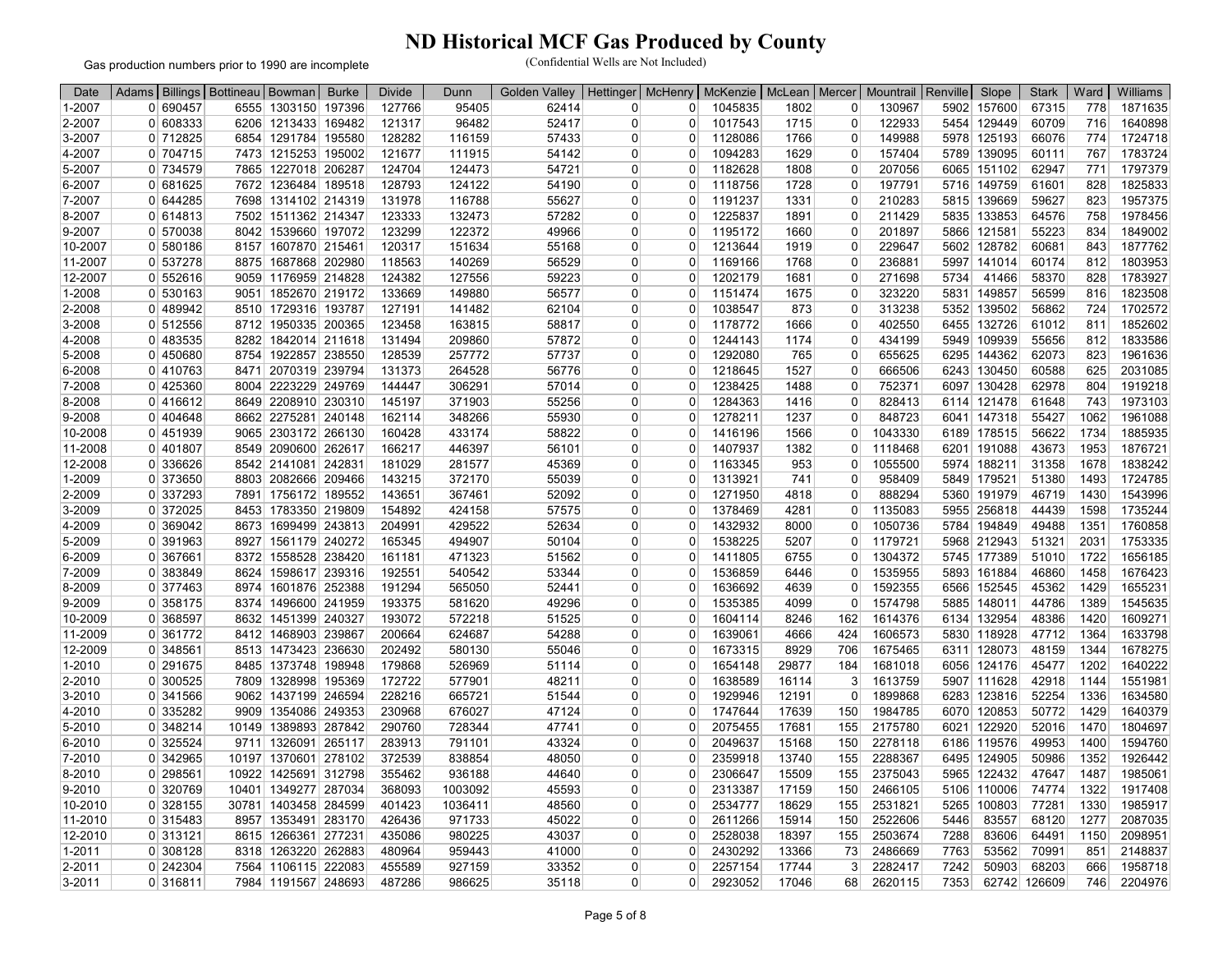Gas production numbers prior to 1990 are incomplete

| Date       | Adams          |                       | Billings   Bottineau   Bowman |                      | <b>Burke</b> | <b>Divide</b> | Dunn    | Golden<br>Valley | Hettinger | <b>McHenry</b> | McKenzie | McLean   Mercer |                | Mountrail Renville |      | Slope       | <b>Stark</b> | Ward | Williams |
|------------|----------------|-----------------------|-------------------------------|----------------------|--------------|---------------|---------|------------------|-----------|----------------|----------|-----------------|----------------|--------------------|------|-------------|--------------|------|----------|
| 1-2007     |                | 0 690457              |                               | 6555 1303150 197396  |              | 127766        | 95405   | 62414            | 0         | 0              | 1045835  | 1802            | 0              | 130967             | 5902 | 157600      | 67315        | 778  | 1871635  |
| 2-2007     |                | 0 608333              |                               | 6206 1213433 169482  |              | 121317        | 96482   | 52417            | 0         | $\Omega$       | 1017543  | 1715            | $\Omega$       | 122933             | 5454 | 129449      | 60709        | 716  | 1640898  |
| 3-2007     |                | 0 712825              | 6854                          | 1291784 195580       |              | 128282        | 116159  | 57433            | 0         | $\Omega$       | 1128086  | 1766            | 0              | 149988             |      | 5978 125193 | 66076        | 774  | 1724718  |
| 4-2007     |                | 0 704715              |                               | 7473 1215253 195002  |              | 121677        | 111915  | 54142            | 0         | $\Omega$       | 1094283  | 1629            | $\Omega$       | 157404             |      | 5789 139095 | 60111        | 767  | 1783724  |
| 5-2007     |                | 0 734579              |                               | 7865 1227018 206287  |              | 124704        | 124473  | 54721            | 0         | $\Omega$       | 1182628  | 1808            | 0              | 207056             |      | 6065 151102 | 62947        | 771  | 1797379  |
| 6-2007     |                | 0 681625              |                               | 7672 1236484 189518  |              | 128793        | 124122  | 54190            | 0         | $\Omega$       | 1118756  | 1728            | $\Omega$       | 197791             |      | 5716 149759 | 61601        | 828  | 1825833  |
| 7-2007     |                | 0 644285              | 7698                          | 1314102 214319       |              | 131978        | 116788  | 55627            | 0         | $\Omega$       | 1191237  | 1331            | $\Omega$       | 210283             |      | 5815 139669 | 59627        | 823  | 1957375  |
| 8-2007     |                | 0 614813              | 7502                          | 1511362 214347       |              | 123333        | 132473  | 57282            | 0         | $\Omega$       | 1225837  | 1891            | $\Omega$       | 211429             |      | 5835 133853 | 64576        | 758  | 1978456  |
| 9-2007     |                | 0 570038              | 8042                          | 1539660 197072       |              | 123299        | 122372  | 49966            | ŋ         | $\Omega$       | 1195172  | 1660            | $\Omega$       | 201897             |      | 5866 121581 | 55223        | 834  | 1849002  |
| 10-2007    |                | 0 580186              | 8157                          | 1607870 215461       |              | 120317        | 151634  | 55168            | $\Omega$  | $\Omega$       | 1213644  | 1919            | $\mathbf 0$    | 229647             |      | 5602 128782 | 60681        | 843  | 1877762  |
| 11-2007    |                | 0 537278              | 8875                          | 1687868 202980       |              | 118563        | 140269  | 56529            | 0         | $\mathbf 0$    | 1169166  | 1768            | $\Omega$       | 236881             |      | 5997 141014 | 60174        | 812  | 1803953  |
| 12-2007    |                | 0 552616              |                               | 9059 1176959 214828  |              | 124382        | 127556  | 59223            | 0         | 0              | 1202179  | 1681            | 0              | 271698             | 5734 | 41466       | 58370        | 828  | 1783927  |
| 1-2008     |                | 0 530163              |                               | 9051 1852670 219172  |              | 133669        | 149880  | 56577            | O         | $\Omega$       | 1151474  | 1675            | $\Omega$       | 323220             | 5831 | 149857      | 56599        | 816  | 1823508  |
| 2-2008     |                | 0 489942              |                               | 8510 1729316 193787  |              | 127191        | 141482  | 62104            | 0         | $\Omega$       | 1038547  | 873             | $\Omega$       | 313238             | 5352 | 139502      | 56862        | 724  | 1702572  |
| 3-2008     |                | 0 512556              | 8712                          | 1950335 200365       |              | 123458        | 163815  | 58817            | O         | $\Omega$       | 1178772  | 1666            | $\Omega$       | 402550             | 6455 | 132726      | 61012        | 811  | 1852602  |
| 4-2008     |                | 0 483535              | 8282                          | 1842014 211618       |              | 131494        | 209860  | 57872            | $\Omega$  | $\Omega$       | 1244143  | 1174            | $\Omega$       | 434199             | 5949 | 109939      | 55656        | 812  | 1833586  |
| 5-2008     |                | 0 450680              | 8754                          | 1922857 238550       |              | 128539        | 257772  | 57737            | $\Omega$  | $\Omega$       | 1292080  | 765             | $\mathbf 0$    | 655625             |      | 6295 144362 | 62073        | 823  | 1961636  |
| 6-2008     |                | 0 410763              | 8471                          | 2070319 239794       |              | 131373        | 264528  | 56776            | 0         | $\Omega$       | 1218645  | 1527            | $\Omega$       | 666506             |      | 6243 130450 | 60588        | 625  | 2031085  |
| 7-2008     |                | $0$   425360          |                               | 8004 2223229 249769  |              | 144447        | 306291  | 57014            | 0         | $\Omega$       | 1238425  | 1488            | 0              | 752371             |      | 6097 130428 | 62978        | 804  | 1919218  |
| 8-2008     |                | $\overline{0}$ 416612 |                               | 8649 2208910 230310  |              | 145197        | 371903  | 55256            | ŋ         | $\Omega$       | 1284363  | 1416            | 0              | 828413             |      | 6114 121478 | 61648        | 743  | 1973103  |
| 9-2008     |                | 0 404648              |                               | 8662 2275281 240148  |              | 162114        | 348266  | 55930            | 0         | $\Omega$       | 1278211  | 1237            | $\Omega$       | 848723             | 6041 | 147318      | 55427        | 1062 | 1961088  |
| 10-2008    |                | 0 451939              |                               | 9065 2303172 266130  |              | 160428        | 433174  | 58822            | 0         | $\Omega$       | 1416196  | 1566            | $\overline{0}$ | 1043330            |      | 6189 178515 | 56622        | 1734 | 1885935  |
| 11-2008    |                | 0 401807              |                               | 8549 2090600 262617  |              | 166217        | 446397  | 56101            | 0         | $\Omega$       | 1407937  | 1382            | $\overline{0}$ | 1118468            |      | 6201 191088 | 43673        | 1953 | 1876721  |
| 12-2008    |                | 0 336626              |                               | 8542 2141081 242831  |              | 181029        | 281577  | 45369            | $\Omega$  | $\Omega$       | 1163345  | 953             | $\Omega$       | 1055500            |      | 5974 188211 | 31358        | 1678 | 1838242  |
| 1-2009     |                | $0$ 373650            |                               | 8803 2082666 209466  |              | 143215        | 372170  | 55039            | $\Omega$  | $\Omega$       | 1313921  | 741             | $\overline{0}$ | 958409             |      | 5849 179521 | 51380        | 1493 | 1724785  |
| 2-2009     |                | 0 337293              |                               | 7891 1756172 189552  |              | 143651        | 367461  | 52092            | 0         | 0              | 1271950  | 4818            | $\overline{0}$ | 888294             |      | 5360 191979 | 46719        | 1430 | 1543996  |
| 3-2009     |                | 0 372025              |                               | 8453 1783350 219809  |              | 154892        | 424158  | 57575            | $\Omega$  | $\Omega$       | 1378469  | 4281            | $\Omega$       | 1135083            |      | 5955 256818 | 44439        | 1598 | 1735244  |
| 4-2009     |                | 0 369042              | 8673                          | 1699499 243813       |              | 204991        | 429522  | 52634            | O         | $\Omega$       | 1432932  | 8000            | $\overline{0}$ | 1050736            |      | 5784 194849 | 49488        | 1351 | 1760858  |
| $5 - 2009$ |                | 0 391963              | 8927                          | 1561179 240272       |              | 165345        | 494907  | 50104            | $\Omega$  | $\Omega$       | 1538225  | 5207            | $\overline{0}$ | 1179721            |      | 5968 212943 | 51321        | 2031 | 1753335  |
| 6-2009     |                | 0 367661              | 8372                          | 1558528 238420       |              | 161181        | 471323  | 51562            | $\Omega$  | $\Omega$       | 1411805  | 6755            | $\Omega$       | 1304372            |      | 5745 177389 | 51010        | 1722 | 1656185  |
| 7-2009     |                | 0 383849              | 8624                          | 1598617 239316       |              | 192551        | 540542  | 53344            | O         | $\Omega$       | 1536859  | 6446            | $\overline{0}$ | 1535955            |      | 5893 161884 | 46860        | 1458 | 1676423  |
| $8 - 2009$ |                | 0 377463              | 8974                          | 1601876 252388       |              | 191294        | 565050  | 52441            | O         | $\Omega$       | 1636692  | 4639            | $\Omega$       | 1592355            |      | 6566 152545 | 45362        | 1429 | 1655231  |
| 9-2009     |                | 0 358175              | 8374                          | 1496600 241959       |              | 193375        | 581620  | 49296            | 0         | $\Omega$       | 1535385  | 4099            | $\Omega$       | 1574798            |      | 5885 148011 | 44786        | 1389 | 1545635  |
| 10-2009    |                | 0 368597              |                               | 8632 1451399 240327  |              | 193072        | 572218  | 51525            | 0         | $\Omega$       | 1604114  | 8246            | 162            | 1614376            |      | 6134 132954 | 48386        | 1420 | 1609271  |
| 11-2009    |                | 0 361772              | 8412                          | 1468903 239867       |              | 200664        | 624687  | 54288            | O         | 0              | 1639061  | 4666            | 424            | 1606573            |      | 5830 118928 | 47712        | 1364 | 1633798  |
| 12-2009    |                | 0 348561              |                               | 8513 1473423 236630  |              | 202492        | 580130  | 55046            | 0         | $\Omega$       | 1673315  | 8929            | 706            | 1675465            |      | 6311 128073 | 48159        | 1344 | 1678275  |
| 1-2010     |                | 0 291675              | 8485                          | 1373748 198948       |              | 179868        | 526969  | 51114            | 0         | $\Omega$       | 1654148  | 29877           | 184            | 1681018            |      | 6056 124176 | 45477        | 1202 | 1640222  |
| 2-2010     |                | 0 300525              | 7809                          | 1328998 195369       |              | 172722        | 577901  | 48211            | $\Omega$  | $\Omega$       | 1638589  | 16114           | 3              | 1613759            |      | 5907 111628 | 42918        | 1144 | 1551981  |
| 3-2010     |                | 0 341566              | 9062                          | 1437199 246594       |              | 228216        | 665721  | 51544            | $\Omega$  | $\Omega$       | 1929946  | 12191           | $\overline{0}$ | 1899868            |      | 6283 123816 | 52254        | 1336 | 1634580  |
| 4-2010     |                | 0 335282              | 9909                          | 1354086 249353       |              | 230968        | 676027  | 47124            | 0         | $\Omega$       | 1747644  | 17639           | 150            | 1984785            | 6070 | 120853      | 50772        | 1429 | 1640379  |
| 5-2010     |                | 0 348214              | 10149                         | 1389893 287842       |              | 290760        | 728344  | 47741            | 0         | $\Omega$       | 2075455  | 17681           | 155            | 2175780            |      | 6021 122920 | 52016        | 1470 | 1804697  |
| 6-2010     |                | 0 325524              | 9711                          | 1326091 265117       |              | 283913        | 791101  | 43324            | O         | $\Omega$       | 2049637  | 15168           | 150            | 2278118            |      | 6186 119576 | 49953        | 1400 | 1594760  |
| 7-2010     |                | 0 342965              |                               | 10197 1370601 278102 |              | 372539        | 838854  | 48050            | 0         | $\Omega$       | 2359918  | 13740           | 155            | 2288367            |      | 6495 124905 | 50986        | 1352 | 1926442  |
| 8-2010     | $\Omega$       | 298561                | 10922                         | 1425691 312798       |              | 355462        | 936188  | 44640            | $\Omega$  | $\Omega$       | 2306647  | 15509           | 155            | 2375043            |      | 5965 122432 | 47647        | 1487 | 1985061  |
| 9-2010     | $\overline{0}$ | 320769                | 10401                         | 1349277 287034       |              | 368093        | 1003092 | 45593            | 0         | $\Omega$       | 2313387  | 17159           | 150            | 2466105            |      | 5106 110006 | 74774        | 1322 | 1917408  |
| 10-2010    | $\Omega$       | 328155                | 30781                         | 1403458 284599       |              | 401423        | 1036411 | 48560            | ŋ         | $\Omega$       | 2534777  | 18629           | 155            | 2531821            | 5265 | 100803      | 77281        | 1330 | 1985917  |
| 11-2010    |                | 0 315483              | 8957                          | 1353491 283170       |              | 426436        | 971733  | 45022            | 0         | $\Omega$       | 2611266  | 15914           | 150            | 2522606            | 5446 | 83557       | 68120        | 1277 | 2087035  |
| 12-2010    |                | 0 313121              | 8615                          | 1266361 277231       |              | 435086        | 980225  | 43037            | 0         | $\Omega$       | 2528038  | 18397           | 155            | 2503674            | 7288 | 83606       | 64491        | 1150 | 2098951  |
| $1 - 2011$ |                | 0 308128              | 8318                          | 1263220 262883       |              | 480964        | 959443  | 41000            | 0         | $\Omega$       | 2430292  | 13366           | 73             | 2486669            | 7763 | 53562       | 70991        | 851  | 2148837  |
| 2-2011     |                | 0 242304              |                               | 7564 1106115 222083  |              | 455589        | 927159  | 33352            | 0         | $\Omega$       | 2257154  | 17744           | 3              | 2282417            | 7242 | 50903       | 68203        | 666  | 1958718  |
| 3-2011     |                | 0 316811              |                               | 7984 1191567 248693  |              | 487286        | 986625  | 35118            | 0         |                | 2923052  | 17046           | 68             | 2620115            | 7353 | 62742       | 126609       | 746  | 2204976  |
|            |                |                       |                               |                      |              |               |         |                  |           |                |          |                 |                |                    |      |             |              |      |          |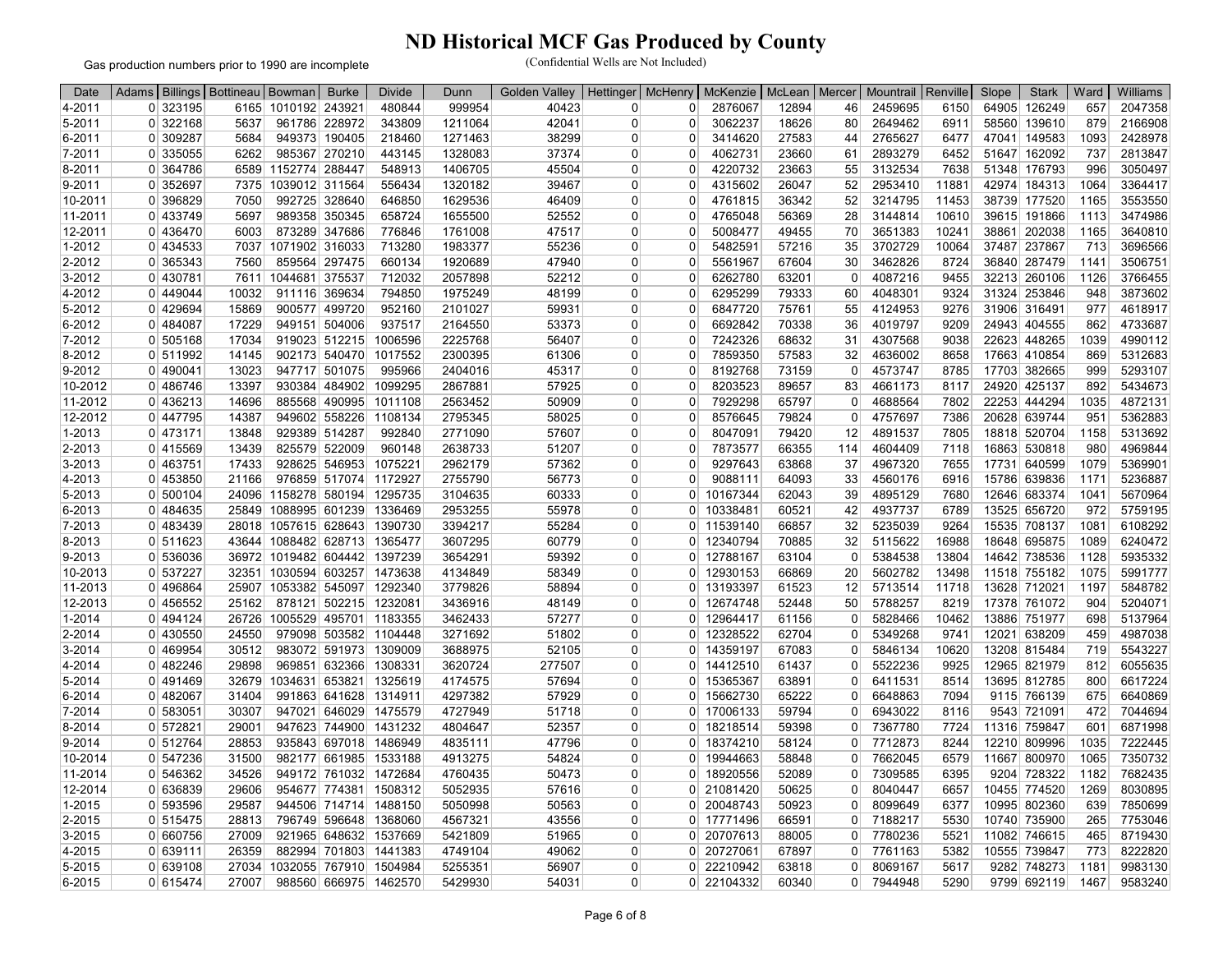Gas production numbers prior to 1990 are incomplete

| Date    | Adams   Billings   Bottineau   Bowman |       |                                    | <b>Burke</b>           | <b>Divide</b>          | Dunn    | <b>Golden Valley</b> | Hettinger | <b>McHenry</b>       | McKenzie   | McLean   Mercer |                | Mountrail   Renville |       | Slope | <b>Stark</b> | Ward | Williams |
|---------|---------------------------------------|-------|------------------------------------|------------------------|------------------------|---------|----------------------|-----------|----------------------|------------|-----------------|----------------|----------------------|-------|-------|--------------|------|----------|
| 4-2011  | 0 323195                              |       | 6165 1010192 243921                |                        | 480844                 | 999954  | 40423                | 0         | $\Omega$             | 2876067    | 12894           | 46             | 2459695              | 6150  |       | 64905 126249 | 657  | 2047358  |
| 5-2011  | 0 322168                              | 5637  |                                    | 961786 228972          | 343809                 | 1211064 | 42041                | $\Omega$  | $\Omega$             | 3062237    | 18626           | 80             | 2649462              | 6911  | 58560 | 139610       | 879  | 2166908  |
| 6-2011  | 0 309287                              | 5684  |                                    | 949373 190405          | 218460                 | 1271463 | 38299                | 0         | 0                    | 3414620    | 27583           | 44             | 2765627              | 6477  |       | 47041 149583 | 1093 | 2428978  |
| 7-2011  | 0 335055                              | 6262  |                                    | 985367 270210          | 443145                 | 1328083 | 37374                | 0         | $\Omega$             | 4062731    | 23660           | 61             | 2893279              | 6452  |       | 51647 162092 | 737  | 2813847  |
| 8-2011  | 0 364786                              | 6589  | 1152774 288447                     |                        | 548913                 | 1406705 | 45504                | 0         | 0                    | 4220732    | 23663           | 55             | 3132534              | 7638  |       | 51348 176793 | 996  | 3050497  |
| 9-2011  | 0 352697                              | 7375  | 1039012 311564                     |                        | 556434                 | 1320182 | 39467                | 0         | $\Omega$             | 4315602    | 26047           | 52             | 2953410              | 11881 |       | 42974 184313 | 1064 | 3364417  |
| 10-2011 | 0 396829                              | 7050  |                                    | 992725 328640          | 646850                 | 1629536 | 46409                | 0         | $\Omega$             | 4761815    | 36342           | 52             | 3214795              | 11453 |       | 38739 177520 | 1165 | 3553550  |
| 11-2011 | 0 433749                              | 5697  |                                    | 989358 350345          | 658724                 | 1655500 | 52552                | 0         | 0                    | 4765048    | 56369           | 28             | 3144814              | 10610 |       | 39615 191866 | 1113 | 3474986  |
| 12-2011 | 0 436470                              | 6003  |                                    | 873289 347686          | 776846                 | 1761008 | 47517                | 0         | $\Omega$             | 5008477    | 49455           | 70             | 3651383              | 10241 |       | 38861 202038 | 1165 | 3640810  |
| 1-2012  | 0 434533                              | 7037  | 1071902 316033                     |                        | 713280                 | 1983377 | 55236                | $\Omega$  | $\Omega$             | 5482591    | 57216           | 35             | 3702729              | 10064 |       | 37487 237867 | 713  | 3696566  |
| 2-2012  | 0 365343                              | 7560  |                                    | 859564 297475          | 660134                 | 1920689 | 47940                | O         | $\Omega$             | 5561967    | 67604           | 30             | 3462826              | 8724  |       | 36840 287479 | 1141 | 3506751  |
| 3-2012  | 0 430781                              | 7611  | 1044681 375537                     |                        | 712032                 | 2057898 | 52212                | 0         | 0                    | 6262780    | 63201           | $\overline{0}$ | 4087216              | 9455  |       | 32213 260106 | 1126 | 3766455  |
| 4-2012  | 0 449044                              | 10032 |                                    | 911116 369634          | 794850                 | 1975249 | 48199                | ŋ         | $\Omega$             | 6295299    | 79333           | 60             | 4048301              | 9324  |       | 31324 253846 | 948  | 3873602  |
| 5-2012  | 0 429694                              | 15869 |                                    | 900577 499720          | 952160                 | 2101027 | 59931                | 0         | $\Omega$             | 6847720    | 75761           | 55             | 4124953              | 9276  |       | 31906 316491 | 977  | 4618917  |
| 6-2012  | 0 484087                              | 17229 |                                    | 949151 504006          | 937517                 | 2164550 | 53373                | 0         | $\Omega$             | 6692842    | 70338           | 36             | 4019797              | 9209  |       | 24943 404555 | 862  | 4733687  |
| 7-2012  | 0 505168                              | 17034 |                                    | 919023 512215          | 1006596                | 2225768 | 56407                | 0         | $\Omega$             | 7242326    | 68632           | 31             | 4307568              | 9038  |       | 22623 448265 | 1039 | 4990112  |
| 8-2012  | 0 511992                              | 14145 |                                    | 902173 540470          | 1017552                | 2300395 | 61306                | $\Omega$  | $\Omega$             | 7859350    | 57583           | 32             | 4636002              | 8658  |       | 17663 410854 | 869  | 5312683  |
| 9-2012  | 0 490041                              | 13023 |                                    | 947717 501075          | 995966                 | 2404016 | 45317                | 0         | $\Omega$             | 8192768    | 73159           | $\overline{0}$ | 4573747              | 8785  |       | 17703 382665 | 999  | 5293107  |
| 10-2012 | 0 486746                              | 13397 |                                    | 930384 484902          | 1099295                | 2867881 | 57925                | 0         | $\Omega$             | 8203523    | 89657           | 83             | 4661173              | 8117  |       | 24920 425137 | 892  | 5434673  |
| 11-2012 | 0 436213                              | 14696 |                                    | 885568 490995          | 1011108                | 2563452 | 50909                | 0         | $\Omega$             | 7929298    | 65797           | $\Omega$       | 4688564              | 7802  |       | 22253 444294 | 1035 | 4872131  |
| 12-2012 | 0 447795                              | 14387 |                                    | 949602 558226          | 1108134                | 2795345 | 58025                | ŋ         | 0                    | 8576645    | 79824           | $\overline{0}$ | 4757697              | 7386  |       | 20628 639744 | 951  | 5362883  |
| 1-2013  | 0 473171                              | 13848 |                                    | 929389 514287          | 992840                 | 2771090 | 57607                | 0         | $\Omega$             | 8047091    | 79420           | 12             | 4891537              | 7805  |       | 18818 520704 | 1158 | 5313692  |
|         |                                       |       |                                    |                        | 960148                 |         |                      | 0         | $\Omega$             |            |                 | 114            |                      |       |       |              |      | 4969844  |
| 2-2013  | 0 415569                              | 13439 |                                    | 825579 522009          |                        | 2638733 | 51207                |           |                      | 7873577    | 66355           |                | 4604409              | 7118  |       | 16863 530818 | 980  |          |
| 3-2013  | 0 463751                              | 17433 |                                    | 928625 546953          | 1075221                | 2962179 | 57362                | 0         | $\Omega$<br>$\Omega$ | 9297643    | 63868           | 37             | 4967320              | 7655  |       | 17731 640599 | 1079 | 5369901  |
| 4-2013  | 0 453850                              | 21166 |                                    | 976859 517074 1172927  |                        | 2755790 | 56773                | 0         |                      | 9088111    | 64093           | 33             | 4560176              | 6916  |       | 15786 639836 | 1171 | 5236887  |
| 5-2013  | 0 500104                              | 24096 |                                    | 1158278 580194         | 1295735                | 3104635 | 60333                | 0         | 0                    | 10167344   | 62043           | 39             | 4895129              | 7680  |       | 12646 683374 | 1041 | 5670964  |
| 6-2013  | 0 484635                              | 25849 |                                    |                        | 1088995 601239 1336469 | 2953255 | 55978                | $\Omega$  | $\Omega$             | 10338481   | 60521           | 42             | 4937737              | 6789  |       | 13525 656720 | 972  | 5759195  |
| 7-2013  | 0 483439                              |       | 28018 1057615 628643               |                        | 1390730                | 3394217 | 55284                | 0         | $\overline{0}$       | 11539140   | 66857           | 32             | 5235039              | 9264  |       | 15535 708137 | 1081 | 6108292  |
| 8-2013  | 0 511623                              |       | 43644 1088482 628713 1365477       |                        |                        | 3607295 | 60779                | 0         |                      | 0 12340794 | 70885           | 32             | 5115622              | 16988 |       | 18648 695875 | 1089 | 6240472  |
| 9-2013  | 0 536036                              |       | 36972 1019482 604442 1397239       |                        |                        | 3654291 | 59392                | 0         | $\Omega$             | 12788167   | 63104           | $\overline{0}$ | 5384538              | 13804 |       | 14642 738536 | 1128 | 5935332  |
| 10-2013 | 0 537227                              |       | 32351   1030594   603257   1473638 |                        |                        | 4134849 | 58349                | 0         | $\overline{0}$       | 12930153   | 66869           | 20             | 5602782              | 13498 |       | 11518 755182 | 1075 | 5991777  |
| 11-2013 | 0 496864                              | 25907 |                                    | 1053382 545097 1292340 |                        | 3779826 | 58894                | $\Omega$  | $\mathbf{0}$         | 13193397   | 61523           | 12             | 5713514              | 11718 |       | 13628 712021 | 1197 | 5848782  |
| 12-2013 | 0 456552                              | 25162 |                                    | 878121 502215 1232081  |                        | 3436916 | 48149                | $\Omega$  | $\Omega$             | 12674748   | 52448           | 50             | 5788257              | 8219  |       | 17378 761072 | 904  | 5204071  |
| 1-2014  | 0 494124                              | 26726 |                                    |                        | 1005529 495701 1183355 | 3462433 | 57277                | 0         | 0 <sup>1</sup>       | 12964417   | 61156           | $\overline{0}$ | 5828466              | 10462 |       | 13886 751977 | 698  | 5137964  |
| 2-2014  | $0$ 430550                            | 24550 |                                    | 979098 503582 1104448  |                        | 3271692 | 51802                | 0         | $\Omega$             | 12328522   | 62704           | $\overline{0}$ | 5349268              | 9741  |       | 12021 638209 | 459  | 4987038  |
| 3-2014  | 0 469954                              | 30512 |                                    |                        | 983072 591973 1309009  | 3688975 | 52105                | 0         |                      | 0 14359197 | 67083           | $\overline{0}$ | 5846134              | 10620 |       | 13208 815484 | 719  | 5543227  |
| 4-2014  | 0 482246                              | 29898 |                                    | 969851 632366 1308331  |                        | 3620724 | 277507               | 0         | 0                    | 14412510   | 61437           | 0              | 5522236              | 9925  |       | 12965 821979 | 812  | 6055635  |
| 5-2014  | 0 491469                              | 32679 |                                    | 1034631 653821 1325619 |                        | 4174575 | 57694                | 0         | 0 <sup>1</sup>       | 15365367   | 63891           | $\overline{0}$ | 6411531              | 8514  |       | 13695 812785 | 800  | 6617224  |
| 6-2014  | 0 482067                              | 31404 |                                    | 991863 641628 1314911  |                        | 4297382 | 57929                | 0         | 0                    | 15662730   | 65222           | 0              | 6648863              | 7094  |       | 9115 766139  | 675  | 6640869  |
| 7-2014  | 0 583051                              | 30307 |                                    | 947021 646029 1475579  |                        | 4727949 | 51718                | $\Omega$  | $\mathbf{0}$         | 17006133   | 59794           | $\Omega$       | 6943022              | 8116  |       | 9543 721091  | 472  | 7044694  |
| 8-2014  | 0 572821                              | 29001 |                                    | 947623 744900 1431232  |                        | 4804647 | 52357                | 0         | $\overline{0}$       | 18218514   | 59398           | 0              | 7367780              | 7724  |       | 11316 759847 | 601  | 6871998  |
| 9-2014  | 0 512764                              | 28853 |                                    |                        | 935843 697018 1486949  | 4835111 | 47796                | 0         | $\overline{0}$       | 18374210   | 58124           | $\overline{0}$ | 7712873              | 8244  |       | 12210 809996 | 1035 | 7222445  |
| 10-2014 | 0 547236                              | 31500 |                                    |                        | 982177 661985 1533188  | 4913275 | 54824                | 0         |                      | 0 19944663 | 58848           | $\overline{0}$ | 7662045              | 6579  |       | 11667 800970 | 1065 | 7350732  |
| 11-2014 | 0 546362                              | 34526 |                                    | 949172 761032 1472684  |                        | 4760435 | 50473                | 0         | $\overline{0}$       | 18920556   | 52089           | 0              | 7309585              | 6395  |       | 9204 728322  | 1182 | 7682435  |
| 12-2014 | 0 636839                              | 29606 |                                    | 954677 774381 1508312  |                        | 5052935 | 57616                | $\Omega$  |                      | 0 21081420 | 50625           | $\overline{0}$ | 8040447              | 6657  |       | 10455 774520 | 1269 | 8030895  |
| 1-2015  | 0 593596                              | 29587 |                                    | 944506 714714 1488150  |                        | 5050998 | 50563                | 0         | $\Omega$             | 20048743   | 50923           | 0              | 8099649              | 6377  |       | 10995 802360 | 639  | 7850699  |
| 2-2015  | 0 515475                              | 28813 |                                    | 796749 596648 1368060  |                        | 4567321 | 43556                | $\Omega$  | $\overline{0}$       | 17771496   | 66591           | $\overline{0}$ | 7188217              | 5530  | 10740 | 735900       | 265  | 7753046  |
| 3-2015  | 0 660756                              | 27009 |                                    | 921965 648632 1537669  |                        | 5421809 | 51965                | $\Omega$  | $\Omega$             | 20707613   | 88005           | 0              | 7780236              | 5521  |       | 11082 746615 | 465  | 8719430  |
| 4-2015  | 0 639111                              | 26359 |                                    | 882994 701803          | 1441383                | 4749104 | 49062                | 0         | 0                    | 2072706    | 67897           | 0              | 7761163              | 5382  | 10555 | 739847       | 773  | 8222820  |
| 5-2015  | 0 639108                              | 27034 |                                    | 1032055 767910 1504984 |                        | 5255351 | 56907                | O         |                      | 0 22210942 | 63818           | 0              | 8069167              | 5617  |       | 9282 748273  | 1181 | 9983130  |
| 6-2015  | 0 615474                              | 27007 |                                    | 988560 666975 1462570  |                        | 5429930 | 54031                | 0         |                      | 0 22104332 | 60340           | 0              | 7944948              | 5290  |       | 9799 692119  | 1467 | 9583240  |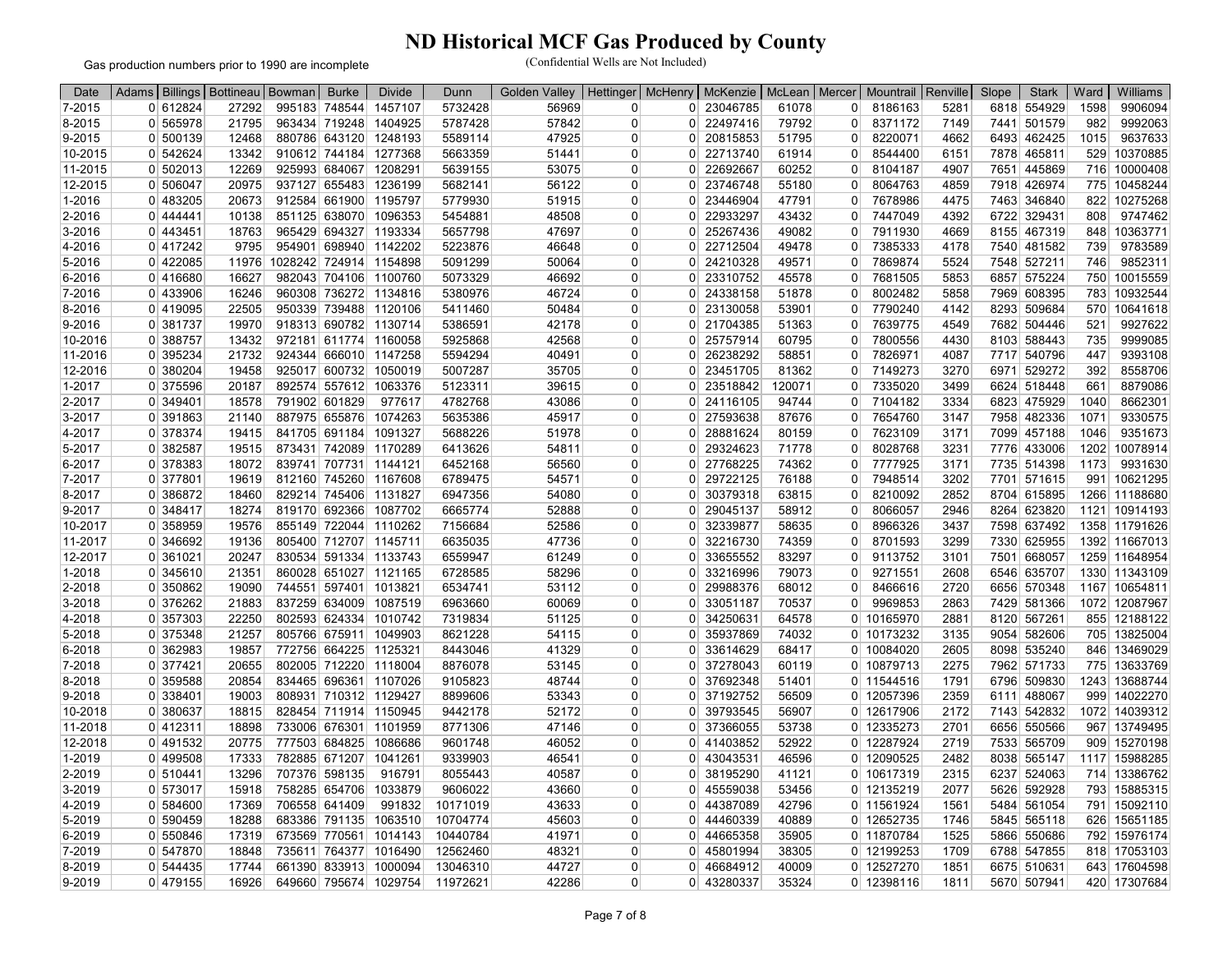Gas production numbers prior to 1990 are incomplete

| 7-2015<br>0 612824<br>5732428<br>6818 554929<br>1598<br>9906094<br>27292<br>995183 748544<br>1457107<br>56969<br>0 23046785<br>61078<br>8186163<br>5281<br>0<br>0<br>1404925<br>9992063<br>8-2015<br>0 565978<br>21795<br>963434 719248<br>5787428<br>57842<br>0 22497416<br>79792<br>8371172<br>7149<br>7441<br>501579<br>982<br>$\Omega$<br>0<br>5589114<br>47925<br>51795<br>4662<br>9637633<br>9-2015<br>0 500139<br>12468<br>880786 643120<br>1248193<br>0 20815853<br>8220071<br>6493 462425<br>1015<br>0<br>0<br>10-2015<br>0 542624<br>13342<br>910612 744184 1277368<br>5663359<br>51441<br>0 22713740<br>61914<br>8544400<br>7878 465811<br>529 10370885<br>6151<br>$\overline{0}$<br>$\Omega$<br>716 10000408<br>11-2015<br>0 502013<br>12269<br>925993 684067<br>1208291<br>5639155<br>53075<br>0 22692667<br>60252<br>8104187<br>4907<br>7651 445869<br>0<br>0<br>12-2015<br>0 506047<br>20975<br>937127 655483 1236199<br>5682141<br>56122<br>0 23746748<br>55180<br>8064763<br>4859<br>7918 426974<br>775 10458244<br>0<br>0<br>0 483205<br>20673<br>912584 661900 1195797<br>5779930<br>51915<br>23446904<br>47791<br>7678986<br>4475<br>7463 346840<br>10275268<br>1-2016<br>$\Omega$<br>0<br>822<br>0<br>0 22933297<br>43432<br>2-2016<br>0 444441<br>10138<br>851125 638070 1096353<br>5454881<br>48508<br>7447049<br>4392<br>6722 329431<br>808<br>9747462<br>0<br>0<br>0 443451<br>965429 694327 1193334<br>5657798<br>49082<br>7911930<br>10363771<br>3-2016<br>18763<br>47697<br>0 <sup>1</sup><br>25267436<br>0<br>4669<br>8155 467319<br>848<br>0<br>9783589<br>0 417242<br>9795<br>954901 698940 1142202<br>5223876<br>22712504<br>49478<br>7385333<br>4-2016<br>46648<br>0 <sup>1</sup><br>0<br>4178<br>7540 481582<br>739<br>$\Omega$<br>7548 527211<br>9852311<br>5-2016<br>0 422085<br>11976<br>1028242 724914 1154898<br>5091299<br>50064<br>0 24210328<br>49571<br>7869874<br>5524<br>0<br>0<br>746<br>0 416680<br>16627<br>982043 704106 1100760<br>5073329<br>46692<br>0 23310752<br>45578<br>7681505<br>5853<br>6857 575224<br>750 10015559<br>6-2016<br>0<br>0<br>0 433906<br>7969 608395<br>783 10932544<br>7-2016<br>16246<br>960308 736272 1134816<br>5380976<br>46724<br>0 24338158<br>51878<br>8002482<br>5858<br>0<br>0<br>22505<br>8293 509684<br>10641618<br>0 419095<br>950339 739488 1120106<br>5411460<br>50484<br>0 23130058<br>53901<br>7790240<br>4142<br>570<br>8-2016<br>0<br>0<br>0 381737<br>19970<br>918313 690782 1130714<br>5386591<br>42178<br>0 21704385<br>51363<br>7639775<br>4549<br>7682 504446<br>9927622<br>9-2016<br>0<br>521<br>0<br>9999085<br>10-2016<br>0 388757<br>13432<br>972181 611774 1160058<br>5925868<br>42568<br>25757914<br>60795<br>7800556<br>4430<br>8103 588443<br>735<br>0<br>$\Omega$<br>0<br>9393108<br>11-2016<br>0 395234<br>21732<br>924344 666010 1147258<br>5594294<br>40491<br>26238292<br>58851<br>7826971<br>4087<br>7717<br>540796<br>447<br>0<br>0 <sup>1</sup><br>0<br>12-2016<br>0 380204<br>19458<br>925017 600732 1050019<br>5007287<br>35705<br>0 23451705<br>81362<br>7149273<br>3270<br>6971 529272<br>392<br>8558706<br>0<br>0<br>0 375596<br>1063376<br>5123311<br>120071<br>7335020<br>3499<br>6624 518448<br>8879086<br>1-2017<br>20187<br>892574 557612<br>39615<br>0 23518842<br>661<br>$\overline{0}$<br>0<br>0 349401<br>791902 601829<br>977617<br>4782768<br>0 24116105<br>94744<br>7104182<br>3334<br>6823 475929<br>1040<br>8662301<br>2-2017<br>18578<br>43086<br>0<br>0<br>9330575<br>887975 655876<br>1074263<br>5635386<br>45917<br>0 27593638<br>87676<br>7654760<br>7958 482336<br>1071<br>3-2017<br>0 391863<br>21140<br>3147<br>0<br>0<br>4-2017<br>0 378374<br>19415<br>841705 691184 1091327<br>5688226<br>51978<br>0 28881624<br>80159<br>0<br>7623109<br>3171<br>7099 457188<br>1046<br>9351673<br>0<br>0 382587<br>19515<br>873431 742089 1170289<br>6413626<br>54811<br>29324623<br>71778<br>8028768<br>3231<br>7776 433006<br>1202<br>10078914<br>5-2017<br>0<br>$\overline{0}$<br>0<br>839741 707731 1144121<br>6452168<br>27768225<br>74362<br>7777925<br>3171<br>7735 514398<br>9931630<br>6-2017<br>0 378383<br>18072<br>56560<br>$\overline{0}$<br>0<br>1173<br>0<br>0 377801<br>812160 745260 1167608<br>6789475<br>0 29722125<br>3202<br>7701 571615<br>991 10621295<br>7-2017<br>19619<br>54571<br>76188<br>7948514<br>0<br>0<br>8-2017<br>0 386872<br>18460<br>829214 745406<br>1131827<br>6947356<br>54080<br>0 30379318<br>63815<br>8210092<br>2852<br>8704 615895<br>1266 11188680<br>$\overline{0}$<br>0<br>0 348417<br>819170 692366 1087702<br>8264 623820<br>9-2017<br>18274<br>6665774<br>52888<br>0 29045137<br>58912<br>8066057<br>2946<br>1121 10914193<br>$\overline{0}$<br>0<br>10-2017<br>0 358959<br>19576<br>855149 722044 1110262<br>7156684<br>52586<br>32339877<br>58635<br>8966326<br>3437<br>7598 637492<br>1358 11791626<br>0 <sup>1</sup><br>0<br>0<br>11-2017<br>0 346692<br>19136<br>805400 712707 1145711<br>6635035<br>47736<br>0 32216730<br>74359<br>8701593<br>3299<br>7330 625955<br>1392 11667013<br>$\Omega$<br>$\overline{0}$<br>12-2017<br>20247<br>830534 591334 1133743<br>6559947<br>61249<br>33655552<br>83297<br>9113752<br>668057<br>1259 11648954<br>0 361021<br>3101<br>7501<br>0<br>$\Omega$<br>0<br>0 345610<br>860028 651027 1121165<br>6728585<br>33216996<br>79073<br>9271551<br>2608<br>6546 635707<br>1330 11343109<br>1-2018<br>21351<br>58296<br>0 <sup>1</sup><br>0<br>0<br>0 350862<br>19090<br>744551 597401 1013821<br>6534741<br>0 <sup>1</sup><br>29988376<br>68012<br>8466616<br>2720<br>6656 570348<br>1167 10654811<br>2-2018<br>53112<br>0<br>0<br>0 376262<br>21883<br>837259 634009<br>1087519<br>6963660<br>60069<br>70537<br>9969853<br>2863<br>7429 581366<br>1072 12087967<br>3-2018<br>0 33051187<br>0<br>0<br>4-2018<br>0 357303<br>22250<br>802593 624334 1010742<br>7319834<br>51125<br>0 34250631<br>64578<br>10165970<br>2881<br>8120 567261<br>855 12188122<br>0<br>0<br>0 375348<br>805766 675911 1049903<br>8621228<br>54115<br>35937869<br>74032<br>10173232<br>9054 582606<br>705 13825004<br>5-2018<br>21257<br>3135<br>0 <sup>1</sup><br>0<br>0<br>0 362983<br>41329<br>8098 535240<br>6-2018<br>19857<br>772756 664225 1125321<br>8443046<br>0 33614629<br>68417<br>10084020<br>2605<br>846 13469029<br>0<br>0<br>7-2018<br>0 377421<br>20655<br>802005 712220 1118004<br>8876078<br>53145<br>37278043<br>60119<br>10879713<br>2275<br>7962 571733<br>775 13633769<br>0<br>$\overline{0}$<br>0<br>8-2018<br>359588<br>20854<br>834465 696361 1107026<br>9105823<br>48744<br>37692348<br>51401<br>11544516<br>1791<br>6796 509830<br>1243 13688744<br>$\Omega$<br>0<br>$\Omega$<br>0<br>0 338401<br>808931 710312 1129427<br>12057396<br>6111 488067<br>999 14022270<br>9-2018<br>19003<br>8899606<br>53343<br>37192752<br>56509<br>2359<br>0<br>$\Omega$<br>0<br>9442178<br>7143 542832<br>1072 14039312<br>10-2018<br>0 380637<br>18815<br>828454 711914 1150945<br>52172<br>39793545<br>56907<br>12617906<br>2172<br>0<br>0 <sup>1</sup><br>0<br>11-2018<br>0 412311<br>733006 676301 1101959<br>8771306<br>0 37366055<br>53738<br>0 12335273<br>2701<br>6656 550566<br>967 13749495<br>18898<br>47146<br>0<br>7533 565709<br>909 15270198<br>12-2018<br>0 491532<br>20775<br>777503 684825 1086686<br>9601748<br>46052<br>0 41403852<br>52922<br>12287924<br>2719<br>0<br>0<br>$0$ 499508<br>17333<br>782885 671207 1041261<br>9339903<br>0 43043531<br>46596<br>12090525<br>2482<br>8038 565147<br>1117 15988285<br>1-2019<br>46541<br>0<br>0<br>0 510441<br>13296<br>707376 598135<br>916791<br>8055443<br>40587<br>38195290<br>41121<br>10617319<br>2315<br>6237<br>524063<br>714 13386762<br>2-2019<br>0<br>$\Omega$<br>$\Omega$<br>3-2019<br>0 573017<br>15918<br>758285 654706<br>1033879<br>9606022<br>43660<br>45559038<br>53456<br>12135219<br>2077<br>5626 592928<br>793 15885315<br>0 <sup>1</sup><br>0<br>0<br>0 584600<br>17369<br>706558 641409<br>991832<br>10171019<br>42796<br>11561924<br>5484 561054<br>15092110<br>4-2019<br>43633<br>$\overline{0}$<br>44387089<br>0<br>1561<br>791<br>0<br>0 590459<br>683386 791135<br>1063510<br>10704774<br>45603<br>44460339<br>40889<br>12652735<br>626 15651185<br>5-2019<br>18288<br>$\Omega$<br>1746<br>5845 565118<br>0<br>0<br>1014143<br>0 11870784<br>792 15976174<br>6-2019<br>0 550846<br>17319<br>673569 770561<br>10440784<br>41971<br>0 44665358<br>35905<br>1525<br>5866 550686<br>0<br>7-2019<br>0 547870<br>18848<br>735611 764377<br>1016490<br>12562460<br>48321<br>45801994<br>38305<br>12199253<br>1709<br>6788 547855<br>818 17053103<br>0<br>0 <sup>1</sup><br>0<br>661390 833913 1000094<br>0 544435<br>17744<br>13046310<br>44727<br>0 46684912<br>40009<br>0 12527270<br>1851<br>6675 510631<br>643 17604598<br>8-2019<br>0<br>649660 795674 1029754<br>0 479155<br>0 43280337<br>5670 507941<br>420 17307684<br>0 | Date   | Adams | Billings   Bottineau   Bowman | <b>Burke</b> | <b>Divide</b> | Dunn     | <b>Golden Valley</b> | Hettinger | <b>McHenry</b> | McKenzie | McLean   Mercer |   | Mountrail   Renville |      | Slope | <b>Stark</b> | Ward | Williams |
|----------------------------------------------------------------------------------------------------------------------------------------------------------------------------------------------------------------------------------------------------------------------------------------------------------------------------------------------------------------------------------------------------------------------------------------------------------------------------------------------------------------------------------------------------------------------------------------------------------------------------------------------------------------------------------------------------------------------------------------------------------------------------------------------------------------------------------------------------------------------------------------------------------------------------------------------------------------------------------------------------------------------------------------------------------------------------------------------------------------------------------------------------------------------------------------------------------------------------------------------------------------------------------------------------------------------------------------------------------------------------------------------------------------------------------------------------------------------------------------------------------------------------------------------------------------------------------------------------------------------------------------------------------------------------------------------------------------------------------------------------------------------------------------------------------------------------------------------------------------------------------------------------------------------------------------------------------------------------------------------------------------------------------------------------------------------------------------------------------------------------------------------------------------------------------------------------------------------------------------------------------------------------------------------------------------------------------------------------------------------------------------------------------------------------------------------------------------------------------------------------------------------------------------------------------------------------------------------------------------------------------------------------------------------------------------------------------------------------------------------------------------------------------------------------------------------------------------------------------------------------------------------------------------------------------------------------------------------------------------------------------------------------------------------------------------------------------------------------------------------------------------------------------------------------------------------------------------------------------------------------------------------------------------------------------------------------------------------------------------------------------------------------------------------------------------------------------------------------------------------------------------------------------------------------------------------------------------------------------------------------------------------------------------------------------------------------------------------------------------------------------------------------------------------------------------------------------------------------------------------------------------------------------------------------------------------------------------------------------------------------------------------------------------------------------------------------------------------------------------------------------------------------------------------------------------------------------------------------------------------------------------------------------------------------------------------------------------------------------------------------------------------------------------------------------------------------------------------------------------------------------------------------------------------------------------------------------------------------------------------------------------------------------------------------------------------------------------------------------------------------------------------------------------------------------------------------------------------------------------------------------------------------------------------------------------------------------------------------------------------------------------------------------------------------------------------------------------------------------------------------------------------------------------------------------------------------------------------------------------------------------------------------------------------------------------------------------------------------------------------------------------------------------------------------------------------------------------------------------------------------------------------------------------------------------------------------------------------------------------------------------------------------------------------------------------------------------------------------------------------------------------------------------------------------------------------------------------------------------------------------------------------------------------------------------------------------------------------------------------------------------------------------------------------------------------------------------------------------------------------------------------------------------------------------------------------------------------------------------------------------------------------------------------------------------------------------------------------------------------------------------------------------------------------------------------------------------------------------------------------------------------------------------------------------------------------------------------------------------------------------------------------------------------------------------------------------------------------------------------------------------------------------------------------------------------------------------------------------------------------------------------------------------------------------------------------------------------------------------------------------------------------------------------------------------------------------------------------------------------------------------------------------------------------------------------------------------------------------------------------------------------------------------------------------------------------------------------------------------------------------------------------------------------------------------------------------------------------------------------------------------------------------------------------------------------------------------------------------------------------------------------------------------------------------------------------------------------------------------------------------------------------------------------------------------------------------------------------------------------------------------------------------------------------------------------------------------------------------------------------------------------------------------------------------------------------------------------------------------------------------------------------------------------------------------------------------------------------------------------------------------------------------------------------------------------------------------------------------------------------------------------------------------------------------------------------------------------------------------------------------------------------------------------------------------------------------------------------------------------------------------------------------------------------------------------------------------------------------------------------------------------------------------------------------------------------------------------------------------------------------------------------------------------------------------------|--------|-------|-------------------------------|--------------|---------------|----------|----------------------|-----------|----------------|----------|-----------------|---|----------------------|------|-------|--------------|------|----------|
|                                                                                                                                                                                                                                                                                                                                                                                                                                                                                                                                                                                                                                                                                                                                                                                                                                                                                                                                                                                                                                                                                                                                                                                                                                                                                                                                                                                                                                                                                                                                                                                                                                                                                                                                                                                                                                                                                                                                                                                                                                                                                                                                                                                                                                                                                                                                                                                                                                                                                                                                                                                                                                                                                                                                                                                                                                                                                                                                                                                                                                                                                                                                                                                                                                                                                                                                                                                                                                                                                                                                                                                                                                                                                                                                                                                                                                                                                                                                                                                                                                                                                                                                                                                                                                                                                                                                                                                                                                                                                                                                                                                                                                                                                                                                                                                                                                                                                                                                                                                                                                                                                                                                                                                                                                                                                                                                                                                                                                                                                                                                                                                                                                                                                                                                                                                                                                                                                                                                                                                                                                                                                                                                                                                                                                                                                                                                                                                                                                                                                                                                                                                                                                                                                                                                                                                                                                                                                                                                                                                                                                                                                                                                                                                                                                                                                                                                                                                                                                                                                                                                                                                                                                                                                                                                                                                                                                                                                                                                                                                                                                                                                                                                                                                                                                                                                                                                                                                                                                                                                                                                                                                                                                                                                                                                                                                                                                                                                                                                        |        |       |                               |              |               |          |                      |           |                |          |                 |   |                      |      |       |              |      |          |
|                                                                                                                                                                                                                                                                                                                                                                                                                                                                                                                                                                                                                                                                                                                                                                                                                                                                                                                                                                                                                                                                                                                                                                                                                                                                                                                                                                                                                                                                                                                                                                                                                                                                                                                                                                                                                                                                                                                                                                                                                                                                                                                                                                                                                                                                                                                                                                                                                                                                                                                                                                                                                                                                                                                                                                                                                                                                                                                                                                                                                                                                                                                                                                                                                                                                                                                                                                                                                                                                                                                                                                                                                                                                                                                                                                                                                                                                                                                                                                                                                                                                                                                                                                                                                                                                                                                                                                                                                                                                                                                                                                                                                                                                                                                                                                                                                                                                                                                                                                                                                                                                                                                                                                                                                                                                                                                                                                                                                                                                                                                                                                                                                                                                                                                                                                                                                                                                                                                                                                                                                                                                                                                                                                                                                                                                                                                                                                                                                                                                                                                                                                                                                                                                                                                                                                                                                                                                                                                                                                                                                                                                                                                                                                                                                                                                                                                                                                                                                                                                                                                                                                                                                                                                                                                                                                                                                                                                                                                                                                                                                                                                                                                                                                                                                                                                                                                                                                                                                                                                                                                                                                                                                                                                                                                                                                                                                                                                                                                                        |        |       |                               |              |               |          |                      |           |                |          |                 |   |                      |      |       |              |      |          |
|                                                                                                                                                                                                                                                                                                                                                                                                                                                                                                                                                                                                                                                                                                                                                                                                                                                                                                                                                                                                                                                                                                                                                                                                                                                                                                                                                                                                                                                                                                                                                                                                                                                                                                                                                                                                                                                                                                                                                                                                                                                                                                                                                                                                                                                                                                                                                                                                                                                                                                                                                                                                                                                                                                                                                                                                                                                                                                                                                                                                                                                                                                                                                                                                                                                                                                                                                                                                                                                                                                                                                                                                                                                                                                                                                                                                                                                                                                                                                                                                                                                                                                                                                                                                                                                                                                                                                                                                                                                                                                                                                                                                                                                                                                                                                                                                                                                                                                                                                                                                                                                                                                                                                                                                                                                                                                                                                                                                                                                                                                                                                                                                                                                                                                                                                                                                                                                                                                                                                                                                                                                                                                                                                                                                                                                                                                                                                                                                                                                                                                                                                                                                                                                                                                                                                                                                                                                                                                                                                                                                                                                                                                                                                                                                                                                                                                                                                                                                                                                                                                                                                                                                                                                                                                                                                                                                                                                                                                                                                                                                                                                                                                                                                                                                                                                                                                                                                                                                                                                                                                                                                                                                                                                                                                                                                                                                                                                                                                                                        |        |       |                               |              |               |          |                      |           |                |          |                 |   |                      |      |       |              |      |          |
|                                                                                                                                                                                                                                                                                                                                                                                                                                                                                                                                                                                                                                                                                                                                                                                                                                                                                                                                                                                                                                                                                                                                                                                                                                                                                                                                                                                                                                                                                                                                                                                                                                                                                                                                                                                                                                                                                                                                                                                                                                                                                                                                                                                                                                                                                                                                                                                                                                                                                                                                                                                                                                                                                                                                                                                                                                                                                                                                                                                                                                                                                                                                                                                                                                                                                                                                                                                                                                                                                                                                                                                                                                                                                                                                                                                                                                                                                                                                                                                                                                                                                                                                                                                                                                                                                                                                                                                                                                                                                                                                                                                                                                                                                                                                                                                                                                                                                                                                                                                                                                                                                                                                                                                                                                                                                                                                                                                                                                                                                                                                                                                                                                                                                                                                                                                                                                                                                                                                                                                                                                                                                                                                                                                                                                                                                                                                                                                                                                                                                                                                                                                                                                                                                                                                                                                                                                                                                                                                                                                                                                                                                                                                                                                                                                                                                                                                                                                                                                                                                                                                                                                                                                                                                                                                                                                                                                                                                                                                                                                                                                                                                                                                                                                                                                                                                                                                                                                                                                                                                                                                                                                                                                                                                                                                                                                                                                                                                                                                        |        |       |                               |              |               |          |                      |           |                |          |                 |   |                      |      |       |              |      |          |
|                                                                                                                                                                                                                                                                                                                                                                                                                                                                                                                                                                                                                                                                                                                                                                                                                                                                                                                                                                                                                                                                                                                                                                                                                                                                                                                                                                                                                                                                                                                                                                                                                                                                                                                                                                                                                                                                                                                                                                                                                                                                                                                                                                                                                                                                                                                                                                                                                                                                                                                                                                                                                                                                                                                                                                                                                                                                                                                                                                                                                                                                                                                                                                                                                                                                                                                                                                                                                                                                                                                                                                                                                                                                                                                                                                                                                                                                                                                                                                                                                                                                                                                                                                                                                                                                                                                                                                                                                                                                                                                                                                                                                                                                                                                                                                                                                                                                                                                                                                                                                                                                                                                                                                                                                                                                                                                                                                                                                                                                                                                                                                                                                                                                                                                                                                                                                                                                                                                                                                                                                                                                                                                                                                                                                                                                                                                                                                                                                                                                                                                                                                                                                                                                                                                                                                                                                                                                                                                                                                                                                                                                                                                                                                                                                                                                                                                                                                                                                                                                                                                                                                                                                                                                                                                                                                                                                                                                                                                                                                                                                                                                                                                                                                                                                                                                                                                                                                                                                                                                                                                                                                                                                                                                                                                                                                                                                                                                                                                                        |        |       |                               |              |               |          |                      |           |                |          |                 |   |                      |      |       |              |      |          |
|                                                                                                                                                                                                                                                                                                                                                                                                                                                                                                                                                                                                                                                                                                                                                                                                                                                                                                                                                                                                                                                                                                                                                                                                                                                                                                                                                                                                                                                                                                                                                                                                                                                                                                                                                                                                                                                                                                                                                                                                                                                                                                                                                                                                                                                                                                                                                                                                                                                                                                                                                                                                                                                                                                                                                                                                                                                                                                                                                                                                                                                                                                                                                                                                                                                                                                                                                                                                                                                                                                                                                                                                                                                                                                                                                                                                                                                                                                                                                                                                                                                                                                                                                                                                                                                                                                                                                                                                                                                                                                                                                                                                                                                                                                                                                                                                                                                                                                                                                                                                                                                                                                                                                                                                                                                                                                                                                                                                                                                                                                                                                                                                                                                                                                                                                                                                                                                                                                                                                                                                                                                                                                                                                                                                                                                                                                                                                                                                                                                                                                                                                                                                                                                                                                                                                                                                                                                                                                                                                                                                                                                                                                                                                                                                                                                                                                                                                                                                                                                                                                                                                                                                                                                                                                                                                                                                                                                                                                                                                                                                                                                                                                                                                                                                                                                                                                                                                                                                                                                                                                                                                                                                                                                                                                                                                                                                                                                                                                                                        |        |       |                               |              |               |          |                      |           |                |          |                 |   |                      |      |       |              |      |          |
|                                                                                                                                                                                                                                                                                                                                                                                                                                                                                                                                                                                                                                                                                                                                                                                                                                                                                                                                                                                                                                                                                                                                                                                                                                                                                                                                                                                                                                                                                                                                                                                                                                                                                                                                                                                                                                                                                                                                                                                                                                                                                                                                                                                                                                                                                                                                                                                                                                                                                                                                                                                                                                                                                                                                                                                                                                                                                                                                                                                                                                                                                                                                                                                                                                                                                                                                                                                                                                                                                                                                                                                                                                                                                                                                                                                                                                                                                                                                                                                                                                                                                                                                                                                                                                                                                                                                                                                                                                                                                                                                                                                                                                                                                                                                                                                                                                                                                                                                                                                                                                                                                                                                                                                                                                                                                                                                                                                                                                                                                                                                                                                                                                                                                                                                                                                                                                                                                                                                                                                                                                                                                                                                                                                                                                                                                                                                                                                                                                                                                                                                                                                                                                                                                                                                                                                                                                                                                                                                                                                                                                                                                                                                                                                                                                                                                                                                                                                                                                                                                                                                                                                                                                                                                                                                                                                                                                                                                                                                                                                                                                                                                                                                                                                                                                                                                                                                                                                                                                                                                                                                                                                                                                                                                                                                                                                                                                                                                                                                        |        |       |                               |              |               |          |                      |           |                |          |                 |   |                      |      |       |              |      |          |
|                                                                                                                                                                                                                                                                                                                                                                                                                                                                                                                                                                                                                                                                                                                                                                                                                                                                                                                                                                                                                                                                                                                                                                                                                                                                                                                                                                                                                                                                                                                                                                                                                                                                                                                                                                                                                                                                                                                                                                                                                                                                                                                                                                                                                                                                                                                                                                                                                                                                                                                                                                                                                                                                                                                                                                                                                                                                                                                                                                                                                                                                                                                                                                                                                                                                                                                                                                                                                                                                                                                                                                                                                                                                                                                                                                                                                                                                                                                                                                                                                                                                                                                                                                                                                                                                                                                                                                                                                                                                                                                                                                                                                                                                                                                                                                                                                                                                                                                                                                                                                                                                                                                                                                                                                                                                                                                                                                                                                                                                                                                                                                                                                                                                                                                                                                                                                                                                                                                                                                                                                                                                                                                                                                                                                                                                                                                                                                                                                                                                                                                                                                                                                                                                                                                                                                                                                                                                                                                                                                                                                                                                                                                                                                                                                                                                                                                                                                                                                                                                                                                                                                                                                                                                                                                                                                                                                                                                                                                                                                                                                                                                                                                                                                                                                                                                                                                                                                                                                                                                                                                                                                                                                                                                                                                                                                                                                                                                                                                                        |        |       |                               |              |               |          |                      |           |                |          |                 |   |                      |      |       |              |      |          |
|                                                                                                                                                                                                                                                                                                                                                                                                                                                                                                                                                                                                                                                                                                                                                                                                                                                                                                                                                                                                                                                                                                                                                                                                                                                                                                                                                                                                                                                                                                                                                                                                                                                                                                                                                                                                                                                                                                                                                                                                                                                                                                                                                                                                                                                                                                                                                                                                                                                                                                                                                                                                                                                                                                                                                                                                                                                                                                                                                                                                                                                                                                                                                                                                                                                                                                                                                                                                                                                                                                                                                                                                                                                                                                                                                                                                                                                                                                                                                                                                                                                                                                                                                                                                                                                                                                                                                                                                                                                                                                                                                                                                                                                                                                                                                                                                                                                                                                                                                                                                                                                                                                                                                                                                                                                                                                                                                                                                                                                                                                                                                                                                                                                                                                                                                                                                                                                                                                                                                                                                                                                                                                                                                                                                                                                                                                                                                                                                                                                                                                                                                                                                                                                                                                                                                                                                                                                                                                                                                                                                                                                                                                                                                                                                                                                                                                                                                                                                                                                                                                                                                                                                                                                                                                                                                                                                                                                                                                                                                                                                                                                                                                                                                                                                                                                                                                                                                                                                                                                                                                                                                                                                                                                                                                                                                                                                                                                                                                                                        |        |       |                               |              |               |          |                      |           |                |          |                 |   |                      |      |       |              |      |          |
|                                                                                                                                                                                                                                                                                                                                                                                                                                                                                                                                                                                                                                                                                                                                                                                                                                                                                                                                                                                                                                                                                                                                                                                                                                                                                                                                                                                                                                                                                                                                                                                                                                                                                                                                                                                                                                                                                                                                                                                                                                                                                                                                                                                                                                                                                                                                                                                                                                                                                                                                                                                                                                                                                                                                                                                                                                                                                                                                                                                                                                                                                                                                                                                                                                                                                                                                                                                                                                                                                                                                                                                                                                                                                                                                                                                                                                                                                                                                                                                                                                                                                                                                                                                                                                                                                                                                                                                                                                                                                                                                                                                                                                                                                                                                                                                                                                                                                                                                                                                                                                                                                                                                                                                                                                                                                                                                                                                                                                                                                                                                                                                                                                                                                                                                                                                                                                                                                                                                                                                                                                                                                                                                                                                                                                                                                                                                                                                                                                                                                                                                                                                                                                                                                                                                                                                                                                                                                                                                                                                                                                                                                                                                                                                                                                                                                                                                                                                                                                                                                                                                                                                                                                                                                                                                                                                                                                                                                                                                                                                                                                                                                                                                                                                                                                                                                                                                                                                                                                                                                                                                                                                                                                                                                                                                                                                                                                                                                                                                        |        |       |                               |              |               |          |                      |           |                |          |                 |   |                      |      |       |              |      |          |
|                                                                                                                                                                                                                                                                                                                                                                                                                                                                                                                                                                                                                                                                                                                                                                                                                                                                                                                                                                                                                                                                                                                                                                                                                                                                                                                                                                                                                                                                                                                                                                                                                                                                                                                                                                                                                                                                                                                                                                                                                                                                                                                                                                                                                                                                                                                                                                                                                                                                                                                                                                                                                                                                                                                                                                                                                                                                                                                                                                                                                                                                                                                                                                                                                                                                                                                                                                                                                                                                                                                                                                                                                                                                                                                                                                                                                                                                                                                                                                                                                                                                                                                                                                                                                                                                                                                                                                                                                                                                                                                                                                                                                                                                                                                                                                                                                                                                                                                                                                                                                                                                                                                                                                                                                                                                                                                                                                                                                                                                                                                                                                                                                                                                                                                                                                                                                                                                                                                                                                                                                                                                                                                                                                                                                                                                                                                                                                                                                                                                                                                                                                                                                                                                                                                                                                                                                                                                                                                                                                                                                                                                                                                                                                                                                                                                                                                                                                                                                                                                                                                                                                                                                                                                                                                                                                                                                                                                                                                                                                                                                                                                                                                                                                                                                                                                                                                                                                                                                                                                                                                                                                                                                                                                                                                                                                                                                                                                                                                                        |        |       |                               |              |               |          |                      |           |                |          |                 |   |                      |      |       |              |      |          |
|                                                                                                                                                                                                                                                                                                                                                                                                                                                                                                                                                                                                                                                                                                                                                                                                                                                                                                                                                                                                                                                                                                                                                                                                                                                                                                                                                                                                                                                                                                                                                                                                                                                                                                                                                                                                                                                                                                                                                                                                                                                                                                                                                                                                                                                                                                                                                                                                                                                                                                                                                                                                                                                                                                                                                                                                                                                                                                                                                                                                                                                                                                                                                                                                                                                                                                                                                                                                                                                                                                                                                                                                                                                                                                                                                                                                                                                                                                                                                                                                                                                                                                                                                                                                                                                                                                                                                                                                                                                                                                                                                                                                                                                                                                                                                                                                                                                                                                                                                                                                                                                                                                                                                                                                                                                                                                                                                                                                                                                                                                                                                                                                                                                                                                                                                                                                                                                                                                                                                                                                                                                                                                                                                                                                                                                                                                                                                                                                                                                                                                                                                                                                                                                                                                                                                                                                                                                                                                                                                                                                                                                                                                                                                                                                                                                                                                                                                                                                                                                                                                                                                                                                                                                                                                                                                                                                                                                                                                                                                                                                                                                                                                                                                                                                                                                                                                                                                                                                                                                                                                                                                                                                                                                                                                                                                                                                                                                                                                                                        |        |       |                               |              |               |          |                      |           |                |          |                 |   |                      |      |       |              |      |          |
|                                                                                                                                                                                                                                                                                                                                                                                                                                                                                                                                                                                                                                                                                                                                                                                                                                                                                                                                                                                                                                                                                                                                                                                                                                                                                                                                                                                                                                                                                                                                                                                                                                                                                                                                                                                                                                                                                                                                                                                                                                                                                                                                                                                                                                                                                                                                                                                                                                                                                                                                                                                                                                                                                                                                                                                                                                                                                                                                                                                                                                                                                                                                                                                                                                                                                                                                                                                                                                                                                                                                                                                                                                                                                                                                                                                                                                                                                                                                                                                                                                                                                                                                                                                                                                                                                                                                                                                                                                                                                                                                                                                                                                                                                                                                                                                                                                                                                                                                                                                                                                                                                                                                                                                                                                                                                                                                                                                                                                                                                                                                                                                                                                                                                                                                                                                                                                                                                                                                                                                                                                                                                                                                                                                                                                                                                                                                                                                                                                                                                                                                                                                                                                                                                                                                                                                                                                                                                                                                                                                                                                                                                                                                                                                                                                                                                                                                                                                                                                                                                                                                                                                                                                                                                                                                                                                                                                                                                                                                                                                                                                                                                                                                                                                                                                                                                                                                                                                                                                                                                                                                                                                                                                                                                                                                                                                                                                                                                                                                        |        |       |                               |              |               |          |                      |           |                |          |                 |   |                      |      |       |              |      |          |
|                                                                                                                                                                                                                                                                                                                                                                                                                                                                                                                                                                                                                                                                                                                                                                                                                                                                                                                                                                                                                                                                                                                                                                                                                                                                                                                                                                                                                                                                                                                                                                                                                                                                                                                                                                                                                                                                                                                                                                                                                                                                                                                                                                                                                                                                                                                                                                                                                                                                                                                                                                                                                                                                                                                                                                                                                                                                                                                                                                                                                                                                                                                                                                                                                                                                                                                                                                                                                                                                                                                                                                                                                                                                                                                                                                                                                                                                                                                                                                                                                                                                                                                                                                                                                                                                                                                                                                                                                                                                                                                                                                                                                                                                                                                                                                                                                                                                                                                                                                                                                                                                                                                                                                                                                                                                                                                                                                                                                                                                                                                                                                                                                                                                                                                                                                                                                                                                                                                                                                                                                                                                                                                                                                                                                                                                                                                                                                                                                                                                                                                                                                                                                                                                                                                                                                                                                                                                                                                                                                                                                                                                                                                                                                                                                                                                                                                                                                                                                                                                                                                                                                                                                                                                                                                                                                                                                                                                                                                                                                                                                                                                                                                                                                                                                                                                                                                                                                                                                                                                                                                                                                                                                                                                                                                                                                                                                                                                                                                                        |        |       |                               |              |               |          |                      |           |                |          |                 |   |                      |      |       |              |      |          |
|                                                                                                                                                                                                                                                                                                                                                                                                                                                                                                                                                                                                                                                                                                                                                                                                                                                                                                                                                                                                                                                                                                                                                                                                                                                                                                                                                                                                                                                                                                                                                                                                                                                                                                                                                                                                                                                                                                                                                                                                                                                                                                                                                                                                                                                                                                                                                                                                                                                                                                                                                                                                                                                                                                                                                                                                                                                                                                                                                                                                                                                                                                                                                                                                                                                                                                                                                                                                                                                                                                                                                                                                                                                                                                                                                                                                                                                                                                                                                                                                                                                                                                                                                                                                                                                                                                                                                                                                                                                                                                                                                                                                                                                                                                                                                                                                                                                                                                                                                                                                                                                                                                                                                                                                                                                                                                                                                                                                                                                                                                                                                                                                                                                                                                                                                                                                                                                                                                                                                                                                                                                                                                                                                                                                                                                                                                                                                                                                                                                                                                                                                                                                                                                                                                                                                                                                                                                                                                                                                                                                                                                                                                                                                                                                                                                                                                                                                                                                                                                                                                                                                                                                                                                                                                                                                                                                                                                                                                                                                                                                                                                                                                                                                                                                                                                                                                                                                                                                                                                                                                                                                                                                                                                                                                                                                                                                                                                                                                                                        |        |       |                               |              |               |          |                      |           |                |          |                 |   |                      |      |       |              |      |          |
|                                                                                                                                                                                                                                                                                                                                                                                                                                                                                                                                                                                                                                                                                                                                                                                                                                                                                                                                                                                                                                                                                                                                                                                                                                                                                                                                                                                                                                                                                                                                                                                                                                                                                                                                                                                                                                                                                                                                                                                                                                                                                                                                                                                                                                                                                                                                                                                                                                                                                                                                                                                                                                                                                                                                                                                                                                                                                                                                                                                                                                                                                                                                                                                                                                                                                                                                                                                                                                                                                                                                                                                                                                                                                                                                                                                                                                                                                                                                                                                                                                                                                                                                                                                                                                                                                                                                                                                                                                                                                                                                                                                                                                                                                                                                                                                                                                                                                                                                                                                                                                                                                                                                                                                                                                                                                                                                                                                                                                                                                                                                                                                                                                                                                                                                                                                                                                                                                                                                                                                                                                                                                                                                                                                                                                                                                                                                                                                                                                                                                                                                                                                                                                                                                                                                                                                                                                                                                                                                                                                                                                                                                                                                                                                                                                                                                                                                                                                                                                                                                                                                                                                                                                                                                                                                                                                                                                                                                                                                                                                                                                                                                                                                                                                                                                                                                                                                                                                                                                                                                                                                                                                                                                                                                                                                                                                                                                                                                                                                        |        |       |                               |              |               |          |                      |           |                |          |                 |   |                      |      |       |              |      |          |
|                                                                                                                                                                                                                                                                                                                                                                                                                                                                                                                                                                                                                                                                                                                                                                                                                                                                                                                                                                                                                                                                                                                                                                                                                                                                                                                                                                                                                                                                                                                                                                                                                                                                                                                                                                                                                                                                                                                                                                                                                                                                                                                                                                                                                                                                                                                                                                                                                                                                                                                                                                                                                                                                                                                                                                                                                                                                                                                                                                                                                                                                                                                                                                                                                                                                                                                                                                                                                                                                                                                                                                                                                                                                                                                                                                                                                                                                                                                                                                                                                                                                                                                                                                                                                                                                                                                                                                                                                                                                                                                                                                                                                                                                                                                                                                                                                                                                                                                                                                                                                                                                                                                                                                                                                                                                                                                                                                                                                                                                                                                                                                                                                                                                                                                                                                                                                                                                                                                                                                                                                                                                                                                                                                                                                                                                                                                                                                                                                                                                                                                                                                                                                                                                                                                                                                                                                                                                                                                                                                                                                                                                                                                                                                                                                                                                                                                                                                                                                                                                                                                                                                                                                                                                                                                                                                                                                                                                                                                                                                                                                                                                                                                                                                                                                                                                                                                                                                                                                                                                                                                                                                                                                                                                                                                                                                                                                                                                                                                                        |        |       |                               |              |               |          |                      |           |                |          |                 |   |                      |      |       |              |      |          |
|                                                                                                                                                                                                                                                                                                                                                                                                                                                                                                                                                                                                                                                                                                                                                                                                                                                                                                                                                                                                                                                                                                                                                                                                                                                                                                                                                                                                                                                                                                                                                                                                                                                                                                                                                                                                                                                                                                                                                                                                                                                                                                                                                                                                                                                                                                                                                                                                                                                                                                                                                                                                                                                                                                                                                                                                                                                                                                                                                                                                                                                                                                                                                                                                                                                                                                                                                                                                                                                                                                                                                                                                                                                                                                                                                                                                                                                                                                                                                                                                                                                                                                                                                                                                                                                                                                                                                                                                                                                                                                                                                                                                                                                                                                                                                                                                                                                                                                                                                                                                                                                                                                                                                                                                                                                                                                                                                                                                                                                                                                                                                                                                                                                                                                                                                                                                                                                                                                                                                                                                                                                                                                                                                                                                                                                                                                                                                                                                                                                                                                                                                                                                                                                                                                                                                                                                                                                                                                                                                                                                                                                                                                                                                                                                                                                                                                                                                                                                                                                                                                                                                                                                                                                                                                                                                                                                                                                                                                                                                                                                                                                                                                                                                                                                                                                                                                                                                                                                                                                                                                                                                                                                                                                                                                                                                                                                                                                                                                                                        |        |       |                               |              |               |          |                      |           |                |          |                 |   |                      |      |       |              |      |          |
|                                                                                                                                                                                                                                                                                                                                                                                                                                                                                                                                                                                                                                                                                                                                                                                                                                                                                                                                                                                                                                                                                                                                                                                                                                                                                                                                                                                                                                                                                                                                                                                                                                                                                                                                                                                                                                                                                                                                                                                                                                                                                                                                                                                                                                                                                                                                                                                                                                                                                                                                                                                                                                                                                                                                                                                                                                                                                                                                                                                                                                                                                                                                                                                                                                                                                                                                                                                                                                                                                                                                                                                                                                                                                                                                                                                                                                                                                                                                                                                                                                                                                                                                                                                                                                                                                                                                                                                                                                                                                                                                                                                                                                                                                                                                                                                                                                                                                                                                                                                                                                                                                                                                                                                                                                                                                                                                                                                                                                                                                                                                                                                                                                                                                                                                                                                                                                                                                                                                                                                                                                                                                                                                                                                                                                                                                                                                                                                                                                                                                                                                                                                                                                                                                                                                                                                                                                                                                                                                                                                                                                                                                                                                                                                                                                                                                                                                                                                                                                                                                                                                                                                                                                                                                                                                                                                                                                                                                                                                                                                                                                                                                                                                                                                                                                                                                                                                                                                                                                                                                                                                                                                                                                                                                                                                                                                                                                                                                                                                        |        |       |                               |              |               |          |                      |           |                |          |                 |   |                      |      |       |              |      |          |
|                                                                                                                                                                                                                                                                                                                                                                                                                                                                                                                                                                                                                                                                                                                                                                                                                                                                                                                                                                                                                                                                                                                                                                                                                                                                                                                                                                                                                                                                                                                                                                                                                                                                                                                                                                                                                                                                                                                                                                                                                                                                                                                                                                                                                                                                                                                                                                                                                                                                                                                                                                                                                                                                                                                                                                                                                                                                                                                                                                                                                                                                                                                                                                                                                                                                                                                                                                                                                                                                                                                                                                                                                                                                                                                                                                                                                                                                                                                                                                                                                                                                                                                                                                                                                                                                                                                                                                                                                                                                                                                                                                                                                                                                                                                                                                                                                                                                                                                                                                                                                                                                                                                                                                                                                                                                                                                                                                                                                                                                                                                                                                                                                                                                                                                                                                                                                                                                                                                                                                                                                                                                                                                                                                                                                                                                                                                                                                                                                                                                                                                                                                                                                                                                                                                                                                                                                                                                                                                                                                                                                                                                                                                                                                                                                                                                                                                                                                                                                                                                                                                                                                                                                                                                                                                                                                                                                                                                                                                                                                                                                                                                                                                                                                                                                                                                                                                                                                                                                                                                                                                                                                                                                                                                                                                                                                                                                                                                                                                                        |        |       |                               |              |               |          |                      |           |                |          |                 |   |                      |      |       |              |      |          |
|                                                                                                                                                                                                                                                                                                                                                                                                                                                                                                                                                                                                                                                                                                                                                                                                                                                                                                                                                                                                                                                                                                                                                                                                                                                                                                                                                                                                                                                                                                                                                                                                                                                                                                                                                                                                                                                                                                                                                                                                                                                                                                                                                                                                                                                                                                                                                                                                                                                                                                                                                                                                                                                                                                                                                                                                                                                                                                                                                                                                                                                                                                                                                                                                                                                                                                                                                                                                                                                                                                                                                                                                                                                                                                                                                                                                                                                                                                                                                                                                                                                                                                                                                                                                                                                                                                                                                                                                                                                                                                                                                                                                                                                                                                                                                                                                                                                                                                                                                                                                                                                                                                                                                                                                                                                                                                                                                                                                                                                                                                                                                                                                                                                                                                                                                                                                                                                                                                                                                                                                                                                                                                                                                                                                                                                                                                                                                                                                                                                                                                                                                                                                                                                                                                                                                                                                                                                                                                                                                                                                                                                                                                                                                                                                                                                                                                                                                                                                                                                                                                                                                                                                                                                                                                                                                                                                                                                                                                                                                                                                                                                                                                                                                                                                                                                                                                                                                                                                                                                                                                                                                                                                                                                                                                                                                                                                                                                                                                                                        |        |       |                               |              |               |          |                      |           |                |          |                 |   |                      |      |       |              |      |          |
|                                                                                                                                                                                                                                                                                                                                                                                                                                                                                                                                                                                                                                                                                                                                                                                                                                                                                                                                                                                                                                                                                                                                                                                                                                                                                                                                                                                                                                                                                                                                                                                                                                                                                                                                                                                                                                                                                                                                                                                                                                                                                                                                                                                                                                                                                                                                                                                                                                                                                                                                                                                                                                                                                                                                                                                                                                                                                                                                                                                                                                                                                                                                                                                                                                                                                                                                                                                                                                                                                                                                                                                                                                                                                                                                                                                                                                                                                                                                                                                                                                                                                                                                                                                                                                                                                                                                                                                                                                                                                                                                                                                                                                                                                                                                                                                                                                                                                                                                                                                                                                                                                                                                                                                                                                                                                                                                                                                                                                                                                                                                                                                                                                                                                                                                                                                                                                                                                                                                                                                                                                                                                                                                                                                                                                                                                                                                                                                                                                                                                                                                                                                                                                                                                                                                                                                                                                                                                                                                                                                                                                                                                                                                                                                                                                                                                                                                                                                                                                                                                                                                                                                                                                                                                                                                                                                                                                                                                                                                                                                                                                                                                                                                                                                                                                                                                                                                                                                                                                                                                                                                                                                                                                                                                                                                                                                                                                                                                                                                        |        |       |                               |              |               |          |                      |           |                |          |                 |   |                      |      |       |              |      |          |
|                                                                                                                                                                                                                                                                                                                                                                                                                                                                                                                                                                                                                                                                                                                                                                                                                                                                                                                                                                                                                                                                                                                                                                                                                                                                                                                                                                                                                                                                                                                                                                                                                                                                                                                                                                                                                                                                                                                                                                                                                                                                                                                                                                                                                                                                                                                                                                                                                                                                                                                                                                                                                                                                                                                                                                                                                                                                                                                                                                                                                                                                                                                                                                                                                                                                                                                                                                                                                                                                                                                                                                                                                                                                                                                                                                                                                                                                                                                                                                                                                                                                                                                                                                                                                                                                                                                                                                                                                                                                                                                                                                                                                                                                                                                                                                                                                                                                                                                                                                                                                                                                                                                                                                                                                                                                                                                                                                                                                                                                                                                                                                                                                                                                                                                                                                                                                                                                                                                                                                                                                                                                                                                                                                                                                                                                                                                                                                                                                                                                                                                                                                                                                                                                                                                                                                                                                                                                                                                                                                                                                                                                                                                                                                                                                                                                                                                                                                                                                                                                                                                                                                                                                                                                                                                                                                                                                                                                                                                                                                                                                                                                                                                                                                                                                                                                                                                                                                                                                                                                                                                                                                                                                                                                                                                                                                                                                                                                                                                                        |        |       |                               |              |               |          |                      |           |                |          |                 |   |                      |      |       |              |      |          |
|                                                                                                                                                                                                                                                                                                                                                                                                                                                                                                                                                                                                                                                                                                                                                                                                                                                                                                                                                                                                                                                                                                                                                                                                                                                                                                                                                                                                                                                                                                                                                                                                                                                                                                                                                                                                                                                                                                                                                                                                                                                                                                                                                                                                                                                                                                                                                                                                                                                                                                                                                                                                                                                                                                                                                                                                                                                                                                                                                                                                                                                                                                                                                                                                                                                                                                                                                                                                                                                                                                                                                                                                                                                                                                                                                                                                                                                                                                                                                                                                                                                                                                                                                                                                                                                                                                                                                                                                                                                                                                                                                                                                                                                                                                                                                                                                                                                                                                                                                                                                                                                                                                                                                                                                                                                                                                                                                                                                                                                                                                                                                                                                                                                                                                                                                                                                                                                                                                                                                                                                                                                                                                                                                                                                                                                                                                                                                                                                                                                                                                                                                                                                                                                                                                                                                                                                                                                                                                                                                                                                                                                                                                                                                                                                                                                                                                                                                                                                                                                                                                                                                                                                                                                                                                                                                                                                                                                                                                                                                                                                                                                                                                                                                                                                                                                                                                                                                                                                                                                                                                                                                                                                                                                                                                                                                                                                                                                                                                                                        |        |       |                               |              |               |          |                      |           |                |          |                 |   |                      |      |       |              |      |          |
|                                                                                                                                                                                                                                                                                                                                                                                                                                                                                                                                                                                                                                                                                                                                                                                                                                                                                                                                                                                                                                                                                                                                                                                                                                                                                                                                                                                                                                                                                                                                                                                                                                                                                                                                                                                                                                                                                                                                                                                                                                                                                                                                                                                                                                                                                                                                                                                                                                                                                                                                                                                                                                                                                                                                                                                                                                                                                                                                                                                                                                                                                                                                                                                                                                                                                                                                                                                                                                                                                                                                                                                                                                                                                                                                                                                                                                                                                                                                                                                                                                                                                                                                                                                                                                                                                                                                                                                                                                                                                                                                                                                                                                                                                                                                                                                                                                                                                                                                                                                                                                                                                                                                                                                                                                                                                                                                                                                                                                                                                                                                                                                                                                                                                                                                                                                                                                                                                                                                                                                                                                                                                                                                                                                                                                                                                                                                                                                                                                                                                                                                                                                                                                                                                                                                                                                                                                                                                                                                                                                                                                                                                                                                                                                                                                                                                                                                                                                                                                                                                                                                                                                                                                                                                                                                                                                                                                                                                                                                                                                                                                                                                                                                                                                                                                                                                                                                                                                                                                                                                                                                                                                                                                                                                                                                                                                                                                                                                                                                        |        |       |                               |              |               |          |                      |           |                |          |                 |   |                      |      |       |              |      |          |
|                                                                                                                                                                                                                                                                                                                                                                                                                                                                                                                                                                                                                                                                                                                                                                                                                                                                                                                                                                                                                                                                                                                                                                                                                                                                                                                                                                                                                                                                                                                                                                                                                                                                                                                                                                                                                                                                                                                                                                                                                                                                                                                                                                                                                                                                                                                                                                                                                                                                                                                                                                                                                                                                                                                                                                                                                                                                                                                                                                                                                                                                                                                                                                                                                                                                                                                                                                                                                                                                                                                                                                                                                                                                                                                                                                                                                                                                                                                                                                                                                                                                                                                                                                                                                                                                                                                                                                                                                                                                                                                                                                                                                                                                                                                                                                                                                                                                                                                                                                                                                                                                                                                                                                                                                                                                                                                                                                                                                                                                                                                                                                                                                                                                                                                                                                                                                                                                                                                                                                                                                                                                                                                                                                                                                                                                                                                                                                                                                                                                                                                                                                                                                                                                                                                                                                                                                                                                                                                                                                                                                                                                                                                                                                                                                                                                                                                                                                                                                                                                                                                                                                                                                                                                                                                                                                                                                                                                                                                                                                                                                                                                                                                                                                                                                                                                                                                                                                                                                                                                                                                                                                                                                                                                                                                                                                                                                                                                                                                                        |        |       |                               |              |               |          |                      |           |                |          |                 |   |                      |      |       |              |      |          |
|                                                                                                                                                                                                                                                                                                                                                                                                                                                                                                                                                                                                                                                                                                                                                                                                                                                                                                                                                                                                                                                                                                                                                                                                                                                                                                                                                                                                                                                                                                                                                                                                                                                                                                                                                                                                                                                                                                                                                                                                                                                                                                                                                                                                                                                                                                                                                                                                                                                                                                                                                                                                                                                                                                                                                                                                                                                                                                                                                                                                                                                                                                                                                                                                                                                                                                                                                                                                                                                                                                                                                                                                                                                                                                                                                                                                                                                                                                                                                                                                                                                                                                                                                                                                                                                                                                                                                                                                                                                                                                                                                                                                                                                                                                                                                                                                                                                                                                                                                                                                                                                                                                                                                                                                                                                                                                                                                                                                                                                                                                                                                                                                                                                                                                                                                                                                                                                                                                                                                                                                                                                                                                                                                                                                                                                                                                                                                                                                                                                                                                                                                                                                                                                                                                                                                                                                                                                                                                                                                                                                                                                                                                                                                                                                                                                                                                                                                                                                                                                                                                                                                                                                                                                                                                                                                                                                                                                                                                                                                                                                                                                                                                                                                                                                                                                                                                                                                                                                                                                                                                                                                                                                                                                                                                                                                                                                                                                                                                                                        |        |       |                               |              |               |          |                      |           |                |          |                 |   |                      |      |       |              |      |          |
|                                                                                                                                                                                                                                                                                                                                                                                                                                                                                                                                                                                                                                                                                                                                                                                                                                                                                                                                                                                                                                                                                                                                                                                                                                                                                                                                                                                                                                                                                                                                                                                                                                                                                                                                                                                                                                                                                                                                                                                                                                                                                                                                                                                                                                                                                                                                                                                                                                                                                                                                                                                                                                                                                                                                                                                                                                                                                                                                                                                                                                                                                                                                                                                                                                                                                                                                                                                                                                                                                                                                                                                                                                                                                                                                                                                                                                                                                                                                                                                                                                                                                                                                                                                                                                                                                                                                                                                                                                                                                                                                                                                                                                                                                                                                                                                                                                                                                                                                                                                                                                                                                                                                                                                                                                                                                                                                                                                                                                                                                                                                                                                                                                                                                                                                                                                                                                                                                                                                                                                                                                                                                                                                                                                                                                                                                                                                                                                                                                                                                                                                                                                                                                                                                                                                                                                                                                                                                                                                                                                                                                                                                                                                                                                                                                                                                                                                                                                                                                                                                                                                                                                                                                                                                                                                                                                                                                                                                                                                                                                                                                                                                                                                                                                                                                                                                                                                                                                                                                                                                                                                                                                                                                                                                                                                                                                                                                                                                                                                        |        |       |                               |              |               |          |                      |           |                |          |                 |   |                      |      |       |              |      |          |
|                                                                                                                                                                                                                                                                                                                                                                                                                                                                                                                                                                                                                                                                                                                                                                                                                                                                                                                                                                                                                                                                                                                                                                                                                                                                                                                                                                                                                                                                                                                                                                                                                                                                                                                                                                                                                                                                                                                                                                                                                                                                                                                                                                                                                                                                                                                                                                                                                                                                                                                                                                                                                                                                                                                                                                                                                                                                                                                                                                                                                                                                                                                                                                                                                                                                                                                                                                                                                                                                                                                                                                                                                                                                                                                                                                                                                                                                                                                                                                                                                                                                                                                                                                                                                                                                                                                                                                                                                                                                                                                                                                                                                                                                                                                                                                                                                                                                                                                                                                                                                                                                                                                                                                                                                                                                                                                                                                                                                                                                                                                                                                                                                                                                                                                                                                                                                                                                                                                                                                                                                                                                                                                                                                                                                                                                                                                                                                                                                                                                                                                                                                                                                                                                                                                                                                                                                                                                                                                                                                                                                                                                                                                                                                                                                                                                                                                                                                                                                                                                                                                                                                                                                                                                                                                                                                                                                                                                                                                                                                                                                                                                                                                                                                                                                                                                                                                                                                                                                                                                                                                                                                                                                                                                                                                                                                                                                                                                                                                                        |        |       |                               |              |               |          |                      |           |                |          |                 |   |                      |      |       |              |      |          |
|                                                                                                                                                                                                                                                                                                                                                                                                                                                                                                                                                                                                                                                                                                                                                                                                                                                                                                                                                                                                                                                                                                                                                                                                                                                                                                                                                                                                                                                                                                                                                                                                                                                                                                                                                                                                                                                                                                                                                                                                                                                                                                                                                                                                                                                                                                                                                                                                                                                                                                                                                                                                                                                                                                                                                                                                                                                                                                                                                                                                                                                                                                                                                                                                                                                                                                                                                                                                                                                                                                                                                                                                                                                                                                                                                                                                                                                                                                                                                                                                                                                                                                                                                                                                                                                                                                                                                                                                                                                                                                                                                                                                                                                                                                                                                                                                                                                                                                                                                                                                                                                                                                                                                                                                                                                                                                                                                                                                                                                                                                                                                                                                                                                                                                                                                                                                                                                                                                                                                                                                                                                                                                                                                                                                                                                                                                                                                                                                                                                                                                                                                                                                                                                                                                                                                                                                                                                                                                                                                                                                                                                                                                                                                                                                                                                                                                                                                                                                                                                                                                                                                                                                                                                                                                                                                                                                                                                                                                                                                                                                                                                                                                                                                                                                                                                                                                                                                                                                                                                                                                                                                                                                                                                                                                                                                                                                                                                                                                                                        |        |       |                               |              |               |          |                      |           |                |          |                 |   |                      |      |       |              |      |          |
|                                                                                                                                                                                                                                                                                                                                                                                                                                                                                                                                                                                                                                                                                                                                                                                                                                                                                                                                                                                                                                                                                                                                                                                                                                                                                                                                                                                                                                                                                                                                                                                                                                                                                                                                                                                                                                                                                                                                                                                                                                                                                                                                                                                                                                                                                                                                                                                                                                                                                                                                                                                                                                                                                                                                                                                                                                                                                                                                                                                                                                                                                                                                                                                                                                                                                                                                                                                                                                                                                                                                                                                                                                                                                                                                                                                                                                                                                                                                                                                                                                                                                                                                                                                                                                                                                                                                                                                                                                                                                                                                                                                                                                                                                                                                                                                                                                                                                                                                                                                                                                                                                                                                                                                                                                                                                                                                                                                                                                                                                                                                                                                                                                                                                                                                                                                                                                                                                                                                                                                                                                                                                                                                                                                                                                                                                                                                                                                                                                                                                                                                                                                                                                                                                                                                                                                                                                                                                                                                                                                                                                                                                                                                                                                                                                                                                                                                                                                                                                                                                                                                                                                                                                                                                                                                                                                                                                                                                                                                                                                                                                                                                                                                                                                                                                                                                                                                                                                                                                                                                                                                                                                                                                                                                                                                                                                                                                                                                                                                        |        |       |                               |              |               |          |                      |           |                |          |                 |   |                      |      |       |              |      |          |
|                                                                                                                                                                                                                                                                                                                                                                                                                                                                                                                                                                                                                                                                                                                                                                                                                                                                                                                                                                                                                                                                                                                                                                                                                                                                                                                                                                                                                                                                                                                                                                                                                                                                                                                                                                                                                                                                                                                                                                                                                                                                                                                                                                                                                                                                                                                                                                                                                                                                                                                                                                                                                                                                                                                                                                                                                                                                                                                                                                                                                                                                                                                                                                                                                                                                                                                                                                                                                                                                                                                                                                                                                                                                                                                                                                                                                                                                                                                                                                                                                                                                                                                                                                                                                                                                                                                                                                                                                                                                                                                                                                                                                                                                                                                                                                                                                                                                                                                                                                                                                                                                                                                                                                                                                                                                                                                                                                                                                                                                                                                                                                                                                                                                                                                                                                                                                                                                                                                                                                                                                                                                                                                                                                                                                                                                                                                                                                                                                                                                                                                                                                                                                                                                                                                                                                                                                                                                                                                                                                                                                                                                                                                                                                                                                                                                                                                                                                                                                                                                                                                                                                                                                                                                                                                                                                                                                                                                                                                                                                                                                                                                                                                                                                                                                                                                                                                                                                                                                                                                                                                                                                                                                                                                                                                                                                                                                                                                                                                                        |        |       |                               |              |               |          |                      |           |                |          |                 |   |                      |      |       |              |      |          |
|                                                                                                                                                                                                                                                                                                                                                                                                                                                                                                                                                                                                                                                                                                                                                                                                                                                                                                                                                                                                                                                                                                                                                                                                                                                                                                                                                                                                                                                                                                                                                                                                                                                                                                                                                                                                                                                                                                                                                                                                                                                                                                                                                                                                                                                                                                                                                                                                                                                                                                                                                                                                                                                                                                                                                                                                                                                                                                                                                                                                                                                                                                                                                                                                                                                                                                                                                                                                                                                                                                                                                                                                                                                                                                                                                                                                                                                                                                                                                                                                                                                                                                                                                                                                                                                                                                                                                                                                                                                                                                                                                                                                                                                                                                                                                                                                                                                                                                                                                                                                                                                                                                                                                                                                                                                                                                                                                                                                                                                                                                                                                                                                                                                                                                                                                                                                                                                                                                                                                                                                                                                                                                                                                                                                                                                                                                                                                                                                                                                                                                                                                                                                                                                                                                                                                                                                                                                                                                                                                                                                                                                                                                                                                                                                                                                                                                                                                                                                                                                                                                                                                                                                                                                                                                                                                                                                                                                                                                                                                                                                                                                                                                                                                                                                                                                                                                                                                                                                                                                                                                                                                                                                                                                                                                                                                                                                                                                                                                                                        |        |       |                               |              |               |          |                      |           |                |          |                 |   |                      |      |       |              |      |          |
|                                                                                                                                                                                                                                                                                                                                                                                                                                                                                                                                                                                                                                                                                                                                                                                                                                                                                                                                                                                                                                                                                                                                                                                                                                                                                                                                                                                                                                                                                                                                                                                                                                                                                                                                                                                                                                                                                                                                                                                                                                                                                                                                                                                                                                                                                                                                                                                                                                                                                                                                                                                                                                                                                                                                                                                                                                                                                                                                                                                                                                                                                                                                                                                                                                                                                                                                                                                                                                                                                                                                                                                                                                                                                                                                                                                                                                                                                                                                                                                                                                                                                                                                                                                                                                                                                                                                                                                                                                                                                                                                                                                                                                                                                                                                                                                                                                                                                                                                                                                                                                                                                                                                                                                                                                                                                                                                                                                                                                                                                                                                                                                                                                                                                                                                                                                                                                                                                                                                                                                                                                                                                                                                                                                                                                                                                                                                                                                                                                                                                                                                                                                                                                                                                                                                                                                                                                                                                                                                                                                                                                                                                                                                                                                                                                                                                                                                                                                                                                                                                                                                                                                                                                                                                                                                                                                                                                                                                                                                                                                                                                                                                                                                                                                                                                                                                                                                                                                                                                                                                                                                                                                                                                                                                                                                                                                                                                                                                                                                        |        |       |                               |              |               |          |                      |           |                |          |                 |   |                      |      |       |              |      |          |
|                                                                                                                                                                                                                                                                                                                                                                                                                                                                                                                                                                                                                                                                                                                                                                                                                                                                                                                                                                                                                                                                                                                                                                                                                                                                                                                                                                                                                                                                                                                                                                                                                                                                                                                                                                                                                                                                                                                                                                                                                                                                                                                                                                                                                                                                                                                                                                                                                                                                                                                                                                                                                                                                                                                                                                                                                                                                                                                                                                                                                                                                                                                                                                                                                                                                                                                                                                                                                                                                                                                                                                                                                                                                                                                                                                                                                                                                                                                                                                                                                                                                                                                                                                                                                                                                                                                                                                                                                                                                                                                                                                                                                                                                                                                                                                                                                                                                                                                                                                                                                                                                                                                                                                                                                                                                                                                                                                                                                                                                                                                                                                                                                                                                                                                                                                                                                                                                                                                                                                                                                                                                                                                                                                                                                                                                                                                                                                                                                                                                                                                                                                                                                                                                                                                                                                                                                                                                                                                                                                                                                                                                                                                                                                                                                                                                                                                                                                                                                                                                                                                                                                                                                                                                                                                                                                                                                                                                                                                                                                                                                                                                                                                                                                                                                                                                                                                                                                                                                                                                                                                                                                                                                                                                                                                                                                                                                                                                                                                                        |        |       |                               |              |               |          |                      |           |                |          |                 |   |                      |      |       |              |      |          |
|                                                                                                                                                                                                                                                                                                                                                                                                                                                                                                                                                                                                                                                                                                                                                                                                                                                                                                                                                                                                                                                                                                                                                                                                                                                                                                                                                                                                                                                                                                                                                                                                                                                                                                                                                                                                                                                                                                                                                                                                                                                                                                                                                                                                                                                                                                                                                                                                                                                                                                                                                                                                                                                                                                                                                                                                                                                                                                                                                                                                                                                                                                                                                                                                                                                                                                                                                                                                                                                                                                                                                                                                                                                                                                                                                                                                                                                                                                                                                                                                                                                                                                                                                                                                                                                                                                                                                                                                                                                                                                                                                                                                                                                                                                                                                                                                                                                                                                                                                                                                                                                                                                                                                                                                                                                                                                                                                                                                                                                                                                                                                                                                                                                                                                                                                                                                                                                                                                                                                                                                                                                                                                                                                                                                                                                                                                                                                                                                                                                                                                                                                                                                                                                                                                                                                                                                                                                                                                                                                                                                                                                                                                                                                                                                                                                                                                                                                                                                                                                                                                                                                                                                                                                                                                                                                                                                                                                                                                                                                                                                                                                                                                                                                                                                                                                                                                                                                                                                                                                                                                                                                                                                                                                                                                                                                                                                                                                                                                                                        |        |       |                               |              |               |          |                      |           |                |          |                 |   |                      |      |       |              |      |          |
|                                                                                                                                                                                                                                                                                                                                                                                                                                                                                                                                                                                                                                                                                                                                                                                                                                                                                                                                                                                                                                                                                                                                                                                                                                                                                                                                                                                                                                                                                                                                                                                                                                                                                                                                                                                                                                                                                                                                                                                                                                                                                                                                                                                                                                                                                                                                                                                                                                                                                                                                                                                                                                                                                                                                                                                                                                                                                                                                                                                                                                                                                                                                                                                                                                                                                                                                                                                                                                                                                                                                                                                                                                                                                                                                                                                                                                                                                                                                                                                                                                                                                                                                                                                                                                                                                                                                                                                                                                                                                                                                                                                                                                                                                                                                                                                                                                                                                                                                                                                                                                                                                                                                                                                                                                                                                                                                                                                                                                                                                                                                                                                                                                                                                                                                                                                                                                                                                                                                                                                                                                                                                                                                                                                                                                                                                                                                                                                                                                                                                                                                                                                                                                                                                                                                                                                                                                                                                                                                                                                                                                                                                                                                                                                                                                                                                                                                                                                                                                                                                                                                                                                                                                                                                                                                                                                                                                                                                                                                                                                                                                                                                                                                                                                                                                                                                                                                                                                                                                                                                                                                                                                                                                                                                                                                                                                                                                                                                                                                        |        |       |                               |              |               |          |                      |           |                |          |                 |   |                      |      |       |              |      |          |
|                                                                                                                                                                                                                                                                                                                                                                                                                                                                                                                                                                                                                                                                                                                                                                                                                                                                                                                                                                                                                                                                                                                                                                                                                                                                                                                                                                                                                                                                                                                                                                                                                                                                                                                                                                                                                                                                                                                                                                                                                                                                                                                                                                                                                                                                                                                                                                                                                                                                                                                                                                                                                                                                                                                                                                                                                                                                                                                                                                                                                                                                                                                                                                                                                                                                                                                                                                                                                                                                                                                                                                                                                                                                                                                                                                                                                                                                                                                                                                                                                                                                                                                                                                                                                                                                                                                                                                                                                                                                                                                                                                                                                                                                                                                                                                                                                                                                                                                                                                                                                                                                                                                                                                                                                                                                                                                                                                                                                                                                                                                                                                                                                                                                                                                                                                                                                                                                                                                                                                                                                                                                                                                                                                                                                                                                                                                                                                                                                                                                                                                                                                                                                                                                                                                                                                                                                                                                                                                                                                                                                                                                                                                                                                                                                                                                                                                                                                                                                                                                                                                                                                                                                                                                                                                                                                                                                                                                                                                                                                                                                                                                                                                                                                                                                                                                                                                                                                                                                                                                                                                                                                                                                                                                                                                                                                                                                                                                                                                                        |        |       |                               |              |               |          |                      |           |                |          |                 |   |                      |      |       |              |      |          |
|                                                                                                                                                                                                                                                                                                                                                                                                                                                                                                                                                                                                                                                                                                                                                                                                                                                                                                                                                                                                                                                                                                                                                                                                                                                                                                                                                                                                                                                                                                                                                                                                                                                                                                                                                                                                                                                                                                                                                                                                                                                                                                                                                                                                                                                                                                                                                                                                                                                                                                                                                                                                                                                                                                                                                                                                                                                                                                                                                                                                                                                                                                                                                                                                                                                                                                                                                                                                                                                                                                                                                                                                                                                                                                                                                                                                                                                                                                                                                                                                                                                                                                                                                                                                                                                                                                                                                                                                                                                                                                                                                                                                                                                                                                                                                                                                                                                                                                                                                                                                                                                                                                                                                                                                                                                                                                                                                                                                                                                                                                                                                                                                                                                                                                                                                                                                                                                                                                                                                                                                                                                                                                                                                                                                                                                                                                                                                                                                                                                                                                                                                                                                                                                                                                                                                                                                                                                                                                                                                                                                                                                                                                                                                                                                                                                                                                                                                                                                                                                                                                                                                                                                                                                                                                                                                                                                                                                                                                                                                                                                                                                                                                                                                                                                                                                                                                                                                                                                                                                                                                                                                                                                                                                                                                                                                                                                                                                                                                                                        |        |       |                               |              |               |          |                      |           |                |          |                 |   |                      |      |       |              |      |          |
|                                                                                                                                                                                                                                                                                                                                                                                                                                                                                                                                                                                                                                                                                                                                                                                                                                                                                                                                                                                                                                                                                                                                                                                                                                                                                                                                                                                                                                                                                                                                                                                                                                                                                                                                                                                                                                                                                                                                                                                                                                                                                                                                                                                                                                                                                                                                                                                                                                                                                                                                                                                                                                                                                                                                                                                                                                                                                                                                                                                                                                                                                                                                                                                                                                                                                                                                                                                                                                                                                                                                                                                                                                                                                                                                                                                                                                                                                                                                                                                                                                                                                                                                                                                                                                                                                                                                                                                                                                                                                                                                                                                                                                                                                                                                                                                                                                                                                                                                                                                                                                                                                                                                                                                                                                                                                                                                                                                                                                                                                                                                                                                                                                                                                                                                                                                                                                                                                                                                                                                                                                                                                                                                                                                                                                                                                                                                                                                                                                                                                                                                                                                                                                                                                                                                                                                                                                                                                                                                                                                                                                                                                                                                                                                                                                                                                                                                                                                                                                                                                                                                                                                                                                                                                                                                                                                                                                                                                                                                                                                                                                                                                                                                                                                                                                                                                                                                                                                                                                                                                                                                                                                                                                                                                                                                                                                                                                                                                                                                        |        |       |                               |              |               |          |                      |           |                |          |                 |   |                      |      |       |              |      |          |
|                                                                                                                                                                                                                                                                                                                                                                                                                                                                                                                                                                                                                                                                                                                                                                                                                                                                                                                                                                                                                                                                                                                                                                                                                                                                                                                                                                                                                                                                                                                                                                                                                                                                                                                                                                                                                                                                                                                                                                                                                                                                                                                                                                                                                                                                                                                                                                                                                                                                                                                                                                                                                                                                                                                                                                                                                                                                                                                                                                                                                                                                                                                                                                                                                                                                                                                                                                                                                                                                                                                                                                                                                                                                                                                                                                                                                                                                                                                                                                                                                                                                                                                                                                                                                                                                                                                                                                                                                                                                                                                                                                                                                                                                                                                                                                                                                                                                                                                                                                                                                                                                                                                                                                                                                                                                                                                                                                                                                                                                                                                                                                                                                                                                                                                                                                                                                                                                                                                                                                                                                                                                                                                                                                                                                                                                                                                                                                                                                                                                                                                                                                                                                                                                                                                                                                                                                                                                                                                                                                                                                                                                                                                                                                                                                                                                                                                                                                                                                                                                                                                                                                                                                                                                                                                                                                                                                                                                                                                                                                                                                                                                                                                                                                                                                                                                                                                                                                                                                                                                                                                                                                                                                                                                                                                                                                                                                                                                                                                                        |        |       |                               |              |               |          |                      |           |                |          |                 |   |                      |      |       |              |      |          |
|                                                                                                                                                                                                                                                                                                                                                                                                                                                                                                                                                                                                                                                                                                                                                                                                                                                                                                                                                                                                                                                                                                                                                                                                                                                                                                                                                                                                                                                                                                                                                                                                                                                                                                                                                                                                                                                                                                                                                                                                                                                                                                                                                                                                                                                                                                                                                                                                                                                                                                                                                                                                                                                                                                                                                                                                                                                                                                                                                                                                                                                                                                                                                                                                                                                                                                                                                                                                                                                                                                                                                                                                                                                                                                                                                                                                                                                                                                                                                                                                                                                                                                                                                                                                                                                                                                                                                                                                                                                                                                                                                                                                                                                                                                                                                                                                                                                                                                                                                                                                                                                                                                                                                                                                                                                                                                                                                                                                                                                                                                                                                                                                                                                                                                                                                                                                                                                                                                                                                                                                                                                                                                                                                                                                                                                                                                                                                                                                                                                                                                                                                                                                                                                                                                                                                                                                                                                                                                                                                                                                                                                                                                                                                                                                                                                                                                                                                                                                                                                                                                                                                                                                                                                                                                                                                                                                                                                                                                                                                                                                                                                                                                                                                                                                                                                                                                                                                                                                                                                                                                                                                                                                                                                                                                                                                                                                                                                                                                                                        |        |       |                               |              |               |          |                      |           |                |          |                 |   |                      |      |       |              |      |          |
|                                                                                                                                                                                                                                                                                                                                                                                                                                                                                                                                                                                                                                                                                                                                                                                                                                                                                                                                                                                                                                                                                                                                                                                                                                                                                                                                                                                                                                                                                                                                                                                                                                                                                                                                                                                                                                                                                                                                                                                                                                                                                                                                                                                                                                                                                                                                                                                                                                                                                                                                                                                                                                                                                                                                                                                                                                                                                                                                                                                                                                                                                                                                                                                                                                                                                                                                                                                                                                                                                                                                                                                                                                                                                                                                                                                                                                                                                                                                                                                                                                                                                                                                                                                                                                                                                                                                                                                                                                                                                                                                                                                                                                                                                                                                                                                                                                                                                                                                                                                                                                                                                                                                                                                                                                                                                                                                                                                                                                                                                                                                                                                                                                                                                                                                                                                                                                                                                                                                                                                                                                                                                                                                                                                                                                                                                                                                                                                                                                                                                                                                                                                                                                                                                                                                                                                                                                                                                                                                                                                                                                                                                                                                                                                                                                                                                                                                                                                                                                                                                                                                                                                                                                                                                                                                                                                                                                                                                                                                                                                                                                                                                                                                                                                                                                                                                                                                                                                                                                                                                                                                                                                                                                                                                                                                                                                                                                                                                                                                        |        |       |                               |              |               |          |                      |           |                |          |                 |   |                      |      |       |              |      |          |
|                                                                                                                                                                                                                                                                                                                                                                                                                                                                                                                                                                                                                                                                                                                                                                                                                                                                                                                                                                                                                                                                                                                                                                                                                                                                                                                                                                                                                                                                                                                                                                                                                                                                                                                                                                                                                                                                                                                                                                                                                                                                                                                                                                                                                                                                                                                                                                                                                                                                                                                                                                                                                                                                                                                                                                                                                                                                                                                                                                                                                                                                                                                                                                                                                                                                                                                                                                                                                                                                                                                                                                                                                                                                                                                                                                                                                                                                                                                                                                                                                                                                                                                                                                                                                                                                                                                                                                                                                                                                                                                                                                                                                                                                                                                                                                                                                                                                                                                                                                                                                                                                                                                                                                                                                                                                                                                                                                                                                                                                                                                                                                                                                                                                                                                                                                                                                                                                                                                                                                                                                                                                                                                                                                                                                                                                                                                                                                                                                                                                                                                                                                                                                                                                                                                                                                                                                                                                                                                                                                                                                                                                                                                                                                                                                                                                                                                                                                                                                                                                                                                                                                                                                                                                                                                                                                                                                                                                                                                                                                                                                                                                                                                                                                                                                                                                                                                                                                                                                                                                                                                                                                                                                                                                                                                                                                                                                                                                                                                                        |        |       |                               |              |               |          |                      |           |                |          |                 |   |                      |      |       |              |      |          |
|                                                                                                                                                                                                                                                                                                                                                                                                                                                                                                                                                                                                                                                                                                                                                                                                                                                                                                                                                                                                                                                                                                                                                                                                                                                                                                                                                                                                                                                                                                                                                                                                                                                                                                                                                                                                                                                                                                                                                                                                                                                                                                                                                                                                                                                                                                                                                                                                                                                                                                                                                                                                                                                                                                                                                                                                                                                                                                                                                                                                                                                                                                                                                                                                                                                                                                                                                                                                                                                                                                                                                                                                                                                                                                                                                                                                                                                                                                                                                                                                                                                                                                                                                                                                                                                                                                                                                                                                                                                                                                                                                                                                                                                                                                                                                                                                                                                                                                                                                                                                                                                                                                                                                                                                                                                                                                                                                                                                                                                                                                                                                                                                                                                                                                                                                                                                                                                                                                                                                                                                                                                                                                                                                                                                                                                                                                                                                                                                                                                                                                                                                                                                                                                                                                                                                                                                                                                                                                                                                                                                                                                                                                                                                                                                                                                                                                                                                                                                                                                                                                                                                                                                                                                                                                                                                                                                                                                                                                                                                                                                                                                                                                                                                                                                                                                                                                                                                                                                                                                                                                                                                                                                                                                                                                                                                                                                                                                                                                                                        |        |       |                               |              |               |          |                      |           |                |          |                 |   |                      |      |       |              |      |          |
|                                                                                                                                                                                                                                                                                                                                                                                                                                                                                                                                                                                                                                                                                                                                                                                                                                                                                                                                                                                                                                                                                                                                                                                                                                                                                                                                                                                                                                                                                                                                                                                                                                                                                                                                                                                                                                                                                                                                                                                                                                                                                                                                                                                                                                                                                                                                                                                                                                                                                                                                                                                                                                                                                                                                                                                                                                                                                                                                                                                                                                                                                                                                                                                                                                                                                                                                                                                                                                                                                                                                                                                                                                                                                                                                                                                                                                                                                                                                                                                                                                                                                                                                                                                                                                                                                                                                                                                                                                                                                                                                                                                                                                                                                                                                                                                                                                                                                                                                                                                                                                                                                                                                                                                                                                                                                                                                                                                                                                                                                                                                                                                                                                                                                                                                                                                                                                                                                                                                                                                                                                                                                                                                                                                                                                                                                                                                                                                                                                                                                                                                                                                                                                                                                                                                                                                                                                                                                                                                                                                                                                                                                                                                                                                                                                                                                                                                                                                                                                                                                                                                                                                                                                                                                                                                                                                                                                                                                                                                                                                                                                                                                                                                                                                                                                                                                                                                                                                                                                                                                                                                                                                                                                                                                                                                                                                                                                                                                                                                        |        |       |                               |              |               |          |                      |           |                |          |                 |   |                      |      |       |              |      |          |
|                                                                                                                                                                                                                                                                                                                                                                                                                                                                                                                                                                                                                                                                                                                                                                                                                                                                                                                                                                                                                                                                                                                                                                                                                                                                                                                                                                                                                                                                                                                                                                                                                                                                                                                                                                                                                                                                                                                                                                                                                                                                                                                                                                                                                                                                                                                                                                                                                                                                                                                                                                                                                                                                                                                                                                                                                                                                                                                                                                                                                                                                                                                                                                                                                                                                                                                                                                                                                                                                                                                                                                                                                                                                                                                                                                                                                                                                                                                                                                                                                                                                                                                                                                                                                                                                                                                                                                                                                                                                                                                                                                                                                                                                                                                                                                                                                                                                                                                                                                                                                                                                                                                                                                                                                                                                                                                                                                                                                                                                                                                                                                                                                                                                                                                                                                                                                                                                                                                                                                                                                                                                                                                                                                                                                                                                                                                                                                                                                                                                                                                                                                                                                                                                                                                                                                                                                                                                                                                                                                                                                                                                                                                                                                                                                                                                                                                                                                                                                                                                                                                                                                                                                                                                                                                                                                                                                                                                                                                                                                                                                                                                                                                                                                                                                                                                                                                                                                                                                                                                                                                                                                                                                                                                                                                                                                                                                                                                                                                                        |        |       |                               |              |               |          |                      |           |                |          |                 |   |                      |      |       |              |      |          |
|                                                                                                                                                                                                                                                                                                                                                                                                                                                                                                                                                                                                                                                                                                                                                                                                                                                                                                                                                                                                                                                                                                                                                                                                                                                                                                                                                                                                                                                                                                                                                                                                                                                                                                                                                                                                                                                                                                                                                                                                                                                                                                                                                                                                                                                                                                                                                                                                                                                                                                                                                                                                                                                                                                                                                                                                                                                                                                                                                                                                                                                                                                                                                                                                                                                                                                                                                                                                                                                                                                                                                                                                                                                                                                                                                                                                                                                                                                                                                                                                                                                                                                                                                                                                                                                                                                                                                                                                                                                                                                                                                                                                                                                                                                                                                                                                                                                                                                                                                                                                                                                                                                                                                                                                                                                                                                                                                                                                                                                                                                                                                                                                                                                                                                                                                                                                                                                                                                                                                                                                                                                                                                                                                                                                                                                                                                                                                                                                                                                                                                                                                                                                                                                                                                                                                                                                                                                                                                                                                                                                                                                                                                                                                                                                                                                                                                                                                                                                                                                                                                                                                                                                                                                                                                                                                                                                                                                                                                                                                                                                                                                                                                                                                                                                                                                                                                                                                                                                                                                                                                                                                                                                                                                                                                                                                                                                                                                                                                                                        |        |       |                               |              |               |          |                      |           |                |          |                 |   |                      |      |       |              |      |          |
|                                                                                                                                                                                                                                                                                                                                                                                                                                                                                                                                                                                                                                                                                                                                                                                                                                                                                                                                                                                                                                                                                                                                                                                                                                                                                                                                                                                                                                                                                                                                                                                                                                                                                                                                                                                                                                                                                                                                                                                                                                                                                                                                                                                                                                                                                                                                                                                                                                                                                                                                                                                                                                                                                                                                                                                                                                                                                                                                                                                                                                                                                                                                                                                                                                                                                                                                                                                                                                                                                                                                                                                                                                                                                                                                                                                                                                                                                                                                                                                                                                                                                                                                                                                                                                                                                                                                                                                                                                                                                                                                                                                                                                                                                                                                                                                                                                                                                                                                                                                                                                                                                                                                                                                                                                                                                                                                                                                                                                                                                                                                                                                                                                                                                                                                                                                                                                                                                                                                                                                                                                                                                                                                                                                                                                                                                                                                                                                                                                                                                                                                                                                                                                                                                                                                                                                                                                                                                                                                                                                                                                                                                                                                                                                                                                                                                                                                                                                                                                                                                                                                                                                                                                                                                                                                                                                                                                                                                                                                                                                                                                                                                                                                                                                                                                                                                                                                                                                                                                                                                                                                                                                                                                                                                                                                                                                                                                                                                                                                        |        |       |                               |              |               |          |                      |           |                |          |                 |   |                      |      |       |              |      |          |
|                                                                                                                                                                                                                                                                                                                                                                                                                                                                                                                                                                                                                                                                                                                                                                                                                                                                                                                                                                                                                                                                                                                                                                                                                                                                                                                                                                                                                                                                                                                                                                                                                                                                                                                                                                                                                                                                                                                                                                                                                                                                                                                                                                                                                                                                                                                                                                                                                                                                                                                                                                                                                                                                                                                                                                                                                                                                                                                                                                                                                                                                                                                                                                                                                                                                                                                                                                                                                                                                                                                                                                                                                                                                                                                                                                                                                                                                                                                                                                                                                                                                                                                                                                                                                                                                                                                                                                                                                                                                                                                                                                                                                                                                                                                                                                                                                                                                                                                                                                                                                                                                                                                                                                                                                                                                                                                                                                                                                                                                                                                                                                                                                                                                                                                                                                                                                                                                                                                                                                                                                                                                                                                                                                                                                                                                                                                                                                                                                                                                                                                                                                                                                                                                                                                                                                                                                                                                                                                                                                                                                                                                                                                                                                                                                                                                                                                                                                                                                                                                                                                                                                                                                                                                                                                                                                                                                                                                                                                                                                                                                                                                                                                                                                                                                                                                                                                                                                                                                                                                                                                                                                                                                                                                                                                                                                                                                                                                                                                                        |        |       |                               |              |               |          |                      |           |                |          |                 |   |                      |      |       |              |      |          |
|                                                                                                                                                                                                                                                                                                                                                                                                                                                                                                                                                                                                                                                                                                                                                                                                                                                                                                                                                                                                                                                                                                                                                                                                                                                                                                                                                                                                                                                                                                                                                                                                                                                                                                                                                                                                                                                                                                                                                                                                                                                                                                                                                                                                                                                                                                                                                                                                                                                                                                                                                                                                                                                                                                                                                                                                                                                                                                                                                                                                                                                                                                                                                                                                                                                                                                                                                                                                                                                                                                                                                                                                                                                                                                                                                                                                                                                                                                                                                                                                                                                                                                                                                                                                                                                                                                                                                                                                                                                                                                                                                                                                                                                                                                                                                                                                                                                                                                                                                                                                                                                                                                                                                                                                                                                                                                                                                                                                                                                                                                                                                                                                                                                                                                                                                                                                                                                                                                                                                                                                                                                                                                                                                                                                                                                                                                                                                                                                                                                                                                                                                                                                                                                                                                                                                                                                                                                                                                                                                                                                                                                                                                                                                                                                                                                                                                                                                                                                                                                                                                                                                                                                                                                                                                                                                                                                                                                                                                                                                                                                                                                                                                                                                                                                                                                                                                                                                                                                                                                                                                                                                                                                                                                                                                                                                                                                                                                                                                                                        | 9-2019 |       | 16926                         |              |               | 11972621 | 42286                |           |                |          | 35324           | 0 | 12398116             | 1811 |       |              |      |          |